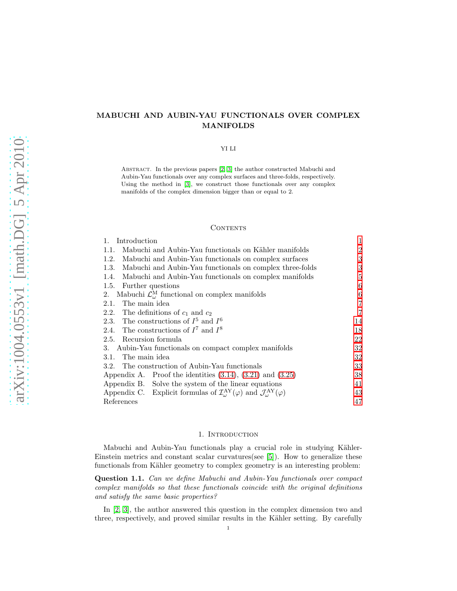# MABUCHI AND AUBIN-YAU FUNCTIONALS OVER COMPLEX MANIFOLDS

### YI LI

Abstract. In the previous papers [\[2,](#page-46-0) [3\]](#page-46-1) the author constructed Mabuchi and Aubin-Yau functionals over any complex surfaces and three-folds, respectively. Using the method in [\[3\]](#page-46-1), we construct those functionals over any complex manifolds of the complex dimension bigger than or equal to 2.

#### CONTENTS

| 1.<br>Introduction                                                                                                           | 1  |
|------------------------------------------------------------------------------------------------------------------------------|----|
| Mabuchi and Aubin-Yau functionals on Kähler manifolds<br>1.1.                                                                | 2  |
| Mabuchi and Aubin-Yau functionals on complex surfaces<br>1.2.                                                                | 3  |
| Mabuchi and Aubin-Yau functionals on complex three-folds<br>1.3.                                                             | 3  |
| Mabuchi and Aubin-Yau functionals on complex manifolds<br>1.4.                                                               | 5  |
| 1.5.<br>Further questions                                                                                                    | 6  |
| Mabuchi $\mathcal{L}_{\omega}^{\text{M}}$ functional on complex manifolds<br>2.                                              | 6  |
| The main idea<br>2.1.                                                                                                        | 7  |
| 2.2. The definitions of $c_1$ and $c_2$                                                                                      | 7  |
| 2.3. The constructions of $I^5$ and $I^6$                                                                                    | 14 |
| 2.4. The constructions of $I^7$ and $I^8$                                                                                    | 18 |
| 2.5. Recursion formula                                                                                                       | 22 |
| 3. Aubin-Yau functionals on compact complex manifolds                                                                        | 32 |
| The main idea<br>3.1.                                                                                                        | 32 |
| 3.2. The construction of Aubin-Yau functionals                                                                               | 33 |
| Appendix A. Proof the identities $(3.14)$ , $(3.21)$ and $(3.25)$                                                            | 38 |
| Appendix B. Solve the system of the linear equations                                                                         | 41 |
| Appendix C. Explicit formulas of $\mathcal{I}^{\text{AY}}_{\omega}(\varphi)$ and $\mathcal{J}^{\text{AY}}_{\omega}(\varphi)$ | 43 |
| References                                                                                                                   | 47 |

#### 1. Introduction

<span id="page-0-0"></span>Mabuchi and Aubin-Yau functionals play a crucial role in studying Kähler-Einstein metrics and constant scalar curvatures(see [\[5\]](#page-46-3)). How to generalize these functionals from Kähler geometry to complex geometry is an interesting problem:

<span id="page-0-1"></span>Question 1.1. Can we define Mabuchi and Aubin-Yau functionals over compact complex manifolds so that these functionals coincide with the original definitions and satisfy the same basic properties?

In [\[2,](#page-46-0) [3\]](#page-46-1), the author answered this question in the complex dimension two and three, respectively, and proved similar results in the Kähler setting. By carefully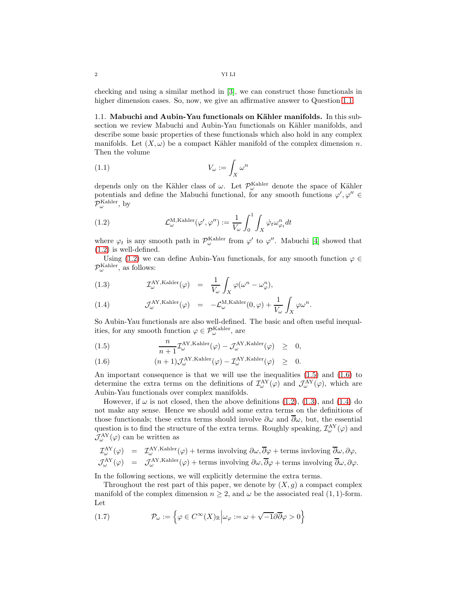checking and using a similar method in [\[3\]](#page-46-1), we can construct those functionals in higher dimension cases. So, now, we give an affirmative answer to Question [1.1.](#page-0-1)

<span id="page-1-0"></span>1.1. Mabuchi and Aubin-Yau functionals on Kähler manifolds. In this subsection we review Mabuchi and Aubin-Yau functionals on Kähler manifolds, and describe some basic properties of these functionals which also hold in any complex manifolds. Let  $(X, \omega)$  be a compact Kähler manifold of the complex dimension n. Then the volume

$$
(1.1) \t\t V_{\omega} := \int_X \omega^n
$$

depends only on the Kähler class of  $\omega$ . Let  $\mathcal{P}_{\omega}^{\text{Kahler}}$  denote the space of Kähler potentials and define the Mabuchi functional, for any smooth functions  $\varphi', \varphi'' \in$  $\mathcal{P}_{\omega}^{\text{Kahler}}, \text{ by}$ 

<span id="page-1-1"></span>(1.2) 
$$
\mathcal{L}_{\omega}^{\text{M,Kahler}}(\varphi', \varphi'') := \frac{1}{V_{\omega}} \int_0^1 \int_X \dot{\varphi}_t \omega_{\varphi_t}^n dt
$$

where  $\varphi_t$  is any smooth path in  $\mathcal{P}_{\omega}^{\text{Kahler}}$  from  $\varphi'$  to  $\varphi''$ . Mabuchi [\[4\]](#page-46-4) showed that [\(1.2\)](#page-1-1) is well-defined.

Using [\(1.2\)](#page-1-1) we can define Aubin-Yau functionals, for any smooth function  $\varphi \in$  $\mathcal{P}_{\omega}^{\text{Kahler}},$  as follows:

<span id="page-1-3"></span>(1.3) 
$$
\mathcal{I}_{\omega}^{\text{AY,Kahler}}(\varphi) = \frac{1}{V_{\omega}} \int_{X} \varphi(\omega^{n} - \omega_{\varphi}^{n}),
$$

(1.4) 
$$
\mathcal{J}^{\text{AY,Kahler}}_{\omega}(\varphi) = -\mathcal{L}^{\text{M,Kahler}}_{\omega}(0,\varphi) + \frac{1}{V_{\omega}} \int_{X} \varphi \omega^{n}.
$$

So Aubin-Yau functionals are also well-defined. The basic and often useful inequalities, for any smooth function  $\varphi\in\mathcal{P}^{\mathrm{Kahler}}_{\omega}$  , are

<span id="page-1-2"></span>(1.5) 
$$
\frac{n}{n+1} \mathcal{I}_{\omega}^{\text{AY,Kahler}}(\varphi) - \mathcal{J}_{\omega}^{\text{AY,Kahler}}(\varphi) \geq 0,
$$

(1.6) 
$$
(n+1)\mathcal{J}^{\text{AY,Kahler}}_{\omega}(\varphi) - \mathcal{I}^{\text{AY,Kahler}}_{\omega}(\varphi) \geq 0.
$$

An important consequence is that we will use the inequalities [\(1.5\)](#page-1-2) and [\(1.6\)](#page-1-2) to determine the extra terms on the definitions of  $\mathcal{I}^{AY}_{\omega}(\varphi)$  and  $\mathcal{J}^{AY}_{\omega}(\varphi)$ , which are Aubin-Yau functionals over complex manifolds.

However, if  $\omega$  is not closed, then the above definitions [\(1.2\)](#page-1-1), [\(1.3\)](#page-1-3), and [\(1.4\)](#page-1-3) do not make any sense. Hence we should add some extra terms on the definitions of those functionals; these extra terms should involve  $\partial\omega$  and  $\partial\omega$ , but, the essential question is to find the structure of the extra terms. Roughly speaking,  $\mathcal{I}^{AY}_{\omega}(\varphi)$  and  $\mathcal{J}^{\rm{AY}}_{\omega}(\varphi)$  can be written as

$$
\mathcal{I}^{\text{AY}}_{\omega}(\varphi) = \mathcal{I}^{\text{AY}, \text{Kahler}}_{\omega}(\varphi) + \text{terms involving } \partial \omega, \overline{\partial} \varphi + \text{terms involving } \overline{\partial} \omega, \partial \varphi,
$$
  

$$
\mathcal{J}^{\text{AY}}_{\omega}(\varphi) = \mathcal{J}^{\text{AY}, \text{Kahler}}_{\omega}(\varphi) + \text{terms involving } \partial \omega, \overline{\partial} \varphi + \text{terms involving } \overline{\partial} \omega, \partial \varphi.
$$

In the following sections, we will explicitly determine the extra terms.

Throughout the rest part of this paper, we denote by  $(X, g)$  a compact complex manifold of the complex dimension  $n \geq 2$ , and  $\omega$  be the associated real  $(1, 1)$ -form. Let

(1.7) 
$$
\mathcal{P}_{\omega} := \left\{ \varphi \in C^{\infty}(X)_{\mathbb{R}} \middle| \omega_{\varphi} := \omega + \sqrt{-1} \partial \overline{\partial} \varphi > 0 \right\}
$$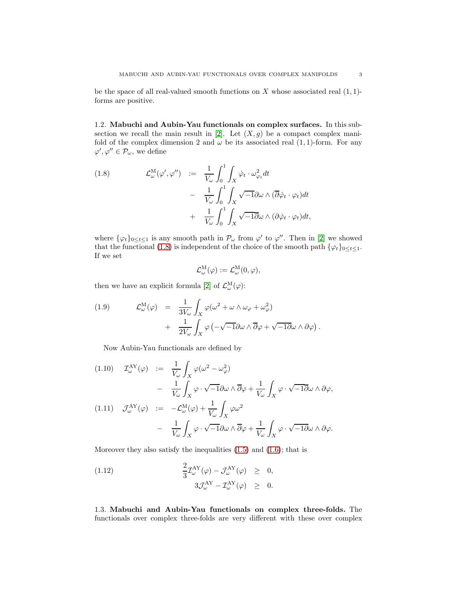be the space of all real-valued smooth functions on  $X$  whose associated real  $(1, 1)$ forms are positive.

<span id="page-2-0"></span>1.2. Mabuchi and Aubin-Yau functionals on complex surfaces. In this sub-section we recall the main result in [\[2\]](#page-46-0). Let  $(X, g)$  be a compact complex manifold of the complex dimension 2 and  $\omega$  be its associated real  $(1, 1)$ -form. For any  $\varphi', \varphi'' \in \mathcal{P}_\omega$ , we define

<span id="page-2-2"></span>(1.8) 
$$
\mathcal{L}^{\mathcal{M}}_{\omega}(\varphi', \varphi'') \quad := \quad \frac{1}{V_{\omega}} \int_{0}^{1} \int_{X} \dot{\varphi}_{t} \cdot \omega_{\varphi_{t}}^{2} dt \\ - \quad \frac{1}{V_{\omega}} \int_{0}^{1} \int_{X} \sqrt{-1} \partial \omega \wedge (\overline{\partial} \dot{\varphi}_{t} \cdot \varphi_{t}) dt \\ + \quad \frac{1}{V_{\omega}} \int_{0}^{1} \int_{X} \sqrt{-1} \overline{\partial} \omega \wedge (\partial \dot{\varphi}_{t} \cdot \varphi_{t}) dt,
$$

where  $\{\varphi_t\}_{0 \leq t \leq 1}$  is any smooth path in  $\mathcal{P}_{\omega}$  from  $\varphi'$  to  $\varphi''$ . Then in [\[2\]](#page-46-0) we showed that the functional [\(1.8\)](#page-2-2) is independent of the choice of the smooth path  $\{\varphi_t\}_{0 \leq t \leq 1}$ . If we set

$$
\mathcal{L}^M_\omega(\varphi):=\mathcal{L}^M_\omega(0,\varphi),
$$

then we have an explicit formula [\[2\]](#page-46-0) of  $\mathcal{L}^{\mathbf{M}}_{\omega}(\varphi)$ :

(1.9) 
$$
\mathcal{L}^{\mathcal{M}}_{\omega}(\varphi) = \frac{1}{3V_{\omega}} \int_{X} \varphi(\omega^{2} + \omega \wedge \omega_{\varphi} + \omega_{\varphi}^{2}) + \frac{1}{2V_{\omega}} \int_{X} \varphi(-\sqrt{-1}\partial \omega \wedge \overline{\partial}\varphi + \sqrt{-1}\partial \omega \wedge \partial \varphi)
$$

Now Aubin-Yau functionals are defined by

(1.10) 
$$
\mathcal{I}_{\omega}^{\text{AY}}(\varphi) := \frac{1}{V_{\omega}} \int_{X} \varphi(\omega^{2} - \omega_{\varphi}^{2})
$$

$$
- \frac{1}{V_{\omega}} \int_{X} \varphi \cdot \sqrt{-1} \partial \omega \wedge \overline{\partial} \varphi + \frac{1}{V_{\omega}} \int_{X} \varphi \cdot \sqrt{-1} \partial \omega \wedge \partial \varphi,
$$
  
(1.11) 
$$
\mathcal{J}_{\omega}^{\text{AY}}(\varphi) := -\mathcal{L}_{\omega}^{\text{M}}(\varphi) + \frac{1}{V_{\omega}} \int_{X} \varphi \omega^{2}
$$

$$
- \frac{1}{V_{\omega}} \int_{X} \varphi \cdot \sqrt{-1} \partial \omega \wedge \overline{\partial} \varphi + \frac{1}{V_{\omega}} \int_{X} \varphi \cdot \sqrt{-1} \partial \omega \wedge \partial \varphi.
$$

Moreover they also satisfy the inequalities  $(1.5)$  and  $(1.6)$ ; that is

(1.12) 
$$
\frac{2}{3} \mathcal{I}_{\omega}^{\text{AY}}(\varphi) - \mathcal{J}_{\omega}^{\text{AY}}(\varphi) \geq 0, 3\mathcal{J}_{\omega}^{\text{AY}} - \mathcal{I}_{\omega}^{\text{AY}}(\varphi) \geq 0.
$$

<span id="page-2-1"></span>1.3. Mabuchi and Aubin-Yau functionals on complex three-folds. The functionals over complex three-folds are very different with these over complex

.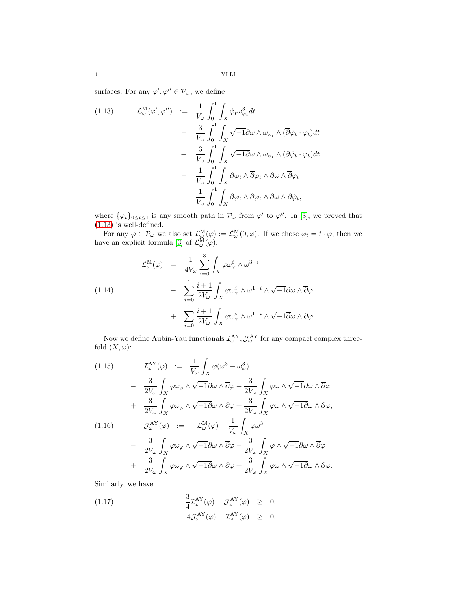surfaces. For any  $\varphi', \varphi'' \in \mathcal{P}_{\omega}$ , we define

<span id="page-3-0"></span>(1.13) 
$$
\mathcal{L}_{\omega}^{\mathcal{M}}(\varphi', \varphi'') := \frac{1}{V_{\omega}} \int_{0}^{1} \int_{X} \dot{\varphi}_{t} \omega_{\varphi_{t}}^{3} dt \n- \frac{3}{V_{\omega}} \int_{0}^{1} \int_{X} \sqrt{-1} \partial \omega \wedge \omega_{\varphi_{t}} \wedge (\overline{\partial} \dot{\varphi}_{t} \cdot \varphi_{t}) dt \n+ \frac{3}{V_{\omega}} \int_{0}^{1} \int_{X} \sqrt{-1} \partial \omega \wedge \omega_{\varphi_{t}} \wedge (\partial \dot{\varphi}_{t} \cdot \varphi_{t}) dt \n- \frac{1}{V_{\omega}} \int_{0}^{1} \int_{X} \partial \varphi_{t} \wedge \overline{\partial} \varphi_{t} \wedge \partial \omega \wedge \overline{\partial} \dot{\varphi}_{t} \n- \frac{1}{V_{\omega}} \int_{0}^{1} \int_{X} \overline{\partial} \varphi_{t} \wedge \partial \varphi_{t} \wedge \overline{\partial} \omega \wedge \partial \dot{\varphi}_{t},
$$

where  $\{\varphi_t\}_{0 \leq t \leq 1}$  is any smooth path in  $\mathcal{P}_{\omega}$  from  $\varphi'$  to  $\varphi''$ . In [\[3\]](#page-46-1), we proved that  $(1.13)$  is well-defined.

For any  $\varphi \in \mathcal{P}_{\omega}$  we also set  $\mathcal{L}_{\omega}^{\mathcal{M}}(\varphi) := \mathcal{L}_{\omega}^{\mathcal{M}}(0, \varphi)$ . If we chose  $\varphi_t = t \cdot \varphi$ , then we have an explicit formula [\[3\]](#page-46-1) of  $\mathcal{L}_{\omega}^{\mathbf{M}}(\varphi)$ :

(1.14)  
\n
$$
\mathcal{L}^{\mathcal{M}}_{\omega}(\varphi) = \frac{1}{4V_{\omega}} \sum_{i=0}^{3} \int_{X} \varphi \omega_{\varphi}^{i} \wedge \omega^{3-i}
$$
\n
$$
- \sum_{i=0}^{1} \frac{i+1}{2V_{\omega}} \int_{X} \varphi \omega_{\varphi}^{i} \wedge \omega^{1-i} \wedge \sqrt{-1} \partial \omega \wedge \overline{\partial} \varphi
$$
\n
$$
+ \sum_{i=0}^{1} \frac{i+1}{2V_{\omega}} \int_{X} \varphi \omega_{\varphi}^{i} \wedge \omega^{1-i} \wedge \sqrt{-1} \partial \omega \wedge \partial \varphi.
$$

Now we define Aubin-Yau functionals  $\mathcal{I}^{AY}_{\omega}$ ,  $\mathcal{J}^{AY}_{\omega}$  for any compact complex threefold  $(X, \omega)$ :

(1.15)  
\n
$$
\mathcal{I}_{\omega}^{\text{AY}}(\varphi) := \frac{1}{V_{\omega}} \int_{X} \varphi(\omega^{3} - \omega_{\varphi}^{3})
$$
\n
$$
- \frac{3}{2V_{\omega}} \int_{X} \varphi \omega_{\varphi} \wedge \sqrt{-1} \partial \omega \wedge \overline{\partial} \varphi - \frac{3}{2V_{\omega}} \int_{X} \varphi \omega \wedge \sqrt{-1} \partial \omega \wedge \overline{\partial} \varphi
$$
\n
$$
+ \frac{3}{2V_{\omega}} \int_{X} \varphi \omega_{\varphi} \wedge \sqrt{-1} \partial \omega \wedge \partial \varphi + \frac{3}{2V_{\omega}} \int_{X} \varphi \omega \wedge \sqrt{-1} \partial \omega \wedge \partial \varphi,
$$
\n(1.16)  
\n
$$
\mathcal{J}_{\omega}^{\text{AY}}(\varphi) := -\mathcal{L}_{\omega}^{\text{M}}(\varphi) + \frac{1}{V_{\omega}} \int_{X} \varphi \omega^{3}
$$
\n
$$
- \frac{3}{2V_{\omega}} \int_{X} \varphi \omega_{\varphi} \wedge \sqrt{-1} \partial \omega \wedge \overline{\partial} \varphi - \frac{3}{2V_{\omega}} \int_{X} \varphi \wedge \sqrt{-1} \partial \omega \wedge \overline{\partial} \varphi
$$
\n
$$
+ \frac{3}{2V_{\omega}} \int_{X} \varphi \omega_{\varphi} \wedge \sqrt{-1} \partial \omega \wedge \partial \varphi + \frac{3}{2V_{\omega}} \int_{X} \varphi \omega \wedge \sqrt{-1} \partial \omega \wedge \partial \varphi.
$$

Similarly, we have

(1.17) 
$$
\frac{3}{4} \mathcal{I}_{\omega}^{\text{AY}}(\varphi) - \mathcal{J}_{\omega}^{\text{AY}}(\varphi) \geq 0, \n4 \mathcal{J}_{\omega}^{\text{AY}}(\varphi) - \mathcal{I}_{\omega}^{\text{AY}}(\varphi) \geq 0.
$$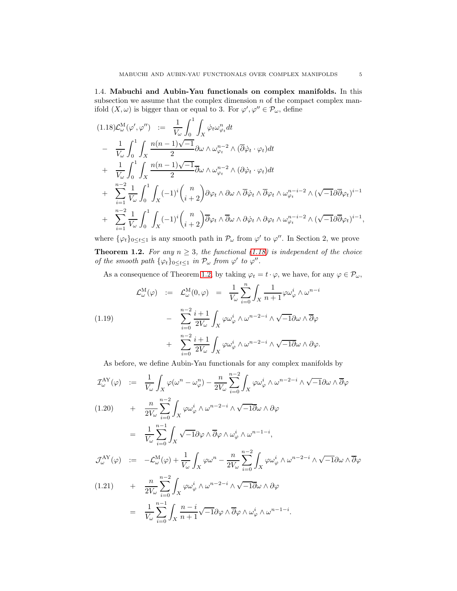<span id="page-4-0"></span>1.4. Mabuchi and Aubin-Yau functionals on complex manifolds. In this subsection we assume that the complex dimension  $n$  of the compact complex manifold  $(X, \omega)$  is bigger than or equal to 3. For  $\varphi', \varphi'' \in \mathcal{P}_{\omega}$ , define

<span id="page-4-1"></span>
$$
(1.18)\mathcal{L}_{\omega}^{\mathbf{M}}(\varphi', \varphi'') := \frac{1}{V_{\omega}} \int_{0}^{1} \int_{X} \dot{\varphi}_{t} \omega_{\varphi_{t}}^{n} dt - \frac{1}{V_{\omega}} \int_{0}^{1} \int_{X} \frac{n(n-1)\sqrt{-1}}{2} \partial \omega \wedge \omega_{\varphi_{t}}^{n-2} \wedge (\overline{\partial} \dot{\varphi}_{t} \cdot \varphi_{t}) dt + \frac{1}{V_{\omega}} \int_{0}^{1} \int_{X} \frac{n(n-1)\sqrt{-1}}{2} \overline{\partial} \omega \wedge \omega_{\varphi_{t}}^{n-2} \wedge (\partial \dot{\varphi}_{t} \cdot \varphi_{t}) dt + \sum_{i=1}^{n-2} \frac{1}{V_{\omega}} \int_{0}^{1} \int_{X} (-1)^{i} {n \choose i+2} \partial \varphi_{t} \wedge \partial \omega \wedge \overline{\partial} \dot{\varphi}_{t} \wedge \overline{\partial} \varphi_{t} \wedge \omega_{\varphi_{t}}^{n-i-2} \wedge (\sqrt{-1} \partial \overline{\partial} \varphi_{t})^{i-1} + \sum_{i=1}^{n-2} \frac{1}{V_{\omega}} \int_{0}^{1} \int_{X} (-1)^{i} {n \choose i+2} \overline{\partial} \varphi_{t} \wedge \overline{\partial} \omega \wedge \partial \dot{\varphi}_{t} \wedge \partial \varphi_{t} \wedge \omega_{\varphi_{t}}^{n-i-2} \wedge (\sqrt{-1} \partial \overline{\partial} \varphi_{t})^{i-1},
$$

where  $\{\varphi_t\}_{0\leq t\leq 1}$  is any smooth path in  $\mathcal{P}_\omega$  from  $\varphi'$  to  $\varphi''$ . In Section 2, we prove

<span id="page-4-2"></span>**Theorem 1.2.** For any  $n \geq 3$ , the functional [\(1.18\)](#page-4-1) is independent of the choice of the smooth path  $\{\varphi_t\}_{0 \leq t \leq 1}$  in  $\mathcal{P}_{\omega}$  from  $\varphi'$  to  $\varphi''$ .

As a consequence of Theorem [1.2,](#page-4-2) by taking  $\varphi_t = t \cdot \varphi$ , we have, for any  $\varphi \in \mathcal{P}_{\omega}$ ,

(1.19) 
$$
\mathcal{L}^{\mathcal{M}}_{\omega}(\varphi) := \mathcal{L}^{\mathcal{M}}_{\omega}(0,\varphi) = \frac{1}{V_{\omega}} \sum_{i=0}^{n} \int_{X} \frac{1}{n+1} \varphi \omega_{\varphi}^{i} \wedge \omega^{n-i} \\ - \sum_{i=0}^{n-2} \frac{i+1}{2V_{\omega}} \int_{X} \varphi \omega_{\varphi}^{i} \wedge \omega^{n-2-i} \wedge \sqrt{-1} \partial \omega \wedge \overline{\partial} \varphi \\ + \sum_{i=0}^{n-2} \frac{i+1}{2V_{\omega}} \int_{X} \varphi \omega_{\varphi}^{i} \wedge \omega^{n-2-i} \wedge \sqrt{-1} \partial \omega \wedge \partial \varphi.
$$

As before, we define Aubin-Yau functionals for any complex manifolds by

$$
\mathcal{I}_{\omega}^{\text{AY}}(\varphi) := \frac{1}{V_{\omega}} \int_{X} \varphi(\omega^{n} - \omega_{\varphi}^{n}) - \frac{n}{2V_{\omega}} \sum_{i=0}^{n-2} \int_{X} \varphi \omega_{\varphi}^{i} \wedge \omega^{n-2-i} \wedge \sqrt{-1} \partial \omega \wedge \overline{\partial} \varphi
$$
\n
$$
(1.20) + \frac{n}{2V_{\omega}} \sum_{i=0}^{n-2} \int_{X} \varphi \omega_{\varphi}^{i} \wedge \omega^{n-2-i} \wedge \sqrt{-1} \overline{\partial} \omega \wedge \partial \varphi
$$
\n
$$
= \frac{1}{V_{\omega}} \sum_{i=0}^{n-1} \int_{X} \sqrt{-1} \partial \varphi \wedge \overline{\partial} \varphi \wedge \omega_{\varphi}^{i} \wedge \omega^{n-1-i},
$$
\n
$$
\mathcal{J}_{\omega}^{\text{AY}}(\varphi) := -\mathcal{L}_{\omega}^{\text{M}}(\varphi) + \frac{1}{V_{\omega}} \int_{X} \varphi \omega^{n} - \frac{n}{2V_{\omega}} \sum_{i=0}^{n-2} \int_{X} \varphi \omega_{\varphi}^{i} \wedge \omega^{n-2-i} \wedge \sqrt{-1} \partial \omega \wedge \overline{\partial} \varphi
$$
\n
$$
(1.21) + \frac{n}{2} \sum_{i=0}^{n-2} \int_{X} \varphi \omega_{\varphi}^{i} \wedge \omega^{n-2-i} \wedge \sqrt{-1} \overline{\partial} \omega \wedge \partial \varphi
$$

$$
(1.21) \qquad + \qquad \frac{n}{2V_{\omega}} \sum_{i=0}^{n} \int_{X} \varphi \omega_{\varphi}^{i} \wedge \omega^{n-2-i} \wedge \sqrt{-1} \partial \omega \wedge \partial \varphi
$$
\n
$$
= \qquad \frac{1}{V_{\omega}} \sum_{i=0}^{n-1} \int_{X} \frac{n-i}{n+1} \sqrt{-1} \partial \varphi \wedge \overline{\partial} \varphi \wedge \omega_{\varphi}^{i} \wedge \omega^{n-1-i}.
$$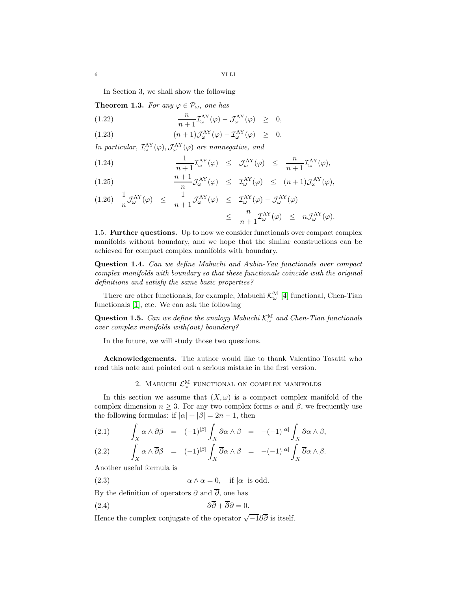6 YI LI

In Section 3, we shall show the following

**Theorem 1.3.** For any  $\varphi \in \mathcal{P}_{\omega}$ , one has

(1.22) 
$$
\frac{n}{n+1} \mathcal{I}^{\text{AY}}_{\omega}(\varphi) - \mathcal{J}^{\text{AY}}_{\omega}(\varphi) \geq 0,
$$

(1.23)  $(n+1)\mathcal{J}^{\text{AY}}_{\omega}(\varphi) - \mathcal{I}^{\text{AY}}_{\omega}(\varphi) \geq 0.$ 

In particular,  $\mathcal{I}^{\text{AY}}_{\omega}(\varphi), \mathcal{J}^{\text{AY}}_{\omega}(\varphi)$  are nonnegative, and

(1.24) 
$$
\frac{1}{n+1} \mathcal{I}_{\omega}^{\text{AY}}(\varphi) \leq \mathcal{J}_{\omega}^{\text{AY}}(\varphi) \leq \frac{n}{n+1} \mathcal{I}_{\omega}^{\text{AY}}(\varphi),
$$

(1.25) 
$$
\frac{n+1}{n} \mathcal{J}^{\text{AY}}_{\omega}(\varphi) \leq \mathcal{I}^{\text{AY}}_{\omega}(\varphi) \leq (n+1) \mathcal{J}^{\text{AY}}_{\omega}(\varphi),
$$

$$
(1.26) \frac{1}{n} \mathcal{J}_{\omega}^{\text{AY}}(\varphi) \leq \frac{1}{n+1} \mathcal{J}_{\omega}^{\text{AY}}(\varphi) \leq \mathcal{I}_{\omega}^{\text{AY}}(\varphi) - \mathcal{J}_{\omega}^{\text{AY}}(\varphi)
$$
  
\$\leq\$  $\frac{n}{n+1} \mathcal{I}_{\omega}^{\text{AY}}(\varphi) \leq n \mathcal{J}_{\omega}^{\text{AY}}(\varphi).$ 

<span id="page-5-0"></span>1.5. Further questions. Up to now we consider functionals over compact complex manifolds without boundary, and we hope that the similar constructions can be achieved for compact complex manifolds with boundary.

Question 1.4. Can we define Mabuchi and Aubin-Yau functionals over compact complex manifolds with boundary so that these functionals coincide with the original definitions and satisfy the same basic properties?

There are other functionals, for example, Mabuchi  $\mathcal{K}_{\omega}^{\text{M}}$  [\[4\]](#page-46-4) functional, Chen-Tian functionals [\[1\]](#page-46-5), etc. We can ask the following

**Question 1.5.** Can we define the analogy Mabuchi  $\mathcal{K}_{\omega}^{\text{M}}$  and Chen-Tian functionals over complex manifolds with(out) boundary?

In the future, we will study those two questions.

<span id="page-5-1"></span>Acknowledgements. The author would like to thank Valentino Tosatti who read this note and pointed out a serious mistake in the first version.

2. MABUCHI  $\mathcal{L}^{\text{M}}_{\omega}$  functional on complex manifolds

In this section we assume that  $(X, \omega)$  is a compact complex manifold of the complex dimension  $n \geq 3$ . For any two complex forms  $\alpha$  and  $\beta$ , we frequently use the following formulas: if  $|\alpha| + |\beta| = 2n - 1$ , then

<span id="page-5-2"></span>(2.1) 
$$
\int_X \alpha \wedge \partial \beta = (-1)^{|\beta|} \int_X \partial \alpha \wedge \beta = -(-1)^{|\alpha|} \int_X \partial \alpha \wedge \beta,
$$
  
(2.2) 
$$
\int_X \alpha \wedge \overline{\partial} \beta = (-1)^{|\beta|} \int_X \overline{\partial} \alpha \wedge \beta = -(-1)^{|\alpha|} \int_X \overline{\partial} \alpha \wedge \beta.
$$

Another useful formula is

<span id="page-5-3"></span>(2.3)  $\alpha \wedge \alpha = 0$ , if  $|\alpha|$  is odd.

By the definition of operators  $\partial$  and  $\overline{\partial}$ , one has

<span id="page-5-4"></span>
$$
\partial \partial + \partial \partial = 0.
$$

Hence the complex conjugate of the operator  $\sqrt{-1}\partial\overline{\partial}$  is itself.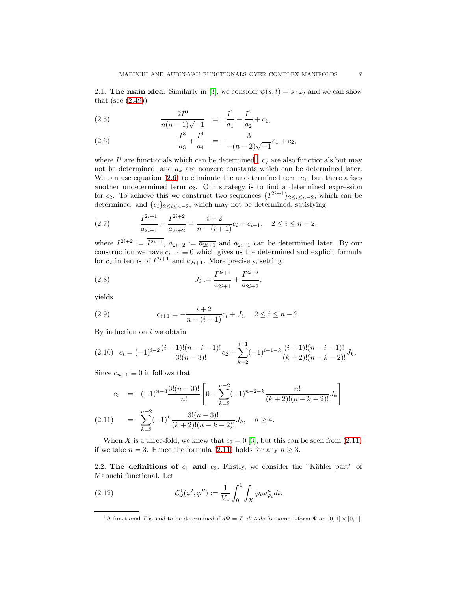<span id="page-6-0"></span>2.1. The main idea. Similarly in [\[3\]](#page-46-1), we consider  $\psi(s,t) = s \cdot \varphi_t$  and we can show that (see  $(2.49)$ )

<span id="page-6-3"></span>(2.5) 
$$
\frac{2I^0}{n(n-1)\sqrt{-1}} = \frac{I^1}{a_1} - \frac{I^2}{a_2} + c_1,
$$

(2.6) 
$$
\frac{I^3}{a_3} + \frac{I^4}{a_4} = \frac{3}{-(n-2)\sqrt{-1}}c_1 + c_2,
$$

where  $I^i$  are functionals which can be determined<sup>[1](#page-6-2)</sup>,  $c_j$  are also functionals but may not be determined, and  $a_k$  are nonzero constants which can be determined later. We can use equation  $(2.6)$  to eliminate the undetermined term  $c_1$ , but there arises another undetermined term  $c_2$ . Our strategy is to find a determined expression for c<sub>2</sub>. To achieve this we construct two sequences  $\{I^{2i+1}\}_{2\leq i\leq n-2}$ , which can be determined, and  ${c_i}_{2 \leq i \leq n-2}$ , which may not be determined, satisfying

(2.7) 
$$
\frac{I^{2i+1}}{a_{2i+1}} + \frac{I^{2i+2}}{a_{2i+2}} = \frac{i+2}{n-(i+1)}c_i + c_{i+1}, \quad 2 \le i \le n-2,
$$

where  $I^{2i+2} := \overline{I^{2i+1}}$ ,  $a_{2i+2} := \overline{a_{2i+1}}$  and  $a_{2i+1}$  can be determined later. By our construction we have  $c_{n-1} \equiv 0$  which gives us the determined and explicit formula for  $c_2$  in terms of  $I^{2i+1}$  and  $a_{2i+1}$ . More precisely, setting

(2.8) 
$$
J_i := \frac{I^{2i+1}}{a_{2i+1}} + \frac{I^{2i+2}}{a_{2i+2}},
$$

yields

(2.9) 
$$
c_{i+1} = -\frac{i+2}{n-(i+1)}c_i + J_i, \quad 2 \le i \le n-2.
$$

By induction on  $i$  we obtain

$$
(2.10) \quad c_i = (-1)^{i-2} \frac{(i+1)!(n-i-1)!}{3!(n-3)!} c_2 + \sum_{k=2}^{i-1} (-1)^{i-1-k} \frac{(i+1)!(n-i-1)!}{(k+2)!(n-k-2)!} J_k.
$$

Since  $c_{n-1} \equiv 0$  it follows that

<span id="page-6-4"></span>
$$
c_2 = (-1)^{n-3} \frac{3!(n-3)!}{n!} \left[ 0 - \sum_{k=2}^{n-2} (-1)^{n-2-k} \frac{n!}{(k+2)!(n-k-2)!} J_k \right]
$$
  
(2.11) 
$$
= \sum_{k=2}^{n-2} (-1)^k \frac{3!(n-3)!}{(k+2)!(n-k-2)!} J_k, \quad n \ge 4.
$$

When X is a three-fold, we knew that  $c_2 = 0$  [\[3\]](#page-46-1), but this can be seen from [\(2.11\)](#page-6-4) if we take  $n = 3$ . Hence the formula [\(2.11\)](#page-6-4) holds for any  $n \geq 3$ .

<span id="page-6-1"></span>2.2. The definitions of  $c_1$  and  $c_2$ . Firstly, we consider the "Kähler part" of Mabuchi functional. Let

(2.12) 
$$
\mathcal{L}^0_\omega(\varphi', \varphi'') := \frac{1}{V_\omega} \int_0^1 \int_X \dot{\varphi}_t \omega_{\varphi_t}^n dt.
$$

<span id="page-6-2"></span><sup>&</sup>lt;sup>1</sup>A functional *I* is said to be determined if  $d\Psi = \mathcal{I} \cdot dt \wedge ds$  for some 1-form  $\Psi$  on  $[0, 1] \times [0, 1]$ .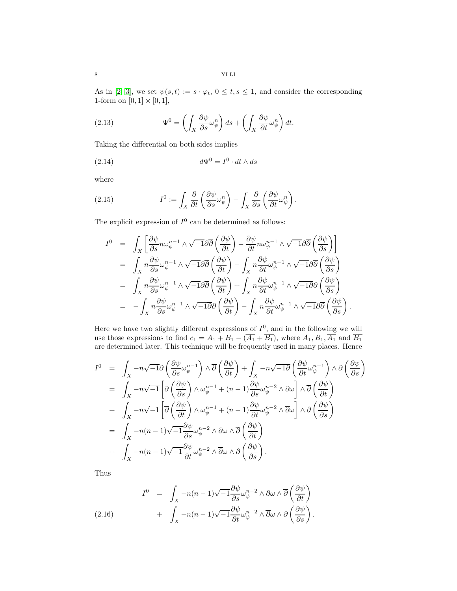As in [\[2,](#page-46-0) [3\]](#page-46-1), we set  $\psi(s,t) := s \cdot \varphi_t$ ,  $0 \le t, s \le 1$ , and consider the corresponding 1-form on  $[0,1] \times [0,1],$ 

(2.13) 
$$
\Psi^0 = \left(\int_X \frac{\partial \psi}{\partial s} \omega_{\psi}^n\right) ds + \left(\int_X \frac{\partial \psi}{\partial t} \omega_{\psi}^n\right) dt.
$$

Taking the differential on both sides implies

(2.14) 
$$
d\Psi^0 = I^0 \cdot dt \wedge ds
$$

where

(2.15) 
$$
I^{0} := \int_{X} \frac{\partial}{\partial t} \left( \frac{\partial \psi}{\partial s} \omega_{\psi}^{n} \right) - \int_{X} \frac{\partial}{\partial s} \left( \frac{\partial \psi}{\partial t} \omega_{\psi}^{n} \right).
$$

The explicit expression of  $I^0$  can be determined as follows:

$$
I^{0} = \int_{X} \left[ \frac{\partial \psi}{\partial s} n \omega_{\psi}^{n-1} \wedge \sqrt{-1} \partial \overline{\partial} \left( \frac{\partial \psi}{\partial t} \right) - \frac{\partial \psi}{\partial t} n \omega_{\psi}^{n-1} \wedge \sqrt{-1} \partial \overline{\partial} \left( \frac{\partial \psi}{\partial s} \right) \right]
$$
  
\n
$$
= \int_{X} n \frac{\partial \psi}{\partial s} \omega_{\psi}^{n-1} \wedge \sqrt{-1} \partial \overline{\partial} \left( \frac{\partial \psi}{\partial t} \right) - \int_{X} n \frac{\partial \psi}{\partial t} \omega_{\psi}^{n-1} \wedge \sqrt{-1} \partial \overline{\partial} \left( \frac{\partial \psi}{\partial s} \right)
$$
  
\n
$$
= \int_{X} n \frac{\partial \psi}{\partial s} \omega_{\psi}^{n-1} \wedge \sqrt{-1} \partial \overline{\partial} \left( \frac{\partial \psi}{\partial t} \right) + \int_{X} n \frac{\partial \psi}{\partial t} \omega_{\psi}^{n-1} \wedge \sqrt{-1} \partial \partial \left( \frac{\partial \psi}{\partial s} \right)
$$
  
\n
$$
= - \int_{X} n \frac{\partial \psi}{\partial s} \omega_{\psi}^{n-1} \wedge \sqrt{-1} \partial \partial \left( \frac{\partial \psi}{\partial t} \right) - \int_{X} n \frac{\partial \psi}{\partial t} \omega_{\psi}^{n-1} \wedge \sqrt{-1} \partial \overline{\partial} \left( \frac{\partial \psi}{\partial s} \right).
$$

Here we have two slightly different expressions of  $I^0$ , and in the following we will use those expressions to find  $c_1 = A_1 + B_1 - (A_1 + B_1)$ , where  $A_1, B_1, A_1$  and  $B_1$ are determined later. This technique will be frequently used in many places. Hence

$$
I^{0} = \int_{X} -n\sqrt{-1}\partial\left(\frac{\partial\psi}{\partial s}\omega_{\psi}^{n-1}\right) \wedge \overline{\partial}\left(\frac{\partial\psi}{\partial t}\right) + \int_{X} -n\sqrt{-1}\overline{\partial}\left(\frac{\partial\psi}{\partial t}\omega_{\psi}^{n-1}\right) \wedge \partial\left(\frac{\partial\psi}{\partial s}\right)
$$
  
\n
$$
= \int_{X} -n\sqrt{-1} \left[\partial\left(\frac{\partial\psi}{\partial s}\right) \wedge \omega_{\psi}^{n-1} + (n-1)\frac{\partial\psi}{\partial s}\omega_{\psi}^{n-2} \wedge \partial\omega\right] \wedge \overline{\partial}\left(\frac{\partial\psi}{\partial t}\right)
$$
  
\n
$$
+ \int_{X} -n\sqrt{-1} \left[\overline{\partial}\left(\frac{\partial\psi}{\partial t}\right) \wedge \omega_{\psi}^{n-1} + (n-1)\frac{\partial\psi}{\partial t}\omega_{\psi}^{n-2} \wedge \overline{\partial}\omega\right] \wedge \partial\left(\frac{\partial\psi}{\partial s}\right)
$$
  
\n
$$
= \int_{X} -n(n-1)\sqrt{-1} \frac{\partial\psi}{\partial s}\omega_{\psi}^{n-2} \wedge \partial\omega \wedge \overline{\partial}\left(\frac{\partial\psi}{\partial t}\right)
$$
  
\n
$$
+ \int_{X} -n(n-1)\sqrt{-1} \frac{\partial\psi}{\partial t}\omega_{\psi}^{n-2} \wedge \overline{\partial}\omega \wedge \partial\left(\frac{\partial\psi}{\partial s}\right).
$$

Thus

<span id="page-7-0"></span>(2.16) 
$$
I^{0} = \int_{X} -n(n-1)\sqrt{-1}\frac{\partial\psi}{\partial s}\omega_{\psi}^{n-2} \wedge \partial\omega \wedge \overline{\partial}\left(\frac{\partial\psi}{\partial t}\right) + \int_{X} -n(n-1)\sqrt{-1}\frac{\partial\psi}{\partial t}\omega_{\psi}^{n-2} \wedge \overline{\partial}\omega \wedge \partial\left(\frac{\partial\psi}{\partial s}\right).
$$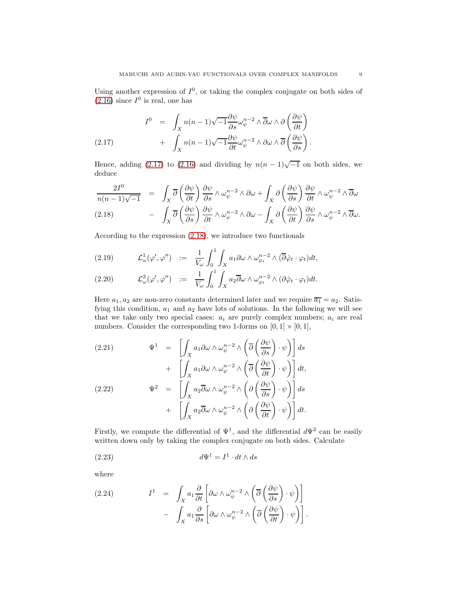Using another expression of  $I^0$ , or taking the complex conjugate on both sides of  $(2.16)$  since  $I^0$  is real, one has

<span id="page-8-0"></span>(2.17) 
$$
I^{0} = \int_{X} n(n-1)\sqrt{-1} \frac{\partial \psi}{\partial s} \omega_{\psi}^{n-2} \wedge \overline{\partial} \omega \wedge \partial \left(\frac{\partial \psi}{\partial t}\right) + \int_{X} n(n-1)\sqrt{-1} \frac{\partial \psi}{\partial t} \omega_{\psi}^{n-2} \wedge \partial \omega \wedge \overline{\partial} \left(\frac{\partial \psi}{\partial s}\right).
$$

Hence, adding [\(2.17\)](#page-8-0) to [\(2.16\)](#page-7-0) and dividing by  $n(n-1)\sqrt{-1}$  on both sides, we deduce

<span id="page-8-1"></span>
$$
\frac{2I^0}{n(n-1)\sqrt{-1}} = \int_X \overline{\partial} \left(\frac{\partial \psi}{\partial t}\right) \frac{\partial \psi}{\partial s} \wedge \omega_{\psi}^{n-2} \wedge \partial \omega + \int_X \partial \left(\frac{\partial \psi}{\partial s}\right) \frac{\partial \psi}{\partial t} \wedge \omega_{\psi}^{n-2} \wedge \overline{\partial} \omega
$$
\n
$$
(2.18) \qquad - \int_X \overline{\partial} \left(\frac{\partial \psi}{\partial s}\right) \frac{\partial \psi}{\partial t} \wedge \omega_{\psi}^{n-2} \wedge \partial \omega - \int_X \partial \left(\frac{\partial \psi}{\partial t}\right) \frac{\partial \psi}{\partial s} \wedge \omega_{\psi}^{n-2} \wedge \overline{\partial} \omega.
$$

According to the expression [\(2.18\)](#page-8-1), we introduce two functionals

(2.19) 
$$
\mathcal{L}^1_{\omega}(\varphi', \varphi'') \quad := \quad \frac{1}{V_{\omega}} \int_0^1 \int_X a_1 \partial \omega \wedge \omega_{\varphi_t}^{n-2} \wedge (\overline{\partial} \dot{\varphi}_t \cdot \varphi_t) dt,
$$

$$
(2.20) \t\t \mathcal{L}^2_{\omega}(\varphi', \varphi'') := \frac{1}{V_{\omega}} \int_0^1 \int_X a_2 \overline{\partial} \omega \wedge \omega_{\varphi_t}^{n-2} \wedge (\partial \varphi_t \cdot \varphi_t) dt.
$$

Here  $a_1, a_2$  are non-zero constants determined later and we require  $\overline{a_1} = a_2$ . Satisfying this condition,  $a_1$  and  $a_2$  have lots of solutions. In the following we will see that we take only two special cases:  $a_i$  are purely complex numbers;  $a_i$  are real numbers. Consider the corresponding two 1-forms on  $[0, 1] \times [0, 1]$ ,

(2.21) 
$$
\Psi^{1} = \left[ \int_{X} a_{1} \partial \omega \wedge \omega_{\psi}^{n-2} \wedge \left( \overline{\partial} \left( \frac{\partial \psi}{\partial s} \right) \cdot \psi \right) \right] ds + \left[ \int_{X} a_{1} \partial \omega \wedge \omega_{\psi}^{n-2} \wedge \left( \overline{\partial} \left( \frac{\partial \psi}{\partial t} \right) \cdot \psi \right) \right] dt, \n(2.22) 
$$
\Psi^{2} = \left[ \int_{X} a_{2} \overline{\partial} \omega \wedge \omega_{\psi}^{n-2} \wedge \left( \partial \left( \frac{\partial \psi}{\partial s} \right) \cdot \psi \right) \right] ds + \left[ \int_{X} a_{2} \overline{\partial} \omega \wedge \omega_{\psi}^{n-2} \wedge \left( \partial \left( \frac{\partial \psi}{\partial t} \right) \cdot \psi \right) \right] dt.
$$
$$

Firstly, we compute the differential of  $\Psi^1$ , and the differential  $d\Psi^2$  can be easily written down only by taking the complex conjugate on both sides. Calculate

(2.23) 
$$
d\Psi^1 = I^1 \cdot dt \wedge ds
$$

where

<span id="page-8-2"></span>(2.24) 
$$
I^{1} = \int_{X} a_{1} \frac{\partial}{\partial t} \left[ \partial \omega \wedge \omega_{\psi}^{n-2} \wedge \left( \overline{\partial} \left( \frac{\partial \psi}{\partial s} \right) \cdot \psi \right) \right] - \int_{X} a_{1} \frac{\partial}{\partial s} \left[ \partial \omega \wedge \omega_{\psi}^{n-2} \wedge \left( \overline{\partial} \left( \frac{\partial \psi}{\partial t} \right) \cdot \psi \right) \right].
$$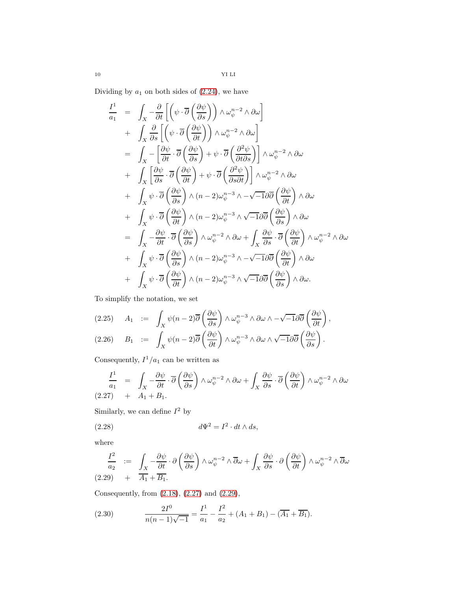$10 \hspace{7.7cm}$  YI LI

Dividing by  $a_1$  on both sides of  $(2.24)$ , we have

$$
\frac{I^1}{a_1} = \int_X -\frac{\partial}{\partial t} \left[ \left( \psi \cdot \overline{\partial} \left( \frac{\partial \psi}{\partial s} \right) \right) \wedge \omega_{\psi}^{n-2} \wedge \partial \omega \right] \n+ \int_X \frac{\partial}{\partial s} \left[ \left( \psi \cdot \overline{\partial} \left( \frac{\partial \psi}{\partial t} \right) \right) \wedge \omega_{\psi}^{n-2} \wedge \partial \omega \right] \n= \int_X - \left[ \frac{\partial \psi}{\partial t} \cdot \overline{\partial} \left( \frac{\partial \psi}{\partial s} \right) + \psi \cdot \overline{\partial} \left( \frac{\partial^2 \psi}{\partial t \partial s} \right) \right] \wedge \omega_{\psi}^{n-2} \wedge \partial \omega \n+ \int_X \left[ \frac{\partial \psi}{\partial s} \cdot \overline{\partial} \left( \frac{\partial \psi}{\partial t} \right) + \psi \cdot \overline{\partial} \left( \frac{\partial^2 \psi}{\partial s \partial t} \right) \right] \wedge \omega_{\psi}^{n-2} \wedge \partial \omega \n+ \int_X \psi \cdot \overline{\partial} \left( \frac{\partial \psi}{\partial s} \right) \wedge (n-2) \omega_{\psi}^{n-3} \wedge -\sqrt{-1} \partial \overline{\partial} \left( \frac{\partial \psi}{\partial t} \right) \wedge \partial \omega \n+ \int_X \psi \cdot \overline{\partial} \left( \frac{\partial \psi}{\partial t} \right) \wedge (n-2) \omega_{\psi}^{n-3} \wedge \sqrt{-1} \partial \overline{\partial} \left( \frac{\partial \psi}{\partial s} \right) \wedge \partial \omega \n= \int_X -\frac{\partial \psi}{\partial t} \cdot \overline{\partial} \left( \frac{\partial \psi}{\partial s} \right) \wedge \omega_{\psi}^{n-2} \wedge \partial \omega + \int_X \frac{\partial \psi}{\partial s} \cdot \overline{\partial} \left( \frac{\partial \psi}{\partial t} \right) \wedge \omega_{\psi}^{n-2} \wedge \partial \omega \n+ \int_X \psi \cdot \overline{\partial} \left( \frac{\partial \psi}{\partial s} \right) \wedge (n-2) \omega_{\psi}^{n-3} \wedge -\sqrt{-1} \partial \overline{\partial} \left
$$

To simplify the notation, we set

$$
(2.25) \quad A_1 \ := \ \int_X \psi(n-2)\overline{\partial}\left(\frac{\partial\psi}{\partial s}\right) \wedge \omega_{\psi}^{n-3} \wedge \partial\omega \wedge -\sqrt{-1}\partial\overline{\partial}\left(\frac{\partial\psi}{\partial t}\right),
$$
  

$$
(2.26) \quad B_1 \ := \ \int_X \psi(n-2)\overline{\partial}\left(\frac{\partial\psi}{\partial t}\right) \wedge \omega_{\psi}^{n-3} \wedge \partial\omega \wedge \sqrt{-1}\partial\overline{\partial}\left(\frac{\partial\psi}{\partial s}\right).
$$

Consequently,  $I^1/a_1$  can be written as

<span id="page-9-0"></span>
$$
\frac{I^1}{a_1} = \int_X -\frac{\partial \psi}{\partial t} \cdot \overline{\partial} \left( \frac{\partial \psi}{\partial s} \right) \wedge \omega_{\psi}^{n-2} \wedge \partial \omega + \int_X \frac{\partial \psi}{\partial s} \cdot \overline{\partial} \left( \frac{\partial \psi}{\partial t} \right) \wedge \omega_{\psi}^{n-2} \wedge \partial \omega
$$
\n(2.27) + A<sub>1</sub> + B<sub>1</sub>.

Similarly, we can define  $I^2$  by

(2.28) 
$$
d\Psi^2 = I^2 \cdot dt \wedge ds,
$$

where

<span id="page-9-1"></span>
$$
\frac{I^2}{a_2} := \int_X -\frac{\partial \psi}{\partial t} \cdot \partial \left(\frac{\partial \psi}{\partial s}\right) \wedge \omega_{\psi}^{n-2} \wedge \overline{\partial} \omega + \int_X \frac{\partial \psi}{\partial s} \cdot \partial \left(\frac{\partial \psi}{\partial t}\right) \wedge \omega_{\psi}^{n-2} \wedge \overline{\partial} \omega
$$
\n(2.29) +  $\overline{A_1} + \overline{B_1}$ .

Consequently, from [\(2.18\)](#page-8-1), [\(2.27\)](#page-9-0) and [\(2.29\)](#page-9-1),

(2.30) 
$$
\frac{2I^0}{n(n-1)\sqrt{-1}} = \frac{I^1}{a_1} - \frac{I^2}{a_2} + (A_1 + B_1) - (\overline{A_1} + \overline{B_1}).
$$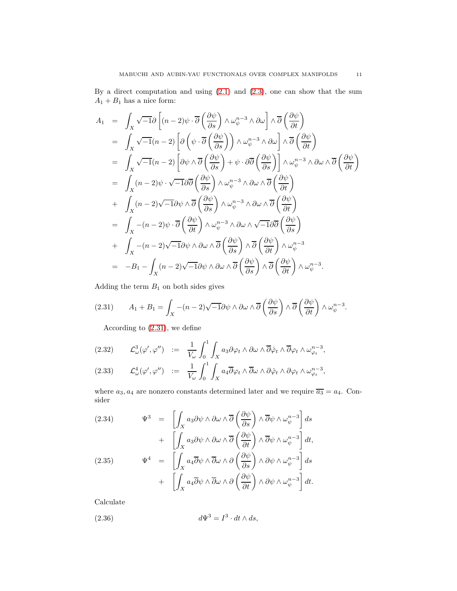By a direct computation and using [\(2.1\)](#page-5-2) and [\(2.3\)](#page-5-3), one can show that the sum  ${\cal A}_1 + {\cal B}_1$  has a nice form:

$$
A_1 = \int_X \sqrt{-1}\partial \left[ (n-2)\psi \cdot \overline{\partial} \left( \frac{\partial \psi}{\partial s} \right) \wedge \omega_{\psi}^{n-3} \wedge \partial \omega \right] \wedge \overline{\partial} \left( \frac{\partial \psi}{\partial t} \right)
$$
  
\n
$$
= \int_X \sqrt{-1}(n-2) \left[ \partial \left( \psi \cdot \overline{\partial} \left( \frac{\partial \psi}{\partial s} \right) \right) \wedge \omega_{\psi}^{n-3} \wedge \partial \omega \right] \wedge \overline{\partial} \left( \frac{\partial \psi}{\partial t} \right)
$$
  
\n
$$
= \int_X \sqrt{-1}(n-2) \left[ \partial \psi \wedge \overline{\partial} \left( \frac{\partial \psi}{\partial s} \right) + \psi \cdot \partial \overline{\partial} \left( \frac{\partial \psi}{\partial s} \right) \right] \wedge \omega_{\psi}^{n-3} \wedge \partial \omega \wedge \overline{\partial} \left( \frac{\partial \psi}{\partial t} \right)
$$
  
\n
$$
= \int_X (n-2)\psi \cdot \sqrt{-1} \partial \overline{\partial} \left( \frac{\partial \psi}{\partial s} \right) \wedge \omega_{\psi}^{n-3} \wedge \partial \omega \wedge \overline{\partial} \left( \frac{\partial \psi}{\partial t} \right)
$$
  
\n
$$
+ \int_X (n-2)\sqrt{-1} \partial \psi \wedge \overline{\partial} \left( \frac{\partial \psi}{\partial s} \right) \wedge \omega_{\psi}^{n-3} \wedge \partial \omega \wedge \overline{\partial} \left( \frac{\partial \psi}{\partial t} \right)
$$
  
\n
$$
= \int_X - (n-2)\psi \cdot \overline{\partial} \left( \frac{\partial \psi}{\partial t} \right) \wedge \omega_{\psi}^{n-3} \wedge \partial \omega \wedge \sqrt{-1} \partial \overline{\partial} \left( \frac{\partial \psi}{\partial s} \right)
$$
  
\n
$$
+ \int_X - (n-2)\sqrt{-1} \partial \psi \wedge \partial \omega \wedge \overline{\partial} \left( \frac{\partial \psi}{\partial s} \right) \wedge \overline{\partial} \left( \frac{\partial \psi}{\partial t} \right) \wedge \omega_{\psi}^{n-3}
$$
  
\n<math display="</math>

Adding the term  $B_1$  on both sides gives

$$
(2.31) \qquad A_1 + B_1 = \int_X - (n-2)\sqrt{-1}\partial\psi \wedge \partial\omega \wedge \overline{\partial}\left(\frac{\partial\psi}{\partial s}\right) \wedge \overline{\partial}\left(\frac{\partial\psi}{\partial t}\right) \wedge \omega_{\psi}^{n-3}.
$$

<span id="page-10-0"></span>According to [\(2.31\)](#page-10-0), we define

$$
(2.32) \qquad \mathcal{L}^3_{\omega}(\varphi', \varphi'') \quad := \quad \frac{1}{V_{\omega}} \int_0^1 \int_X a_3 \partial \varphi_t \wedge \partial \omega \wedge \overline{\partial} \dot{\varphi}_t \wedge \overline{\partial} \varphi_t \wedge \omega_{\varphi_t}^{n-3},
$$

$$
(2.33) \qquad \mathcal{L}^4_{\omega}(\varphi', \varphi'') \quad := \quad \frac{1}{V_{\omega}} \int_0^1 \int_X a_4 \overline{\partial} \varphi_t \wedge \overline{\partial} \omega \wedge \partial \dot{\varphi}_t \wedge \partial \varphi_t \wedge \omega_{\varphi_t}^{n-3},
$$

where  $a_3, a_4$  are nonzero constants determined later and we require  $\overline{a_3} = a_4$ . Consider

(2.34) 
$$
\Psi^3 = \left[ \int_X a_3 \partial \psi \wedge \partial \omega \wedge \overline{\partial} \left( \frac{\partial \psi}{\partial s} \right) \wedge \overline{\partial} \psi \wedge \omega_{\psi}^{n-3} \right] ds + \left[ \int_X a_3 \partial \psi \wedge \partial \omega \wedge \overline{\partial} \left( \frac{\partial \psi}{\partial t} \right) \wedge \overline{\partial} \psi \wedge \omega_{\psi}^{n-3} \right] dt, (2.35) 
$$
\Psi^4 = \left[ \int_X a_4 \overline{\partial} \psi \wedge \overline{\partial} \omega \wedge \partial \left( \frac{\partial \psi}{\partial s} \right) \wedge \partial \psi \wedge \omega_{\psi}^{n-3} \right] ds + \left[ \int_X a_4 \overline{\partial} \psi \wedge \overline{\partial} \omega \wedge \partial \left( \frac{\partial \psi}{\partial t} \right) \wedge \partial \psi \wedge \omega_{\psi}^{n-3} \right] dt.
$$
$$

Calculate

(2.36) 
$$
d\Psi^3 = I^3 \cdot dt \wedge ds,
$$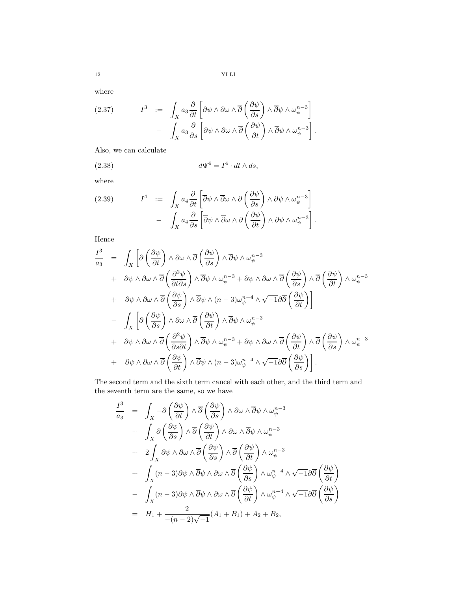where

(2.37) 
$$
I^3 := \int_X a_3 \frac{\partial}{\partial t} \left[ \partial \psi \wedge \partial \omega \wedge \overline{\partial} \left( \frac{\partial \psi}{\partial s} \right) \wedge \overline{\partial} \psi \wedge \omega_{\psi}^{n-3} \right] - \int_X a_3 \frac{\partial}{\partial s} \left[ \partial \psi \wedge \partial \omega \wedge \overline{\partial} \left( \frac{\partial \psi}{\partial t} \right) \wedge \overline{\partial} \psi \wedge \omega_{\psi}^{n-3} \right].
$$

Also, we can calculate

(2.38) 
$$
d\Psi^4 = I^4 \cdot dt \wedge ds,
$$

where

(2.39) 
$$
I^4 := \int_X a_4 \frac{\partial}{\partial t} \left[ \overline{\partial} \psi \wedge \overline{\partial} \omega \wedge \partial \left( \frac{\partial \psi}{\partial s} \right) \wedge \partial \psi \wedge \omega_{\psi}^{n-3} \right] - \int_X a_4 \frac{\partial}{\partial s} \left[ \overline{\partial} \psi \wedge \overline{\partial} \omega \wedge \partial \left( \frac{\partial \psi}{\partial t} \right) \wedge \partial \psi \wedge \omega_{\psi}^{n-3} \right].
$$

Hence

$$
\frac{I^3}{a_3} = \int_X \left[ \partial \left( \frac{\partial \psi}{\partial t} \right) \wedge \partial \omega \wedge \overline{\partial} \left( \frac{\partial \psi}{\partial s} \right) \wedge \overline{\partial} \psi \wedge \omega_{\psi}^{n-3} \right. \\
\left. + \partial \psi \wedge \partial \omega \wedge \overline{\partial} \left( \frac{\partial^2 \psi}{\partial t \partial s} \right) \wedge \overline{\partial} \psi \wedge \omega_{\psi}^{n-3} + \partial \psi \wedge \partial \omega \wedge \overline{\partial} \left( \frac{\partial \psi}{\partial s} \right) \wedge \overline{\partial} \left( \frac{\partial \psi}{\partial t} \right) \wedge \omega_{\psi}^{n-3} \right. \\
\left. + \partial \psi \wedge \partial \omega \wedge \overline{\partial} \left( \frac{\partial \psi}{\partial s} \right) \wedge \overline{\partial} \psi \wedge (n-3) \omega_{\psi}^{n-4} \wedge \sqrt{-1} \partial \overline{\partial} \left( \frac{\partial \psi}{\partial t} \right) \right]
$$
\n
$$
- \int_X \left[ \partial \left( \frac{\partial \psi}{\partial s} \right) \wedge \partial \omega \wedge \overline{\partial} \left( \frac{\partial \psi}{\partial t} \right) \wedge \overline{\partial} \psi \wedge \omega_{\psi}^{n-3} \right. \\
\left. + \partial \psi \wedge \partial \omega \wedge \overline{\partial} \left( \frac{\partial^2 \psi}{\partial s \partial t} \right) \wedge \overline{\partial} \psi \wedge \omega_{\psi}^{n-3} + \partial \psi \wedge \partial \omega \wedge \overline{\partial} \left( \frac{\partial \psi}{\partial t} \right) \wedge \overline{\partial} \left( \frac{\partial \psi}{\partial s} \right) \wedge \omega_{\psi}^{n-3} \right. \\
\left. + \partial \psi \wedge \partial \omega \wedge \overline{\partial} \left( \frac{\partial \psi}{\partial t} \right) \wedge \overline{\partial} \psi \wedge (n-3) \omega_{\psi}^{n-4} \wedge \sqrt{-1} \partial \overline{\partial} \left( \frac{\partial \psi}{\partial s} \right) \right].
$$

The second term and the sixth term cancel with each other, and the third term and the seventh term are the same, so we have

$$
\frac{I^3}{a_3} = \int_X -\partial \left(\frac{\partial \psi}{\partial t}\right) \wedge \overline{\partial} \left(\frac{\partial \psi}{\partial s}\right) \wedge \partial \omega \wedge \overline{\partial} \psi \wedge \omega_{\psi}^{n-3} \n+ \int_X \partial \left(\frac{\partial \psi}{\partial s}\right) \wedge \overline{\partial} \left(\frac{\partial \psi}{\partial t}\right) \wedge \partial \omega \wedge \overline{\partial} \psi \wedge \omega_{\psi}^{n-3} \n+ 2 \int_X \partial \psi \wedge \partial \omega \wedge \overline{\partial} \left(\frac{\partial \psi}{\partial s}\right) \wedge \overline{\partial} \left(\frac{\partial \psi}{\partial t}\right) \wedge \omega_{\psi}^{n-3} \n+ \int_X (n-3) \partial \psi \wedge \overline{\partial} \psi \wedge \partial \omega \wedge \overline{\partial} \left(\frac{\partial \psi}{\partial s}\right) \wedge \omega_{\psi}^{n-4} \wedge \sqrt{-1} \partial \overline{\partial} \left(\frac{\partial \psi}{\partial t}\right) \n- \int_X (n-3) \partial \psi \wedge \overline{\partial} \psi \wedge \partial \omega \wedge \overline{\partial} \left(\frac{\partial \psi}{\partial t}\right) \wedge \omega_{\psi}^{n-4} \wedge \sqrt{-1} \partial \overline{\partial} \left(\frac{\partial \psi}{\partial s}\right) \n= H_1 + \frac{2}{-(n-2)\sqrt{-1}} (A_1 + B_1) + A_2 + B_2,
$$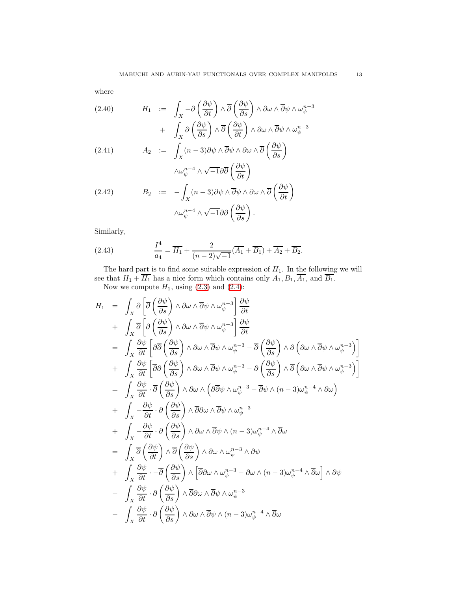where

<span id="page-12-0"></span>(2.40) 
$$
H_1 := \int_X -\partial \left(\frac{\partial \psi}{\partial t}\right) \wedge \overline{\partial} \left(\frac{\partial \psi}{\partial s}\right) \wedge \partial \omega \wedge \overline{\partial} \psi \wedge \omega_{\psi}^{n-3} + \int_X \partial \left(\frac{\partial \psi}{\partial s}\right) \wedge \overline{\partial} \left(\frac{\partial \psi}{\partial t}\right) \wedge \partial \omega \wedge \overline{\partial} \psi \wedge \omega_{\psi}^{n-3}
$$

(2.41) 
$$
A_2 := \int_X (n-3)\partial\psi \wedge \overline{\partial}\psi \wedge \partial\omega \wedge \overline{\partial}\left(\frac{\partial\psi}{\partial s}\right)
$$

$$
\wedge \omega_{\psi}^{n-4} \wedge \sqrt{-1}\partial\overline{\partial}\left(\frac{\partial\psi}{\partial t}\right)
$$

(2.42) 
$$
B_2 := -\int_X (n-3)\partial \psi \wedge \overline{\partial} \psi \wedge \partial \omega \wedge \overline{\partial} \left(\frac{\partial \psi}{\partial t}\right)
$$

$$
\wedge \omega_{\psi}^{n-4} \wedge \sqrt{-1} \partial \overline{\partial} \left(\frac{\partial \psi}{\partial s}\right).
$$

Similarly,

(2.43) 
$$
\frac{I^4}{a_4} = \overline{H_1} + \frac{2}{(n-2)\sqrt{-1}}(\overline{A_1} + \overline{B_1}) + \overline{A_2} + \overline{B_2}.
$$

The hard part is to find some suitable expression of  $H_1$ . In the following we will see that  $H_1 + H_1$  has a nice form which contains only  $A_1, B_1, A_1$ , and  $B_1$ .

Now we compute  $H_1$ , using  $(2.3)$  and  $(2.4)$ :

$$
H_{1} = \int_{X} \partial \left[ \overline{\partial} \left( \frac{\partial \psi}{\partial s} \right) \wedge \partial \omega \wedge \overline{\partial} \psi \wedge \omega_{\psi}^{n-3} \right] \frac{\partial \psi}{\partial t} + \int_{X} \overline{\partial} \left[ \partial \left( \frac{\partial \psi}{\partial s} \right) \wedge \partial \omega \wedge \overline{\partial} \psi \wedge \omega_{\psi}^{n-3} \right] \frac{\partial \psi}{\partial t} = \int_{X} \frac{\partial \psi}{\partial t} \left[ \partial \overline{\partial} \left( \frac{\partial \psi}{\partial s} \right) \wedge \partial \omega \wedge \overline{\partial} \psi \wedge \omega_{\psi}^{n-3} - \overline{\partial} \left( \frac{\partial \psi}{\partial s} \right) \wedge \partial \left( \partial \omega \wedge \overline{\partial} \psi \wedge \omega_{\psi}^{n-3} \right) \right] + \int_{X} \frac{\partial \psi}{\partial t} \left[ \overline{\partial} \partial \left( \frac{\partial \psi}{\partial s} \right) \wedge \partial \omega \wedge \overline{\partial} \psi \wedge \omega_{\psi}^{n-3} - \partial \left( \frac{\partial \psi}{\partial s} \right) \wedge \overline{\partial} \left( \partial \omega \wedge \overline{\partial} \psi \wedge \omega_{\psi}^{n-3} \right) \right] = \int_{X} \frac{\partial \psi}{\partial t} \cdot \overline{\partial} \left( \frac{\partial \psi}{\partial s} \right) \wedge \partial \omega \wedge \left( \partial \overline{\partial} \psi \wedge \omega_{\psi}^{n-3} - \overline{\partial} \psi \wedge (n-3) \omega_{\psi}^{n-4} \wedge \partial \omega \right) + \int_{X} - \frac{\partial \psi}{\partial t} \cdot \partial \left( \frac{\partial \psi}{\partial s} \right) \wedge \overline{\partial} \partial \omega \wedge \overline{\partial} \psi \wedge \omega_{\psi}^{n-3} + \int_{X} - \frac{\partial \psi}{\partial t} \cdot \partial \left( \frac{\partial \psi}{\partial s} \right) \wedge \partial \omega \wedge \overline{\partial} \psi \wedge (n-3) \omega_{\psi}^{n-4} \wedge \overline{\partial} \omega \right) = \int_{X} \overline
$$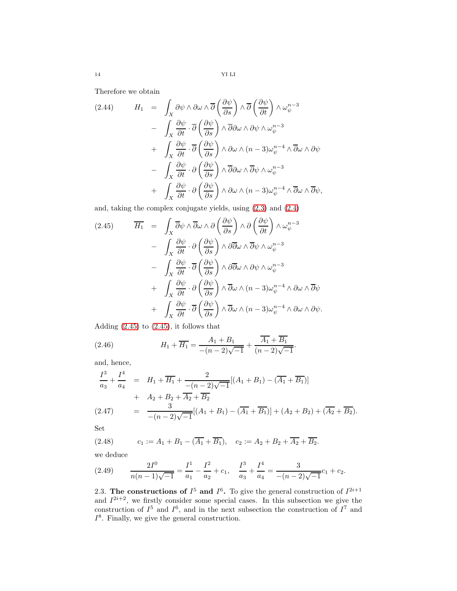14 YI LI

Therefore we obtain

<span id="page-13-3"></span>
$$
(2.44) \tH_1 = \int_X \partial \psi \wedge \partial \omega \wedge \overline{\partial} \left( \frac{\partial \psi}{\partial s} \right) \wedge \overline{\partial} \left( \frac{\partial \psi}{\partial t} \right) \wedge \omega_{\psi}^{n-3}
$$
  

$$
- \int_X \frac{\partial \psi}{\partial t} \cdot \overline{\partial} \left( \frac{\partial \psi}{\partial s} \right) \wedge \overline{\partial} \partial \omega \wedge \partial \psi \wedge \omega_{\psi}^{n-3}
$$
  

$$
+ \int_X \frac{\partial \psi}{\partial t} \cdot \overline{\partial} \left( \frac{\partial \psi}{\partial s} \right) \wedge \partial \omega \wedge (n-3) \omega_{\psi}^{n-4} \wedge \overline{\partial} \omega \wedge \partial \psi
$$
  

$$
- \int_X \frac{\partial \psi}{\partial t} \cdot \partial \left( \frac{\partial \psi}{\partial s} \right) \wedge \overline{\partial} \partial \omega \wedge \overline{\partial} \psi \wedge \omega_{\psi}^{n-3}
$$
  

$$
+ \int_X \frac{\partial \psi}{\partial t} \cdot \partial \left( \frac{\partial \psi}{\partial s} \right) \wedge \partial \omega \wedge (n-3) \omega_{\psi}^{n-4} \wedge \overline{\partial} \omega \wedge \overline{\partial} \psi,
$$

and, taking the complex conjugate yields, using [\(2.3\)](#page-5-3) and [\(2.4\)](#page-5-4)

<span id="page-13-2"></span>
$$
(2.45) \qquad \overline{H}_1 = \int_X \overline{\partial} \psi \wedge \overline{\partial} \omega \wedge \partial \left(\frac{\partial \psi}{\partial s}\right) \wedge \partial \left(\frac{\partial \psi}{\partial t}\right) \wedge \omega_{\psi}^{n-3} - \int_X \frac{\partial \psi}{\partial t} \cdot \partial \left(\frac{\partial \psi}{\partial s}\right) \wedge \partial \overline{\partial} \omega \wedge \overline{\partial} \psi \wedge \omega_{\psi}^{n-3} - \int_X \frac{\partial \psi}{\partial t} \cdot \overline{\partial} \left(\frac{\partial \psi}{\partial s}\right) \wedge \partial \overline{\partial} \omega \wedge \partial \psi \wedge \omega_{\psi}^{n-3} + \int_X \frac{\partial \psi}{\partial t} \cdot \partial \left(\frac{\partial \psi}{\partial s}\right) \wedge \overline{\partial} \omega \wedge (n-3) \omega_{\psi}^{n-4} \wedge \partial \omega \wedge \overline{\partial} \psi + \int_X \frac{\partial \psi}{\partial t} \cdot \overline{\partial} \left(\frac{\partial \psi}{\partial s}\right) \wedge \overline{\partial} \omega \wedge (n-3) \omega_{\psi}^{n-4} \wedge \partial \omega \wedge \partial \psi.
$$

Adding [\(2.45\)](#page-13-2) to [\(2.45\)](#page-13-2), it follows that

(2.46) 
$$
H_1 + \overline{H_1} = \frac{A_1 + B_1}{-(n-2)\sqrt{-1}} + \frac{A_1 + B_1}{(n-2)\sqrt{-1}}.
$$

and, hence,

$$
\frac{I^3}{a_3} + \frac{I^4}{a_4} = H_1 + \overline{H_1} + \frac{2}{-(n-2)\sqrt{-1}}[(A_1 + B_1) - (\overline{A_1} + \overline{B_1})]
$$
  
+  $A_2 + B_2 + \overline{A_2} + \overline{B_2}$   
(2.47) =  $\frac{3}{-(n-2)\sqrt{-1}}[(A_1 + B_1) - (\overline{A_1} + \overline{B_1})] + (A_2 + B_2) + (\overline{A_2} + \overline{B_2}).$ 

Set

(2.48) 
$$
c_1 := A_1 + B_1 - (\overline{A_1} + \overline{B_1}), \quad c_2 := A_2 + B_2 + \overline{A_2} + \overline{B_2}.
$$

we deduce

<span id="page-13-1"></span>
$$
(2.49) \qquad \frac{2I^0}{n(n-1)\sqrt{-1}} = \frac{I^1}{a_1} - \frac{I^2}{a_2} + c_1, \quad \frac{I^3}{a_3} + \frac{I^4}{a_4} = \frac{3}{-(n-2)\sqrt{-1}}c_1 + c_2.
$$

<span id="page-13-0"></span>2.3. The constructions of  $I^5$  and  $I^6$ . To give the general construction of  $I^{2i+1}$ and  $I^{2i+2}$ , we firstly consider some special cases. In this subsection we give the construction of  $I^5$  and  $I^6$ , and in the next subsection the construction of  $I^7$  and  $I^8$ . Finally, we give the general construction.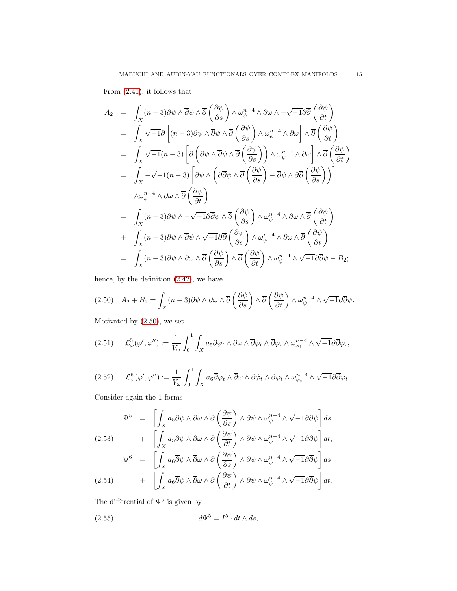From [\(2.41\)](#page-12-0), it follows that

$$
A_2 = \int_X (n-3)\partial\psi \wedge \overline{\partial}\psi \wedge \overline{\partial}\left(\frac{\partial\psi}{\partial s}\right) \wedge \omega_{\psi}^{n-4} \wedge \partial\omega \wedge -\sqrt{-1}\partial\overline{\partial}\left(\frac{\partial\psi}{\partial t}\right)
$$
  
\n
$$
= \int_X \sqrt{-1}\partial\left[(n-3)\partial\psi \wedge \overline{\partial}\psi \wedge \overline{\partial}\left(\frac{\partial\psi}{\partial s}\right) \wedge \omega_{\psi}^{n-4} \wedge \partial\omega\right] \wedge \overline{\partial}\left(\frac{\partial\psi}{\partial t}\right)
$$
  
\n
$$
= \int_X \sqrt{-1}(n-3)\left[\partial\left(\partial\psi \wedge \overline{\partial}\psi \wedge \overline{\partial}\left(\frac{\partial\psi}{\partial s}\right)\right) \wedge \omega_{\psi}^{n-4} \wedge \partial\omega\right] \wedge \overline{\partial}\left(\frac{\partial\psi}{\partial t}\right)
$$
  
\n
$$
= \int_X -\sqrt{-1}(n-3)\left[\partial\psi \wedge \left(\partial\overline{\partial}\psi \wedge \overline{\partial}\left(\frac{\partial\psi}{\partial s}\right) - \overline{\partial}\psi \wedge \partial\overline{\partial}\left(\frac{\partial\psi}{\partial s}\right)\right)\right]
$$
  
\n
$$
\wedge \omega_{\psi}^{n-4} \wedge \partial\omega \wedge \overline{\partial}\left(\frac{\partial\psi}{\partial t}\right)
$$
  
\n
$$
= \int_X (n-3)\partial\psi \wedge -\sqrt{-1}\partial\overline{\partial}\psi \wedge \overline{\partial}\left(\frac{\partial\psi}{\partial s}\right) \wedge \omega_{\psi}^{n-4} \wedge \partial\omega \wedge \overline{\partial}\left(\frac{\partial\psi}{\partial t}\right)
$$
  
\n
$$
+ \int_X (n-3)\partial\psi \wedge \overline{\partial}\psi \wedge \sqrt{-1}\partial\overline{\partial}\left(\frac{\partial\psi}{\partial s}\right) \wedge \omega_{\psi}^{n-4} \wedge \partial\omega \wedge \overline{\partial}\left(\frac{\partial\psi}{\partial t}\right)
$$
  
\n
$$
= \int_X (n-3)\partial\psi \wedge \partial\omega \wedge \overline{\partial}\left(\frac{\partial\psi}{\partial s}\right) \wedge \overline{\partial}\left
$$

hence, by the definition [\(2.42\)](#page-12-0), we have

<span id="page-14-0"></span>
$$
(2.50) \quad A_2 + B_2 = \int_X (n-3)\partial\psi \wedge \partial\omega \wedge \overline{\partial} \left(\frac{\partial\psi}{\partial s}\right) \wedge \overline{\partial} \left(\frac{\partial\psi}{\partial t}\right) \wedge \omega_{\psi}^{n-4} \wedge \sqrt{-1}\partial\overline{\partial}\psi.
$$

Motivated by [\(2.50\)](#page-14-0), we set

$$
(2.51) \qquad \mathcal{L}_{\omega}^{5}(\varphi', \varphi'') := \frac{1}{V_{\omega}} \int_{0}^{1} \int_{X} a_{5} \partial \varphi_{t} \wedge \partial \omega \wedge \overline{\partial} \dot{\varphi}_{t} \wedge \overline{\partial} \varphi_{t} \wedge \omega_{\varphi_{t}}^{n-4} \wedge \sqrt{-1} \partial \overline{\partial} \varphi_{t},
$$

$$
(2.52) \qquad \mathcal{L}^6_{\omega}(\varphi', \varphi'') := \frac{1}{V_{\omega}} \int_0^1 \int_X a_6 \overline{\partial} \varphi_t \wedge \overline{\partial} \omega \wedge \partial \dot{\varphi}_t \wedge \partial \varphi_t \wedge \omega_{\varphi_t}^{n-4} \wedge \sqrt{-1} \partial \overline{\partial} \varphi_t.
$$

Consider again the 1-forms

$$
\Psi^5 = \left[ \int_X a_5 \partial \psi \wedge \partial \omega \wedge \overline{\partial} \left( \frac{\partial \psi}{\partial s} \right) \wedge \overline{\partial} \psi \wedge \omega_{\psi}^{n-4} \wedge \sqrt{-1} \partial \overline{\partial} \psi \right] ds
$$
  
(2.53) 
$$
+ \left[ \int_X a_5 \partial \psi \wedge \partial \omega \wedge \overline{\partial} \left( \frac{\partial \psi}{\partial t} \right) \wedge \overline{\partial} \psi \wedge \omega_{\psi}^{n-4} \wedge \sqrt{-1} \partial \overline{\partial} \psi \right] dt,
$$

$$
\Psi^{6} = \left[ \int_{X} a_{6} \overline{\partial} \psi \wedge \overline{\partial} \omega \wedge \partial \left( \frac{\partial \psi}{\partial s} \right) \wedge \partial \psi \wedge \omega_{\psi}^{n-4} \wedge \sqrt{-1} \partial \overline{\partial} \psi \right] ds
$$
  
(2.54) 
$$
+ \left[ \int_{X} a_{6} \overline{\partial} \psi \wedge \overline{\partial} \omega \wedge \partial \left( \frac{\partial \psi}{\partial t} \right) \wedge \partial \psi \wedge \omega_{\psi}^{n-4} \wedge \sqrt{-1} \partial \overline{\partial} \psi \right] dt.
$$

The differential of  $\Psi^5$  is given by

(2.55) 
$$
d\Psi^5 = I^5 \cdot dt \wedge ds,
$$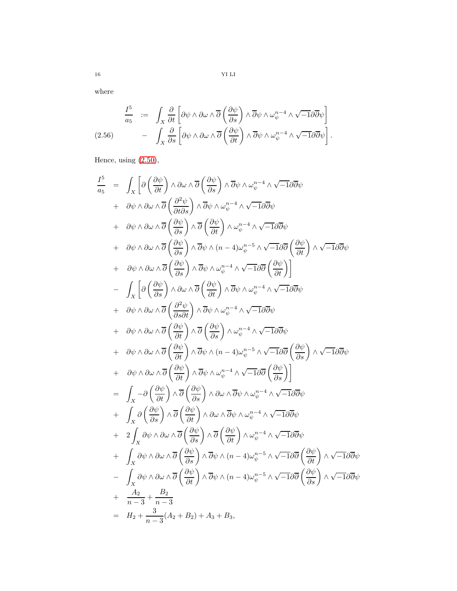16 YI LI

where

$$
\frac{I^5}{a_5} := \int_X \frac{\partial}{\partial t} \left[ \partial \psi \wedge \partial \omega \wedge \overline{\partial} \left( \frac{\partial \psi}{\partial s} \right) \wedge \overline{\partial} \psi \wedge \omega_{\psi}^{n-4} \wedge \sqrt{-1} \partial \overline{\partial} \psi \right]
$$
  
(2.56) 
$$
- \int_X \frac{\partial}{\partial s} \left[ \partial \psi \wedge \partial \omega \wedge \overline{\partial} \left( \frac{\partial \psi}{\partial t} \right) \wedge \overline{\partial} \psi \wedge \omega_{\psi}^{n-4} \wedge \sqrt{-1} \partial \overline{\partial} \psi \right].
$$

Hence, using [\(2.50\)](#page-14-0),

$$
\frac{I^5}{a_5} = \int_X \left[ \partial \left( \frac{\partial \psi}{\partial t} \right) \wedge \partial \omega \wedge \overline{\partial} \left( \frac{\partial \psi}{\partial s} \right) \wedge \overline{\partial} \psi \wedge \omega_{\psi}^{n-4} \wedge \sqrt{-1} \partial \overline{\partial} \psi \right. \\
\left. + \partial \psi \wedge \partial \omega \wedge \overline{\partial} \left( \frac{\partial^2 \psi}{\partial ts} \right) \wedge \overline{\partial} \psi \wedge \omega_{\psi}^{n-4} \wedge \sqrt{-1} \partial \overline{\partial} \psi \right. \\
\left. + \partial \psi \wedge \partial \omega \wedge \overline{\partial} \left( \frac{\partial \psi}{\partial s} \right) \wedge \overline{\partial} \left( \frac{\partial \psi}{\partial t} \right) \wedge \omega_{\psi}^{n-4} \wedge \sqrt{-1} \partial \overline{\partial} \psi \right. \\
\left. + \partial \psi \wedge \partial \omega \wedge \overline{\partial} \left( \frac{\partial \psi}{\partial s} \right) \wedge \overline{\partial} \psi \wedge (n-4) \omega_{\psi}^{n-5} \wedge \sqrt{-1} \partial \overline{\partial} \left( \frac{\partial \psi}{\partial t} \right) \wedge \sqrt{-1} \partial \overline{\partial} \psi \right. \\
\left. + \partial \psi \wedge \partial \omega \wedge \overline{\partial} \left( \frac{\partial \psi}{\partial s} \right) \wedge \overline{\partial} \psi \wedge \omega_{\psi}^{n-4} \wedge \sqrt{-1} \partial \overline{\partial} \left( \frac{\partial \psi}{\partial t} \right) \right] \\
- \int_X \left[ \partial \left( \frac{\partial \psi}{\partial s} \right) \wedge \partial \omega \wedge \overline{\partial} \left( \frac{\partial \psi}{\partial t} \right) \wedge \overline{\partial} \psi \wedge \omega_{\psi}^{n-4} \wedge \sqrt{-1} \partial \overline{\partial} \psi \right. \\
\left. + \partial \psi \wedge \partial \omega \wedge \overline{\partial} \left( \frac{\partial \psi}{\partial s} \right) \wedge \overline{\partial} \psi \wedge \omega_{\psi}^{n-4} \wedge \sqrt{-1} \partial \overline{\partial} \psi \right. \\
\left. + \partial \psi \wedge \partial \omega \wedge \overline{\partial} \left(
$$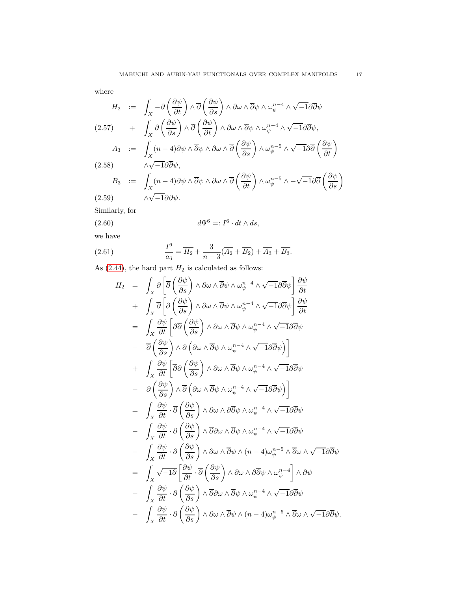where

$$
H_2 := \int_X -\partial \left(\frac{\partial \psi}{\partial t}\right) \wedge \overline{\partial} \left(\frac{\partial \psi}{\partial s}\right) \wedge \partial \omega \wedge \overline{\partial} \psi \wedge \omega_{\psi}^{n-4} \wedge \sqrt{-1} \partial \overline{\partial} \psi
$$
  
(2.57) 
$$
+ \int_X \partial \left(\frac{\partial \psi}{\partial s}\right) \wedge \overline{\partial} \left(\frac{\partial \psi}{\partial t}\right) \wedge \partial \omega \wedge \overline{\partial} \psi \wedge \omega_{\psi}^{n-4} \wedge \sqrt{-1} \partial \overline{\partial} \psi,
$$

$$
A_3 := \int_X (n-4) \partial \psi \wedge \overline{\partial} \psi \wedge \partial \omega \wedge \overline{\partial} \left(\frac{\partial \psi}{\partial s}\right) \wedge \omega_{\psi}^{n-5} \wedge \sqrt{-1} \partial \overline{\partial} \left(\frac{\partial \psi}{\partial t}\right)
$$
  
(2.58) 
$$
\wedge \sqrt{-1} \partial \overline{\partial} \psi,
$$

$$
B_3 := \int_X (n-4) \partial \psi \wedge \overline{\partial} \psi \wedge \partial \omega \wedge \overline{\partial} \left(\frac{\partial \psi}{\partial t}\right) \wedge \omega_{\psi}^{n-5} \wedge -\sqrt{-1} \partial \overline{\partial} \left(\frac{\partial \psi}{\partial s}\right)
$$
  
(2.59) 
$$
\wedge \sqrt{-1} \partial \overline{\partial} \psi.
$$

Similarly, for

(2.60) 
$$
d\Psi^6 =: I^6 \cdot dt \wedge ds,
$$

we have

(2.61) 
$$
\frac{I^6}{a_6} = \overline{H_2} + \frac{3}{n-3}(\overline{A_2} + \overline{B_2}) + \overline{A_3} + \overline{B_3}.
$$

As  $(2.44)$ , the hard part  $H_2$  is calculated as follows:

$$
H_2 = \int_X \partial \left[ \overline{\partial} \left( \frac{\partial \psi}{\partial s} \right) \wedge \partial \omega \wedge \overline{\partial} \psi \wedge \omega_{\psi}^{n-4} \wedge \sqrt{-1} \partial \overline{\partial} \psi \right] \frac{\partial \psi}{\partial t} + \int_X \overline{\partial} \left[ \partial \left( \frac{\partial \psi}{\partial s} \right) \wedge \partial \omega \wedge \overline{\partial} \psi \wedge \omega_{\psi}^{n-4} \wedge \sqrt{-1} \partial \overline{\partial} \psi \right] \frac{\partial \psi}{\partial t} = \int_X \frac{\partial \psi}{\partial t} \left[ \partial \overline{\partial} \left( \frac{\partial \psi}{\partial s} \right) \wedge \partial \omega \wedge \overline{\partial} \psi \wedge \omega_{\psi}^{n-4} \wedge \sqrt{-1} \partial \overline{\partial} \psi \right] - \overline{\partial} \left( \frac{\partial \psi}{\partial s} \right) \wedge \partial \left( \partial \omega \wedge \overline{\partial} \psi \wedge \omega_{\psi}^{n-4} \wedge \sqrt{-1} \partial \overline{\partial} \psi \right) + \int_X \frac{\partial \psi}{\partial t} \left[ \overline{\partial} \partial \left( \frac{\partial \psi}{\partial s} \right) \wedge \partial \omega \wedge \overline{\partial} \psi \wedge \omega_{\psi}^{n-4} \wedge \sqrt{-1} \partial \overline{\partial} \psi \right) - \partial \left( \frac{\partial \psi}{\partial s} \right) \wedge \overline{\partial} \left( \partial \omega \wedge \overline{\partial} \psi \wedge \omega_{\psi}^{n-4} \wedge \sqrt{-1} \partial \overline{\partial} \psi \right) = \int_X \frac{\partial \psi}{\partial t} \cdot \overline{\partial} \left( \frac{\partial \psi}{\partial s} \right) \wedge \partial \omega \wedge \partial \overline{\partial} \psi \wedge \omega_{\psi}^{n-4} \wedge \sqrt{-1} \partial \overline{\partial} \psi - \int_X \frac{\partial \psi}{\partial t} \cdot \partial \left( \frac{\partial \psi}{\partial s} \right) \wedge \overline{\partial} \omega \wedge \overline{\partial} \psi \wedge \omega_{\psi}^{n-4} \wedge \sqrt{-1} \partial \overline{\partial} \psi - \int_X \frac{\partial \psi
$$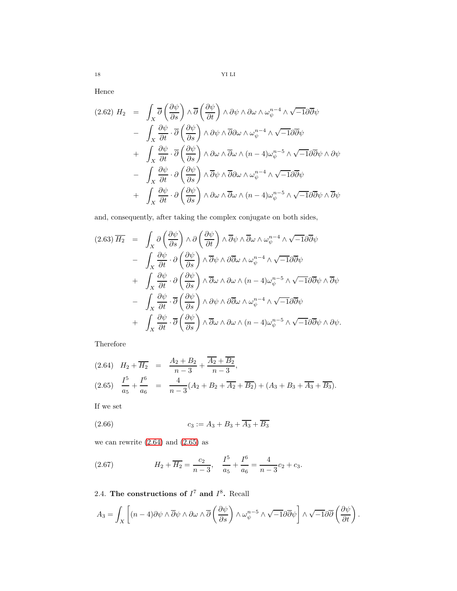Hence

$$
(2.62) \ H_2 = \int_X \overline{\partial} \left( \frac{\partial \psi}{\partial s} \right) \wedge \overline{\partial} \left( \frac{\partial \psi}{\partial t} \right) \wedge \partial \psi \wedge \partial \omega \wedge \omega_{\psi}^{n-4} \wedge \sqrt{-1} \partial \overline{\partial} \psi
$$
  

$$
- \int_X \frac{\partial \psi}{\partial t} \cdot \overline{\partial} \left( \frac{\partial \psi}{\partial s} \right) \wedge \partial \psi \wedge \overline{\partial} \partial \omega \wedge \omega_{\psi}^{n-4} \wedge \sqrt{-1} \partial \overline{\partial} \psi
$$
  

$$
+ \int_X \frac{\partial \psi}{\partial t} \cdot \overline{\partial} \left( \frac{\partial \psi}{\partial s} \right) \wedge \partial \omega \wedge \overline{\partial} \omega \wedge (n-4) \omega_{\psi}^{n-5} \wedge \sqrt{-1} \partial \overline{\partial} \psi \wedge \partial \psi
$$
  

$$
- \int_X \frac{\partial \psi}{\partial t} \cdot \partial \left( \frac{\partial \psi}{\partial s} \right) \wedge \overline{\partial} \psi \wedge \overline{\partial} \partial \omega \wedge \omega_{\psi}^{n-4} \wedge \sqrt{-1} \partial \overline{\partial} \psi
$$
  

$$
+ \int_X \frac{\partial \psi}{\partial t} \cdot \partial \left( \frac{\partial \psi}{\partial s} \right) \wedge \partial \omega \wedge \overline{\partial} \omega \wedge (n-4) \omega_{\psi}^{n-5} \wedge \sqrt{-1} \partial \overline{\partial} \psi \wedge \overline{\partial} \psi
$$

and, consequently, after taking the complex conjugate on both sides,

$$
(2.63) \overline{H_2} = \int_X \partial \left(\frac{\partial \psi}{\partial s}\right) \wedge \partial \left(\frac{\partial \psi}{\partial t}\right) \wedge \overline{\partial} \psi \wedge \overline{\partial} \omega \wedge \omega_{\psi}^{n-4} \wedge \sqrt{-1} \partial \overline{\partial} \psi
$$
  

$$
- \int_X \frac{\partial \psi}{\partial t} \cdot \partial \left(\frac{\partial \psi}{\partial s}\right) \wedge \overline{\partial} \psi \wedge \partial \overline{\partial} \omega \wedge \omega_{\psi}^{n-4} \wedge \sqrt{-1} \partial \overline{\partial} \psi
$$
  

$$
+ \int_X \frac{\partial \psi}{\partial t} \cdot \partial \left(\frac{\partial \psi}{\partial s}\right) \wedge \overline{\partial} \omega \wedge \partial \omega \wedge (n-4) \omega_{\psi}^{n-5} \wedge \sqrt{-1} \partial \overline{\partial} \psi \wedge \overline{\partial} \psi
$$
  

$$
- \int_X \frac{\partial \psi}{\partial t} \cdot \overline{\partial} \left(\frac{\partial \psi}{\partial s}\right) \wedge \partial \psi \wedge \partial \overline{\partial} \omega \wedge \omega_{\psi}^{n-4} \wedge \sqrt{-1} \partial \overline{\partial} \psi
$$
  

$$
+ \int_X \frac{\partial \psi}{\partial t} \cdot \overline{\partial} \left(\frac{\partial \psi}{\partial s}\right) \wedge \overline{\partial} \omega \wedge \partial \omega \wedge (n-4) \omega_{\psi}^{n-5} \wedge \sqrt{-1} \partial \overline{\partial} \psi \wedge \partial \psi.
$$

Therefore

<span id="page-17-1"></span>
$$
(2.64) \quad H_2 + \overline{H_2} = \frac{A_2 + B_2}{n - 3} + \frac{\overline{A_2} + \overline{B_2}}{n - 3},
$$
\n
$$
(2.65) \quad \frac{I^5}{a_5} + \frac{I^6}{a_6} = \frac{4}{n - 3}(A_2 + B_2 + \overline{A_2} + \overline{B_2}) + (A_3 + B_3 + \overline{A_3} + \overline{B_3}).
$$

If we set

(2.66) 
$$
c_3 := A_3 + B_3 + \overline{A_3} + \overline{B_3}
$$

we can rewrite [\(2.64\)](#page-17-1) and [\(2.65\)](#page-17-1) as

(2.67) 
$$
H_2 + \overline{H_2} = \frac{c_2}{n-3}, \quad \frac{I^5}{a_5} + \frac{I^6}{a_6} = \frac{4}{n-3}c_2 + c_3.
$$

<span id="page-17-0"></span>2.4. The constructions of  $I^7$  and  $I^8$ . Recall

$$
A_3 = \int_X \left[ (n-4) \partial \psi \wedge \overline{\partial} \psi \wedge \partial \omega \wedge \overline{\partial} \left( \frac{\partial \psi}{\partial s} \right) \wedge \omega_{\psi}^{n-5} \wedge \sqrt{-1} \partial \overline{\partial} \psi \right] \wedge \sqrt{-1} \partial \overline{\partial} \left( \frac{\partial \psi}{\partial t} \right).
$$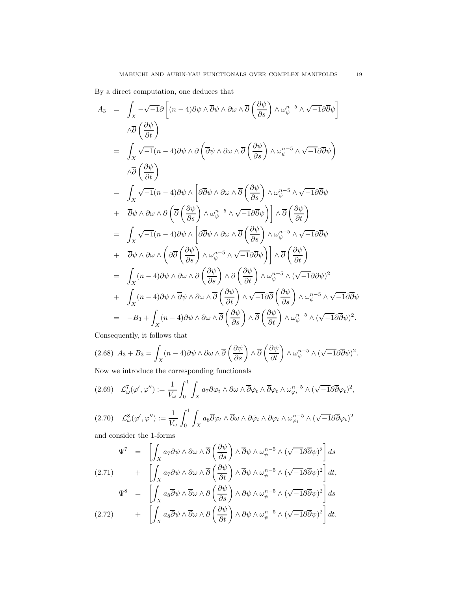By a direct computation, one deduces that

$$
A_3 = \int_X -\sqrt{-1}\partial \left[ (n-4)\partial \psi \wedge \overline{\partial} \psi \wedge \partial \omega \wedge \overline{\partial} \left( \frac{\partial \psi}{\partial s} \right) \wedge \omega_{\psi}^{n-5} \wedge \sqrt{-1}\partial \overline{\partial} \psi \right]
$$
  
\n
$$
\wedge \overline{\partial} \left( \frac{\partial \psi}{\partial t} \right)
$$
  
\n
$$
= \int_X \sqrt{-1}(n-4)\partial \psi \wedge \partial \left( \overline{\partial} \psi \wedge \partial \omega \wedge \overline{\partial} \left( \frac{\partial \psi}{\partial s} \right) \wedge \omega_{\psi}^{n-5} \wedge \sqrt{-1}\partial \overline{\partial} \psi \right)
$$
  
\n
$$
\wedge \overline{\partial} \left( \frac{\partial \psi}{\partial t} \right)
$$
  
\n
$$
= \int_X \sqrt{-1}(n-4)\partial \psi \wedge \left[ \partial \overline{\partial} \psi \wedge \partial \omega \wedge \overline{\partial} \left( \frac{\partial \psi}{\partial s} \right) \wedge \omega_{\psi}^{n-5} \wedge \sqrt{-1}\partial \overline{\partial} \psi \right)
$$
  
\n
$$
+ \overline{\partial} \psi \wedge \partial \omega \wedge \partial \left( \overline{\partial} \left( \frac{\partial \psi}{\partial s} \right) \wedge \omega_{\psi}^{n-5} \wedge \sqrt{-1}\partial \overline{\partial} \psi \right) \right] \wedge \overline{\partial} \left( \frac{\partial \psi}{\partial t} \right)
$$
  
\n
$$
= \int_X \sqrt{-1}(n-4)\partial \psi \wedge \left[ \partial \overline{\partial} \psi \wedge \partial \omega \wedge \overline{\partial} \left( \frac{\partial \psi}{\partial s} \right) \wedge \omega_{\psi}^{n-5} \wedge \sqrt{-1}\partial \overline{\partial} \psi \right)
$$
  
\n
$$
+ \overline{\partial} \psi \wedge \partial \omega \wedge \left( \partial \overline{\partial} \left( \frac{\partial \psi}{\partial s} \right) \wedge \omega_{\psi}^{n-5} \wedge \sqrt{-1}\partial \overline{\partial} \psi \right)
$$
  
\n
$$
= \int_X (n-4)\partial \psi \wedge \partial \omega \wedge \overline{\partial} \left
$$

Consequently, it follows that

$$
(2.68)\ \ A_3 + B_3 = \int_X (n-4)\partial\psi \wedge \partial\omega \wedge \overline{\partial}\left(\frac{\partial\psi}{\partial s}\right) \wedge \overline{\partial}\left(\frac{\partial\psi}{\partial t}\right) \wedge \omega_{\psi}^{n-5} \wedge (\sqrt{-1}\partial\overline{\partial}\psi)^2.
$$

Now we introduce the corresponding functionals

$$
(2.69)\quad \mathcal{L}_{\omega}^7(\varphi',\varphi'') := \frac{1}{V_{\omega}} \int_0^1 \int_X a_7 \partial \varphi_t \wedge \partial \omega \wedge \overline{\partial} \dot{\varphi}_t \wedge \overline{\partial} \varphi_t \wedge \omega_{\varphi_t}^{n-5} \wedge (\sqrt{-1} \partial \overline{\partial} \varphi_t)^2,
$$

$$
(2.70)\quad \mathcal{L}^{8}_{\omega}(\varphi', \varphi'') := \frac{1}{V_{\omega}} \int_{0}^{1} \int_{X} a_{8} \overline{\partial} \varphi_{t} \wedge \overline{\partial} \omega \wedge \partial \dot{\varphi}_{t} \wedge \partial \varphi_{t} \wedge \omega_{\varphi_{t}}^{n-5} \wedge (\sqrt{-1} \partial \overline{\partial} \varphi_{t})^{2}
$$

and consider the 1-forms

$$
\Psi^7 = \left[ \int_X a_7 \partial \psi \wedge \partial \omega \wedge \overline{\partial} \left( \frac{\partial \psi}{\partial s} \right) \wedge \overline{\partial} \psi \wedge \omega_{\psi}^{n-5} \wedge (\sqrt{-1} \partial \overline{\partial} \psi)^2 \right] ds
$$
  
(2.71) 
$$
+ \left[ \int_X a_7 \partial \psi \wedge \partial \omega \wedge \overline{\partial} \left( \frac{\partial \psi}{\partial t} \right) \wedge \overline{\partial} \psi \wedge \omega_{\psi}^{n-5} \wedge (\sqrt{-1} \partial \overline{\partial} \psi)^2 \right] dt,
$$

$$
\Psi^8 = \left[ \int_X a_8 \overline{\partial} \psi \wedge \overline{\partial} \omega \wedge \partial \left( \frac{\partial \psi}{\partial s} \right) \wedge \partial \psi \wedge \omega_{\psi}^{n-5} \wedge (\sqrt{-1} \partial \overline{\partial} \psi)^2 \right] ds
$$
  
(2.72) 
$$
+ \left[ \int_X a_8 \overline{\partial} \psi \wedge \overline{\partial} \omega \wedge \partial \left( \frac{\partial \psi}{\partial t} \right) \wedge \partial \psi \wedge \omega_{\psi}^{n-5} \wedge (\sqrt{-1} \partial \overline{\partial} \psi)^2 \right] dt.
$$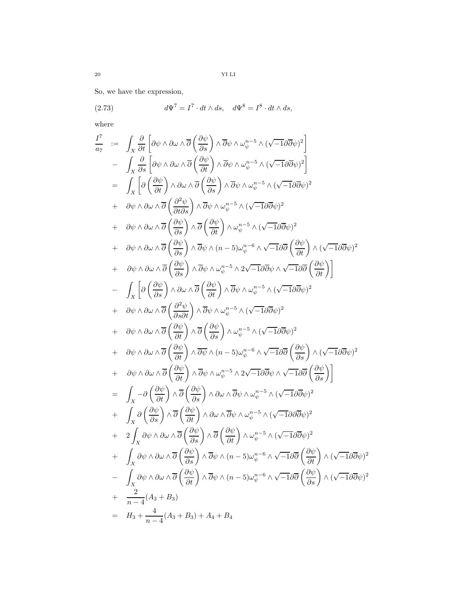So, we have the expression,

(2.73) 
$$
d\Psi^7 = I^7 \cdot dt \wedge ds, \quad d\Psi^8 = I^8 \cdot dt \wedge ds,
$$

where

$$
\frac{I^{7}}{a_{7}} := \int_{X} \frac{\partial}{\partial t} \left[ \partial \psi \wedge \partial \omega \wedge \overline{\partial} \left( \frac{\partial \psi}{\partial s} \right) \wedge \overline{\partial} \psi \wedge \omega_{\psi}^{n-5} \wedge (\sqrt{-1} \partial \overline{\partial} \psi)^{2} \right] \n- \int_{X} \frac{\partial}{\partial s} \left[ \partial \psi \wedge \partial \omega \wedge \overline{\partial} \left( \frac{\partial \psi}{\partial t} \right) \wedge \overline{\partial} \psi \wedge \omega_{\psi}^{n-5} \wedge (\sqrt{-1} \partial \overline{\partial} \psi)^{2} \right] \n= \int_{X} \left[ \partial \left( \frac{\partial \psi}{\partial t} \right) \wedge \partial \omega \wedge \overline{\partial} \left( \frac{\partial \psi}{\partial s} \right) \wedge \overline{\partial} \psi \wedge \omega_{\psi}^{n-5} \wedge (\sqrt{-1} \partial \overline{\partial} \psi)^{2} \right] \n+ \partial \psi \wedge \partial \omega \wedge \overline{\partial} \left( \frac{\partial \psi}{\partial t} \right) \wedge \overline{\partial} \psi \wedge \omega_{\psi}^{n-5} \wedge (\sqrt{-1} \partial \overline{\partial} \psi)^{2} \n+ \partial \psi \wedge \partial \omega \wedge \overline{\partial} \left( \frac{\partial \psi}{\partial s} \right) \wedge \overline{\partial} \psi \wedge \omega_{\psi}^{n-5} \wedge (\sqrt{-1} \partial \overline{\partial} \psi)^{2} \n+ \partial \psi \wedge \partial \omega \wedge \overline{\partial} \left( \frac{\partial \psi}{\partial s} \right) \wedge \overline{\partial} \psi \wedge (n-5) \omega_{\psi}^{n-6} \wedge \sqrt{-1} \partial \overline{\partial} \left( \frac{\partial \psi}{\partial t} \right) \wedge (\sqrt{-1} \partial \overline{\partial} \psi)^{2} \n+ \partial \psi \wedge \partial \omega \wedge \overline{\partial} \left( \frac{\partial \psi}{\partial s} \right) \wedge \overline{\partial} \psi \wedge \omega_{\psi}^{n-5} \wedge 2 \sqrt{-1} \partial \overline{\partial} \psi \wedge \sqrt{-1} \partial \overline{\partial} \left( \frac{\partial \psi}{\
$$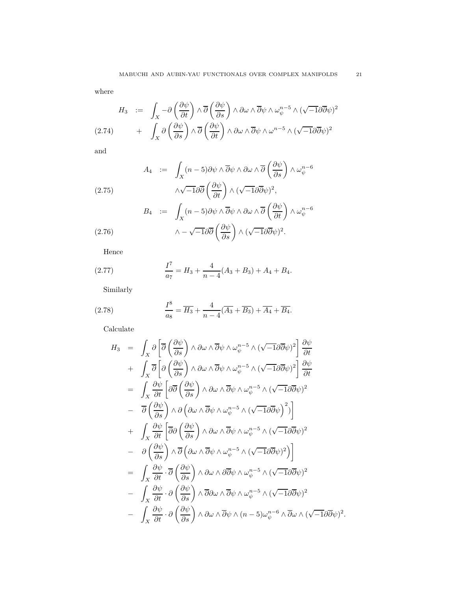where

$$
H_3 := \int_X -\partial \left(\frac{\partial \psi}{\partial t}\right) \wedge \overline{\partial} \left(\frac{\partial \psi}{\partial s}\right) \wedge \partial \omega \wedge \overline{\partial} \psi \wedge \omega_{\psi}^{n-5} \wedge (\sqrt{-1}\partial \overline{\partial} \psi)^2 + \int_X \partial \left(\frac{\partial \psi}{\partial s}\right) \wedge \overline{\partial} \left(\frac{\partial \psi}{\partial t}\right) \wedge \partial \omega \wedge \overline{\partial} \psi \wedge \omega^{n-5} \wedge (\sqrt{-1}\partial \overline{\partial} \psi)^2
$$

and

(2.75) 
$$
A_4 := \int_X (n-5)\partial\psi \wedge \overline{\partial}\psi \wedge \partial\omega \wedge \overline{\partial}\left(\frac{\partial\psi}{\partial s}\right) \wedge \omega_{\psi}^{n-6}
$$

$$
\wedge \sqrt{-1}\partial\overline{\partial}\left(\frac{\partial\psi}{\partial t}\right) \wedge (\sqrt{-1}\partial\overline{\partial}\psi)^2,
$$

$$
B_4 := \int_X (n-5)\partial\psi \wedge \overline{\partial}\psi \wedge \partial\omega \wedge \overline{\partial}\left(\frac{\partial\psi}{\partial t}\right) \wedge \omega_{\psi}^{n-6}
$$

$$
\wedge -\sqrt{-1}\partial\overline{\partial}\left(\frac{\partial\psi}{\partial s}\right) \wedge (\sqrt{-1}\partial\overline{\partial}\psi)^2.
$$

Hence

 $(2.76)$ 

(2.77) 
$$
\frac{I^7}{a_7} = H_3 + \frac{4}{n-4}(A_3 + B_3) + A_4 + B_4.
$$

Similarly

(2.78) 
$$
\frac{I^8}{a_8} = \overline{H_3} + \frac{4}{n-4}(\overline{A_3} + \overline{B_3}) + \overline{A_4} + \overline{B_4}.
$$

Calculate

$$
H_3 = \int_X \partial \left[ \overline{\partial} \left( \frac{\partial \psi}{\partial s} \right) \wedge \partial \omega \wedge \overline{\partial} \psi \wedge \omega_{\psi}^{n-5} \wedge (\sqrt{-1} \partial \overline{\partial} \psi)^2 \right] \frac{\partial \psi}{\partial t} + \int_X \overline{\partial} \left[ \partial \left( \frac{\partial \psi}{\partial s} \right) \wedge \partial \omega \wedge \overline{\partial} \psi \wedge \omega_{\psi}^{n-5} \wedge (\sqrt{-1} \partial \overline{\partial} \psi)^2 \right] \frac{\partial \psi}{\partial t} = \int_X \frac{\partial \psi}{\partial t} \left[ \partial \overline{\partial} \left( \frac{\partial \psi}{\partial s} \right) \wedge \partial \omega \wedge \overline{\partial} \psi \wedge \omega_{\psi}^{n-5} \wedge (\sqrt{-1} \partial \overline{\partial} \psi)^2 \right] - \overline{\partial} \left( \frac{\partial \psi}{\partial s} \right) \wedge \partial \left( \partial \omega \wedge \overline{\partial} \psi \wedge \omega_{\psi}^{n-5} \wedge (\sqrt{-1} \partial \overline{\partial} \psi)^2 \right) + \int_X \frac{\partial \psi}{\partial t} \left[ \overline{\partial} \partial \left( \frac{\partial \psi}{\partial s} \right) \wedge \partial \omega \wedge \overline{\partial} \psi \wedge \omega_{\psi}^{n-5} \wedge (\sqrt{-1} \partial \overline{\partial} \psi)^2 \right] - \partial \left( \frac{\partial \psi}{\partial s} \right) \wedge \overline{\partial} \left( \partial \omega \wedge \overline{\partial} \psi \wedge \omega_{\psi}^{n-5} \wedge (\sqrt{-1} \partial \overline{\partial} \psi)^2 \right) = \int_X \frac{\partial \psi}{\partial t} \cdot \overline{\partial} \left( \frac{\partial \psi}{\partial s} \right) \wedge \partial \omega \wedge \partial \overline{\partial} \psi \wedge \omega_{\psi}^{n-5} \wedge (\sqrt{-1} \partial \overline{\partial} \psi)^2 - \int_X \frac{\partial \psi}{\partial t} \cdot \partial \left( \frac{\partial \psi}{\partial s} \right) \wedge \overline{\partial} \omega \wedge \overline{\partial} \psi \wedge \omega_{\psi}^{n-5} \wedge (\sqrt{-1} \partial \overline{\partial}
$$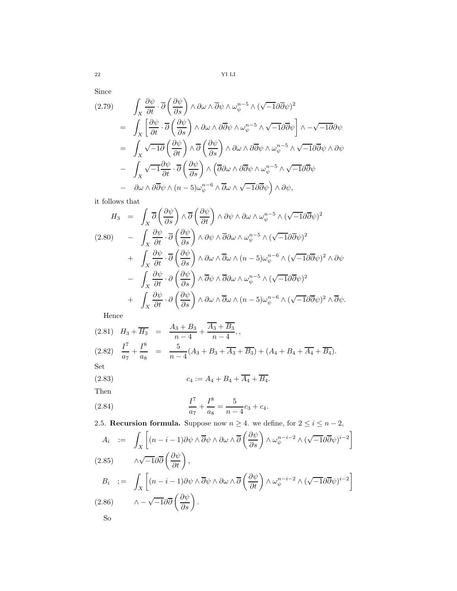Since

$$
(2.79) \qquad \int_X \frac{\partial \psi}{\partial t} \cdot \overline{\partial} \left( \frac{\partial \psi}{\partial s} \right) \wedge \partial \omega \wedge \overline{\partial} \psi \wedge \omega_{\psi}^{n-5} \wedge (\sqrt{-1} \partial \overline{\partial} \psi)^2
$$
  
\n
$$
= \int_X \left[ \frac{\partial \psi}{\partial t} \cdot \overline{\partial} \left( \frac{\partial \psi}{\partial s} \right) \wedge \partial \omega \wedge \partial \overline{\partial} \psi \wedge \omega_{\psi}^{n-5} \wedge \sqrt{-1} \partial \overline{\partial} \psi \right] \wedge -\sqrt{-1} \partial \partial \psi
$$
  
\n
$$
= \int_X \sqrt{-1} \overline{\partial} \left( \frac{\partial \psi}{\partial t} \right) \wedge \overline{\partial} \left( \frac{\partial \psi}{\partial s} \right) \wedge \partial \omega \wedge \partial \overline{\partial} \psi \wedge \omega_{\psi}^{n-5} \wedge \sqrt{-1} \partial \overline{\partial} \psi \wedge \partial \psi
$$
  
\n
$$
- \int_X \sqrt{-1} \frac{\partial \psi}{\partial t} \cdot \overline{\partial} \left( \frac{\partial \psi}{\partial s} \right) \wedge \left( \overline{\partial} \partial \omega \wedge \partial \overline{\partial} \psi \wedge \omega_{\psi}^{n-5} \wedge \sqrt{-1} \partial \overline{\partial} \psi \right)
$$
  
\n
$$
- \partial \omega \wedge \partial \overline{\partial} \psi \wedge (n-5) \omega_{\psi}^{n-6} \wedge \overline{\partial} \omega \wedge \sqrt{-1} \partial \overline{\partial} \psi \right) \wedge \partial \psi,
$$

it follows that

$$
H_3 = \int_X \overline{\partial} \left( \frac{\partial \psi}{\partial s} \right) \wedge \overline{\partial} \left( \frac{\partial \psi}{\partial t} \right) \wedge \partial \psi \wedge \partial \omega \wedge \omega_{\psi}^{n-5} \wedge (\sqrt{-1} \partial \overline{\partial} \psi)^2
$$
  
(2.80) 
$$
- \int_X \frac{\partial \psi}{\partial t} \cdot \overline{\partial} \left( \frac{\partial \psi}{\partial s} \right) \wedge \partial \psi \wedge \overline{\partial} \partial \omega \wedge \omega_{\psi}^{n-5} \wedge (\sqrt{-1} \partial \overline{\partial} \psi)^2
$$

$$
+ \int_X \frac{\partial \psi}{\partial t} \cdot \overline{\partial} \left( \frac{\partial \psi}{\partial s} \right) \wedge \partial \omega \wedge \overline{\partial} \omega \wedge (n-5) \omega_{\psi}^{n-6} \wedge (\sqrt{-1} \partial \overline{\partial} \psi)^2 \wedge \partial \psi
$$

$$
- \int_X \frac{\partial \psi}{\partial t} \cdot \partial \left( \frac{\partial \psi}{\partial s} \right) \wedge \overline{\partial} \psi \wedge \overline{\partial} \partial \omega \wedge \omega_{\psi}^{n-5} \wedge (\sqrt{-1} \partial \overline{\partial} \psi)^2
$$

$$
+ \int_X \frac{\partial \psi}{\partial t} \cdot \partial \left( \frac{\partial \psi}{\partial s} \right) \wedge \partial \omega \wedge \overline{\partial} \omega \wedge (n-5) \omega_{\psi}^{n-6} \wedge (\sqrt{-1} \partial \overline{\partial} \psi)^2 \wedge \overline{\partial} \psi.
$$

Hence

(2.81) 
$$
H_3 + \overline{H_3} = \frac{A_3 + B_3}{n - 4} + \frac{\overline{A_3} + \overline{B_3}}{n - 4},
$$
  
\n(2.82)  $\frac{I^7}{a_7} + \frac{I^8}{a_8} = \frac{5}{n - 4}(A_3 + B_3 + \overline{A_3} + \overline{B_3}) + (A_4 + B_4 + \overline{A_4} + \overline{B_4}).$   
\nSet  
\n(2.83)  $c_4 := A_4 + B_4 + \overline{A_4} + \overline{B_4}.$ 

Then

(2.84) 
$$
\frac{I^7}{a_7} + \frac{I^8}{a_8} = \frac{5}{n-4}c_3 + c_4.
$$

<span id="page-21-0"></span>2.5. Recursion formula. Suppose now  $n \geq 4$ . we define, for  $2 \leq i \leq n-2$ ,

$$
A_i := \int_X \left[ (n - i - 1) \partial \psi \wedge \overline{\partial} \psi \wedge \partial \omega \wedge \overline{\partial} \left( \frac{\partial \psi}{\partial s} \right) \wedge \omega_{\psi}^{n - i - 2} \wedge (\sqrt{-1} \partial \overline{\partial} \psi)^{i - 2} \right]
$$
  
(2.85)  

$$
\wedge \sqrt{-1} \partial \overline{\partial} \left( \frac{\partial \psi}{\partial t} \right),
$$
  

$$
B_i := \int_X \left[ (n - i - 1) \partial \psi \wedge \overline{\partial} \psi \wedge \partial \omega \wedge \overline{\partial} \left( \frac{\partial \psi}{\partial t} \right) \wedge \omega_{\psi}^{n - i - 2} \wedge (\sqrt{-1} \partial \overline{\partial} \psi)^{i - 2} \right]
$$
  
(2.86)  

$$
\wedge - \sqrt{-1} \partial \overline{\partial} \left( \frac{\partial \psi}{\partial s} \right).
$$
  
So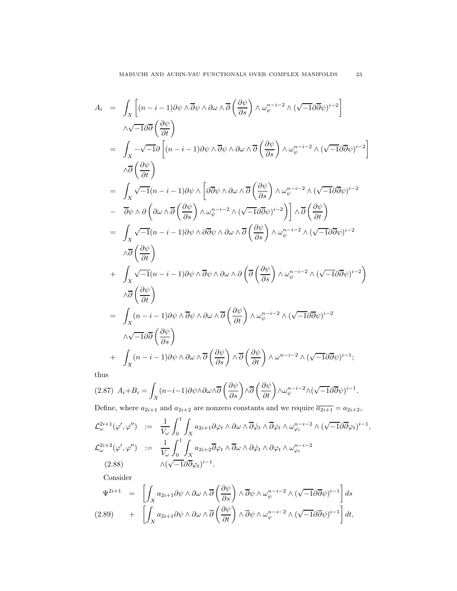$$
A_{i} = \int_{X} \left[ (n - i - 1) \partial \psi \wedge \overline{\partial} \psi \wedge \partial \omega \wedge \overline{\partial} \left( \frac{\partial \psi}{\partial s} \right) \wedge \omega_{\psi}^{n-i-2} \wedge (\sqrt{-1} \partial \overline{\partial} \psi)^{i-2} \right]
$$
  
\n
$$
\wedge \sqrt{-1} \partial \overline{\partial} \left( \frac{\partial \psi}{\partial t} \right)
$$
  
\n
$$
= \int_{X} -\sqrt{-1} \partial \left[ (n - i - 1) \partial \psi \wedge \overline{\partial} \psi \wedge \partial \omega \wedge \overline{\partial} \left( \frac{\partial \psi}{\partial s} \right) \wedge \omega_{\psi}^{n-i-2} \wedge (\sqrt{-1} \partial \overline{\partial} \psi)^{i-2} \right]
$$
  
\n
$$
\wedge \overline{\partial} \left( \frac{\partial \psi}{\partial t} \right)
$$
  
\n
$$
= \int_{X} \sqrt{-1} (n - i - 1) \partial \psi \wedge \left[ \partial \overline{\partial} \psi \wedge \partial \omega \wedge \overline{\partial} \left( \frac{\partial \psi}{\partial s} \right) \wedge \omega_{\psi}^{n-i-2} \wedge (\sqrt{-1} \partial \overline{\partial} \psi)^{i-2} \right]
$$
  
\n
$$
- \overline{\partial} \psi \wedge \partial \left( \partial \omega \wedge \overline{\partial} \left( \frac{\partial \psi}{\partial s} \right) \wedge \omega_{\psi}^{n-i-2} \wedge (\sqrt{-1} \partial \overline{\partial} \psi)^{i-2} \right) \wedge \overline{\partial} \left( \frac{\partial \psi}{\partial t} \right)
$$
  
\n
$$
= \int_{X} \sqrt{-1} (n - i - 1) \partial \psi \wedge \partial \overline{\partial} \psi \wedge \partial \omega \wedge \overline{\partial} \left( \frac{\partial \psi}{\partial s} \right) \wedge \omega_{\psi}^{n-i-2} \wedge (\sqrt{-1} \partial \overline{\partial} \psi)^{i-2}
$$
  
\n
$$
\wedge \overline{\partial} \left( \frac{\partial \psi}{\partial t} \right)
$$
  
\n
$$
+ \int_{X} \sqrt{-1} (n - i - 1) \partial \psi \wedge
$$

thus

$$
(2.87)\ \ A_i + B_i = \int_X (n-i-1)\partial\psi \wedge \partial\omega \wedge \overline{\partial} \left(\frac{\partial\psi}{\partial s}\right) \wedge \overline{\partial} \left(\frac{\partial\psi}{\partial t}\right) \wedge \omega_{\psi}^{n-i-2} \wedge (\sqrt{-1}\partial\overline{\partial}\psi)^{i-1}.
$$

Define, where  $a_{2i+1}$  and  $a_{2i+2}$  are nonzero constants and we require  $\overline{a_{2i+1}} = a_{2i+2}$ ,

$$
\mathcal{L}_{\omega}^{2i+1}(\varphi', \varphi'') \quad := \quad \frac{1}{V_{\omega}} \int_{0}^{1} \int_{X} a_{2i+1} \partial \varphi_{t} \wedge \partial \omega \wedge \overline{\partial} \dot{\varphi}_{t} \wedge \overline{\partial} \varphi_{t} \wedge \omega_{\varphi_{t}}^{n-i-2} \wedge (\sqrt{-1} \partial \overline{\partial} \varphi_{t})^{i-1},
$$
\n
$$
\mathcal{L}_{\omega}^{2i+2}(\varphi', \varphi'') \quad := \quad \frac{1}{V_{\omega}} \int_{0}^{1} \int_{X} a_{2i+2} \overline{\partial} \varphi_{t} \wedge \overline{\partial} \omega \wedge \partial \dot{\varphi}_{t} \wedge \partial \varphi_{t} \wedge \omega_{\varphi_{t}}^{n-i-2}
$$
\n
$$
(2.88) \qquad \qquad \wedge (\sqrt{-1} \partial \overline{\partial} \varphi_{t})^{i-1}.
$$

Consider

$$
\Psi^{2i+1} = \left[ \int_X a_{2i+1} \partial \psi \wedge \partial \omega \wedge \overline{\partial} \left( \frac{\partial \psi}{\partial s} \right) \wedge \overline{\partial} \psi \wedge \omega_{\psi}^{n-i-2} \wedge (\sqrt{-1} \partial \overline{\partial} \psi)^{i-1} \right] ds
$$
  
(2.89) 
$$
+ \left[ \int_X a_{2i+1} \partial \psi \wedge \partial \omega \wedge \overline{\partial} \left( \frac{\partial \psi}{\partial t} \right) \wedge \overline{\partial} \psi \wedge \omega_{\psi}^{n-i-2} \wedge (\sqrt{-1} \partial \overline{\partial} \psi)^{i-1} \right] dt,
$$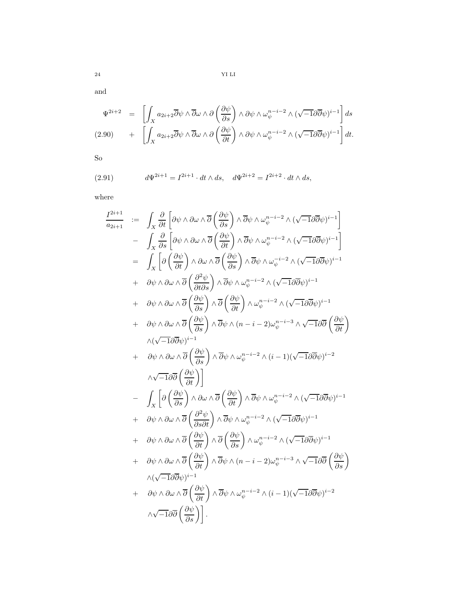and

$$
\Psi^{2i+2} = \left[ \int_X a_{2i+2} \overline{\partial} \psi \wedge \overline{\partial} \omega \wedge \partial \left( \frac{\partial \psi}{\partial s} \right) \wedge \partial \psi \wedge \omega_{\psi}^{n-i-2} \wedge (\sqrt{-1} \partial \overline{\partial} \psi)^{i-1} \right] ds
$$
  
(2.90) 
$$
+ \left[ \int_X a_{2i+2} \overline{\partial} \psi \wedge \overline{\partial} \omega \wedge \partial \left( \frac{\partial \psi}{\partial t} \right) \wedge \partial \psi \wedge \omega_{\psi}^{n-i-2} \wedge (\sqrt{-1} \partial \overline{\partial} \psi)^{i-1} \right] dt.
$$

So

(2.91) 
$$
d\Psi^{2i+1} = I^{2i+1} \cdot dt \wedge ds, \quad d\Psi^{2i+2} = I^{2i+2} \cdot dt \wedge ds,
$$

where

$$
\frac{I^{2i+1}}{a_{2i+1}} := \int_{X} \frac{\partial}{\partial t} \left[ \partial \psi \wedge \partial \omega \wedge \overline{\partial} \left( \frac{\partial \psi}{\partial s} \right) \wedge \overline{\partial} \psi \wedge \omega_v^{n-i-2} \wedge (\sqrt{-1} \partial \overline{\partial} \psi)^{i-1} \right] \n- \int_{X} \frac{\partial}{\partial s} \left[ \partial \psi \wedge \partial \omega \wedge \overline{\partial} \left( \frac{\partial \psi}{\partial t} \right) \wedge \overline{\partial} \psi \wedge \omega_v^{n-i-2} \wedge (\sqrt{-1} \partial \overline{\partial} \psi)^{i-1} \right] \n= \int_{X} \left[ \partial \left( \frac{\partial \psi}{\partial t} \right) \wedge \partial \omega \wedge \overline{\partial} \left( \frac{\partial \psi}{\partial s} \right) \wedge \overline{\partial} \psi \wedge \omega_v^{n-i-2} \wedge (\sqrt{-1} \partial \overline{\partial} \psi)^{i-1} \right] \n+ \partial \psi \wedge \partial \omega \wedge \overline{\partial} \left( \frac{\partial^2 \psi}{\partial t \partial s} \right) \wedge \overline{\partial} \psi \wedge \omega_v^{n-i-2} \wedge (\sqrt{-1} \partial \overline{\partial} \psi)^{i-1} \n+ \partial \psi \wedge \partial \omega \wedge \overline{\partial} \left( \frac{\partial \psi}{\partial s} \right) \wedge \overline{\partial} \psi \wedge \omega_v^{n-i-2} \wedge (\sqrt{-1} \partial \overline{\partial} \psi)^{i-1} \n+ \partial \psi \wedge \partial \omega \wedge \overline{\partial} \left( \frac{\partial \psi}{\partial s} \right) \wedge \overline{\partial} \psi \wedge (n-i-2) \omega_v^{n-i-3} \wedge \sqrt{-1} \partial \overline{\partial} \left( \frac{\partial \psi}{\partial t} \right) \wedge (\sqrt{-1} \partial \overline{\partial} \psi)^{i-1} \n+ \partial \psi \wedge \partial \omega \wedge \overline{\partial} \left( \frac{\partial \psi}{\partial s} \right) \wedge \overline{\partial} \psi \wedge \omega_v^{n-i-2} \wedge (i-1) (\sqrt{-1} \partial \overline{\partial} \psi)^{i-2} \n+ \
$$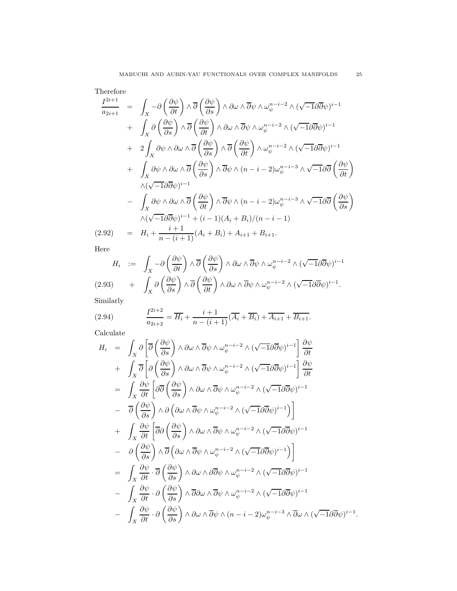Therefore

$$
\frac{I^{2i+1}}{a_{2i+1}} = \int_X -\partial \left(\frac{\partial \psi}{\partial t}\right) \wedge \overline{\partial} \left(\frac{\partial \psi}{\partial s}\right) \wedge \partial \omega \wedge \overline{\partial} \psi \wedge \omega_{\psi}^{n-i-2} \wedge (\sqrt{-1}\partial \overline{\partial} \psi)^{i-1} \n+ \int_X \partial \left(\frac{\partial \psi}{\partial s}\right) \wedge \overline{\partial} \left(\frac{\partial \psi}{\partial t}\right) \wedge \partial \omega \wedge \overline{\partial} \psi \wedge \omega_{\psi}^{n-i-2} \wedge (\sqrt{-1}\partial \overline{\partial} \psi)^{i-1} \n+ 2 \int_X \partial \psi \wedge \partial \omega \wedge \overline{\partial} \left(\frac{\partial \psi}{\partial s}\right) \wedge \overline{\partial} \left(\frac{\partial \psi}{\partial t}\right) \wedge \omega_{\psi}^{n-i-2} \wedge (\sqrt{-1}\partial \overline{\partial} \psi)^{i-1} \n+ \int_X \partial \psi \wedge \partial \omega \wedge \overline{\partial} \left(\frac{\partial \psi}{\partial s}\right) \wedge \overline{\partial} \psi \wedge (n-i-2) \omega_{\psi}^{n-i-3} \wedge \sqrt{-1}\partial \overline{\partial} \left(\frac{\partial \psi}{\partial t}\right) \n\wedge (\sqrt{-1}\partial \overline{\partial} \psi)^{i-1} \n- \int_X \partial \psi \wedge \partial \omega \wedge \overline{\partial} \left(\frac{\partial \psi}{\partial t}\right) \wedge \overline{\partial} \psi \wedge (n-i-2) \omega_{\psi}^{n-i-3} \wedge \sqrt{-1}\partial \overline{\partial} \left(\frac{\partial \psi}{\partial s}\right) \n\wedge (\sqrt{-1}\partial \overline{\partial} \psi)^{i-1} + (i-1)(A_i + B_i)/(n-i-1) \n(2.92) = H_i + \frac{i+1}{n-(i+1)} (A_i + B_i) + A_{i+1} + B_{i+1}.
$$

Here

$$
H_i := \int_X -\partial \left(\frac{\partial \psi}{\partial t}\right) \wedge \overline{\partial} \left(\frac{\partial \psi}{\partial s}\right) \wedge \partial \omega \wedge \overline{\partial} \psi \wedge \omega_{\psi}^{n-i-2} \wedge (\sqrt{-1}\partial \overline{\partial} \psi)^{i-1}
$$
  
(2.93) 
$$
+ \int_X \partial \left(\frac{\partial \psi}{\partial s}\right) \wedge \overline{\partial} \left(\frac{\partial \psi}{\partial t}\right) \wedge \partial \omega \wedge \overline{\partial} \psi \wedge \omega_{\psi}^{n-i-2} \wedge (\sqrt{-1}\partial \overline{\partial} \psi)^{i-1}.
$$

Similarly

(2.94) 
$$
\frac{I^{2i+2}}{a_{2i+2}} = \overline{H_i} + \frac{i+1}{n-(i+1)}(\overline{A_i} + \overline{B_i}) + \overline{A_{i+1}} + \overline{B_{i+1}}.
$$

Calculate

$$
H_{i} = \int_{X} \partial \left[ \overline{\partial} \left( \frac{\partial \psi}{\partial s} \right) \wedge \partial \omega \wedge \overline{\partial} \psi \wedge \omega_{\psi}^{n-i-2} \wedge (\sqrt{-1} \partial \overline{\partial} \psi)^{i-1} \right] \frac{\partial \psi}{\partial t} + \int_{X} \overline{\partial} \left[ \partial \left( \frac{\partial \psi}{\partial s} \right) \wedge \partial \omega \wedge \overline{\partial} \psi \wedge \omega_{\psi}^{n-i-2} \wedge (\sqrt{-1} \partial \overline{\partial} \psi)^{i-1} \right] \frac{\partial \psi}{\partial t} = \int_{X} \frac{\partial \psi}{\partial t} \left[ \partial \overline{\partial} \left( \frac{\partial \psi}{\partial s} \right) \wedge \partial \omega \wedge \overline{\partial} \psi \wedge \omega_{\psi}^{n-i-2} \wedge (\sqrt{-1} \partial \overline{\partial} \psi)^{i-1} \right. - \overline{\partial} \left( \frac{\partial \psi}{\partial s} \right) \wedge \partial \left( \partial \omega \wedge \overline{\partial} \psi \wedge \omega_{\psi}^{n-i-2} \wedge (\sqrt{-1} \partial \overline{\partial} \psi)^{i-1} \right) + \int_{X} \frac{\partial \psi}{\partial t} \left[ \overline{\partial} \partial \left( \frac{\partial \psi}{\partial s} \right) \wedge \partial \omega \wedge \overline{\partial} \psi \wedge \omega_{\psi}^{n-i-2} \wedge (\sqrt{-1} \partial \overline{\partial} \psi)^{i-1} \right. - \partial \left( \frac{\partial \psi}{\partial s} \right) \wedge \overline{\partial} \left( \partial \omega \wedge \overline{\partial} \psi \wedge \omega_{\psi}^{n-i-2} \wedge (\sqrt{-1} \partial \overline{\partial} \psi)^{i-1} \right) = \int_{X} \frac{\partial \psi}{\partial t} \cdot \overline{\partial} \left( \frac{\partial \psi}{\partial s} \right) \wedge \partial \omega \wedge \partial \overline{\partial} \psi \wedge \omega_{\psi}^{n-i-2} \wedge (\sqrt{-1} \partial \overline{\partial} \psi)^{i-1} - \int_{X} \frac{\partial \psi}{\partial t} \cdot \partial \left( \frac{\partial \psi}{\partial s} \right) \wedge \
$$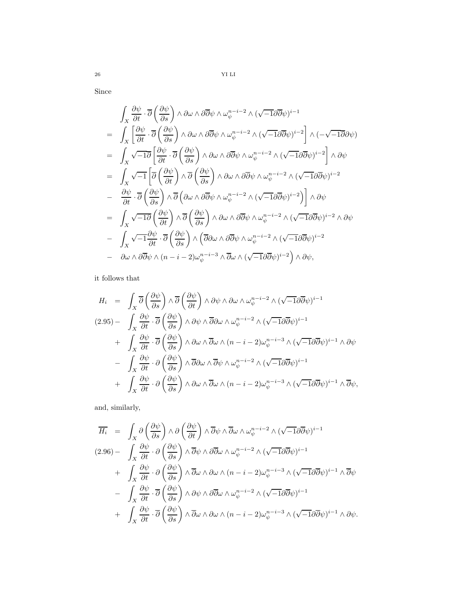Since

$$
\int_{X} \frac{\partial \psi}{\partial t} \cdot \overline{\partial} \left( \frac{\partial \psi}{\partial s} \right) \wedge \partial \omega \wedge \partial \overline{\partial} \psi \wedge \omega_{\psi}^{n-i-2} \wedge (\sqrt{-1} \partial \overline{\partial} \psi)^{i-1} \n= \int_{X} \left[ \frac{\partial \psi}{\partial t} \cdot \overline{\partial} \left( \frac{\partial \psi}{\partial s} \right) \wedge \partial \omega \wedge \partial \overline{\partial} \psi \wedge \omega_{\psi}^{n-i-2} \wedge (\sqrt{-1} \partial \overline{\partial} \psi)^{i-2} \right] \wedge (-\sqrt{-1} \partial \partial \psi) \n= \int_{X} \sqrt{-1} \overline{\partial} \left[ \frac{\partial \psi}{\partial t} \cdot \overline{\partial} \left( \frac{\partial \psi}{\partial s} \right) \wedge \partial \omega \wedge \partial \overline{\partial} \psi \wedge \omega_{\psi}^{n-i-2} \wedge (\sqrt{-1} \partial \overline{\partial} \psi)^{i-2} \right] \wedge \partial \psi \n= \int_{X} \sqrt{-1} \left[ \overline{\partial} \left( \frac{\partial \psi}{\partial t} \right) \wedge \overline{\partial} \left( \frac{\partial \psi}{\partial s} \right) \wedge \partial \omega \wedge \partial \overline{\partial} \psi \wedge \omega_{\psi}^{n-i-2} \wedge (\sqrt{-1} \partial \overline{\partial} \psi)^{i-2} \right] \wedge \partial \psi \n= \frac{\partial \psi}{\partial t} \cdot \overline{\partial} \left( \frac{\partial \psi}{\partial s} \right) \wedge \overline{\partial} \left( \partial \omega \wedge \partial \overline{\partial} \psi \wedge \omega_{\psi}^{n-i-2} \wedge (\sqrt{-1} \partial \overline{\partial} \psi)^{i-2} \right) \right] \wedge \partial \psi \n= \int_{X} \sqrt{-1} \overline{\partial} \left( \frac{\partial \psi}{\partial t} \right) \wedge \overline{\partial} \left( \frac{\partial \psi}{\partial s} \right) \wedge \partial \omega \wedge \partial \overline{\partial} \psi \wedge \omega_{\psi}^{n-i-2} \wedge (\sqrt{-1} \partial \overline{\partial} \psi)^{i-2} \wedge \partial \psi \n- \int_{X} \sqrt{-1} \
$$

it follows that

$$
H_{i} = \int_{X} \overline{\partial} \left( \frac{\partial \psi}{\partial s} \right) \wedge \overline{\partial} \left( \frac{\partial \psi}{\partial t} \right) \wedge \partial \psi \wedge \partial \omega \wedge \omega_{\psi}^{n-i-2} \wedge (\sqrt{-1} \partial \overline{\partial} \psi)^{i-1}
$$
  
\n
$$
(2.95) - \int_{X} \frac{\partial \psi}{\partial t} \cdot \overline{\partial} \left( \frac{\partial \psi}{\partial s} \right) \wedge \partial \psi \wedge \overline{\partial} \partial \omega \wedge \omega_{\psi}^{n-i-2} \wedge (\sqrt{-1} \partial \overline{\partial} \psi)^{i-1}
$$
  
\n
$$
+ \int_{X} \frac{\partial \psi}{\partial t} \cdot \overline{\partial} \left( \frac{\partial \psi}{\partial s} \right) \wedge \partial \omega \wedge \overline{\partial} \omega \wedge (n-i-2) \omega_{\psi}^{n-i-3} \wedge (\sqrt{-1} \partial \overline{\partial} \psi)^{i-1} \wedge \partial \psi
$$
  
\n
$$
- \int_{X} \frac{\partial \psi}{\partial t} \cdot \partial \left( \frac{\partial \psi}{\partial s} \right) \wedge \overline{\partial} \partial \omega \wedge \overline{\partial} \psi \wedge \omega_{\psi}^{n-i-2} \wedge (\sqrt{-1} \partial \overline{\partial} \psi)^{i-1}
$$
  
\n
$$
+ \int_{X} \frac{\partial \psi}{\partial t} \cdot \partial \left( \frac{\partial \psi}{\partial s} \right) \wedge \partial \omega \wedge \overline{\partial} \omega \wedge (n-i-2) \omega_{\psi}^{n-i-3} \wedge (\sqrt{-1} \partial \overline{\partial} \psi)^{i-1} \wedge \overline{\partial} \psi,
$$

and, similarly,

$$
\overline{H_i} = \int_X \partial \left(\frac{\partial \psi}{\partial s}\right) \wedge \partial \left(\frac{\partial \psi}{\partial t}\right) \wedge \overline{\partial} \psi \wedge \overline{\partial} \omega \wedge \omega_{\psi}^{n-i-2} \wedge (\sqrt{-1} \partial \overline{\partial} \psi)^{i-1}
$$
\n
$$
(2.96) - \int_X \frac{\partial \psi}{\partial t} \cdot \partial \left(\frac{\partial \psi}{\partial s}\right) \wedge \overline{\partial} \psi \wedge \partial \overline{\partial} \omega \wedge \omega_{\psi}^{n-i-2} \wedge (\sqrt{-1} \partial \overline{\partial} \psi)^{i-1}
$$
\n
$$
+ \int_X \frac{\partial \psi}{\partial t} \cdot \partial \left(\frac{\partial \psi}{\partial s}\right) \wedge \overline{\partial} \omega \wedge \partial \omega \wedge (n-i-2) \omega_{\psi}^{n-i-3} \wedge (\sqrt{-1} \partial \overline{\partial} \psi)^{i-1} \wedge \overline{\partial} \psi
$$
\n
$$
- \int_X \frac{\partial \psi}{\partial t} \cdot \overline{\partial} \left(\frac{\partial \psi}{\partial s}\right) \wedge \partial \psi \wedge \partial \overline{\partial} \omega \wedge \omega_{\psi}^{n-i-2} \wedge (\sqrt{-1} \partial \overline{\partial} \psi)^{i-1}
$$
\n
$$
+ \int_X \frac{\partial \psi}{\partial t} \cdot \overline{\partial} \left(\frac{\partial \psi}{\partial s}\right) \wedge \overline{\partial} \omega \wedge \partial \omega \wedge (n-i-2) \omega_{\psi}^{n-i-3} \wedge (\sqrt{-1} \partial \overline{\partial} \psi)^{i-1} \wedge \partial \psi.
$$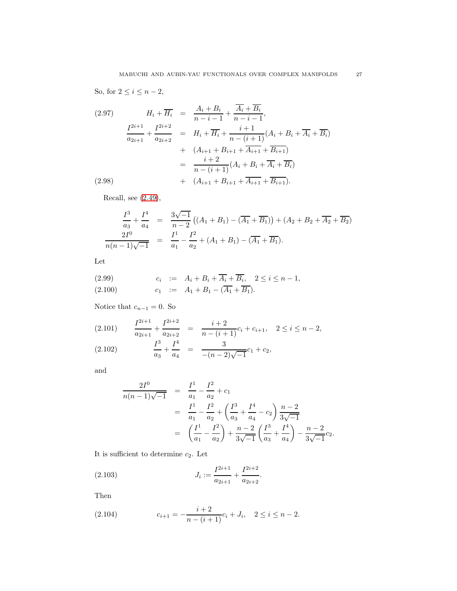So, for  $2 \leq i \leq n-2$ ,

$$
(2.97) \tH_i + \overline{H_i} = \frac{A_i + B_i}{n - i - 1} + \frac{\overline{A_i} + \overline{B_i}}{n - i - 1},
$$
  

$$
\frac{I^{2i+1}}{a_{2i+1}} + \frac{I^{2i+2}}{a_{2i+2}} = H_i + \overline{H_i} + \frac{i+1}{n - (i+1)}(A_i + B_i + \overline{A_i} + \overline{B_i})
$$
  

$$
+ (A_{i+1} + B_{i+1} + \overline{A_{i+1}} + \overline{B_{i+1}})
$$
  

$$
= \frac{i+2}{n - (i+1)}(A_i + B_i + \overline{A_i} + \overline{B_i})
$$
  

$$
(2.98) + (A_{i+1} + B_{i+1} + \overline{A_{i+1}} + \overline{B_{i+1}}).
$$

Recall, see [\(2.49\)](#page-13-1),

$$
\frac{I^3}{a_3} + \frac{I^4}{a_4} = \frac{3\sqrt{-1}}{n-2} \left( (A_1 + B_1) - (\overline{A_1} + \overline{B_1}) \right) + (A_2 + B_2 + \overline{A_2} + \overline{B_2})
$$
  

$$
\frac{2I^0}{n(n-1)\sqrt{-1}} = \frac{I^1}{a_1} - \frac{I^2}{a_2} + (A_1 + B_1) - (\overline{A_1} + \overline{B_1}).
$$

Let

(2.99) 
$$
c_i := A_i + B_i + \overline{A_i} + \overline{B_i}, \quad 2 \le i \le n - 1, (2.100) \qquad c_1 := A_1 + B_1 - (\overline{A_1} + \overline{B_1}).
$$

Notice that  $c_{n-1} = 0$ . So

$$
(2.101) \qquad \frac{I^{2i+1}}{a_{2i+1}} + \frac{I^{2i+2}}{a_{2i+2}} = \frac{i+2}{n-(i+1)}c_i + c_{i+1}, \quad 2 \le i \le n-2,
$$

$$
(2.102) \qquad \frac{I^3}{a_3} + \frac{I^4}{a_4} = \frac{3}{-(n-2)\sqrt{-1}}c_1 + c_2,
$$

and

$$
\frac{2I^0}{n(n-1)\sqrt{-1}} = \frac{I^1}{a_1} - \frac{I^2}{a_2} + c_1
$$
  
=  $\frac{I^1}{a_1} - \frac{I^2}{a_2} + \left(\frac{I^3}{a_3} + \frac{I^4}{a_4} - c_2\right) \frac{n-2}{3\sqrt{-1}}$   
=  $\left(\frac{I^1}{a_1} - \frac{I^2}{a_2}\right) + \frac{n-2}{3\sqrt{-1}} \left(\frac{I^3}{a_3} + \frac{I^4}{a_4}\right) - \frac{n-2}{3\sqrt{-1}}c_2.$ 

It is sufficient to determine  $c_2$ . Let

(2.103) 
$$
J_i := \frac{I^{2i+1}}{a_{2i+1}} + \frac{I^{2i+2}}{a_{2i+2}}.
$$

Then

<span id="page-26-0"></span>(2.104) 
$$
c_{i+1} = -\frac{i+2}{n-(i+1)}c_i + J_i, \quad 2 \le i \le n-2.
$$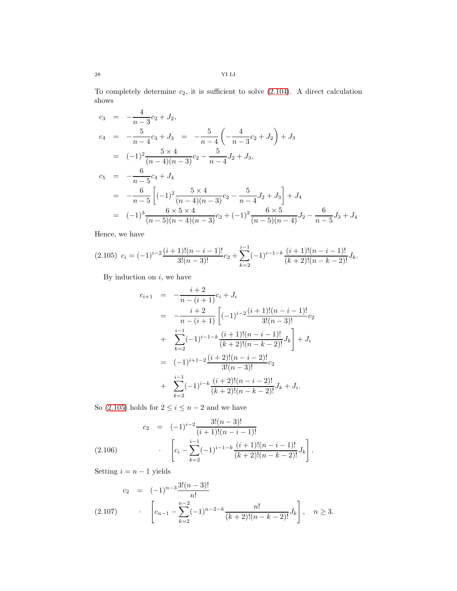28 YI LI

To completely determine  $c_2$ , it is sufficient to solve  $(2.104)$ . A direct calculation shows

$$
c_3 = -\frac{4}{n-3}c_2 + J_2,
$$
  
\n
$$
c_4 = -\frac{5}{n-4}c_3 + J_3 = -\frac{5}{n-4}\left(-\frac{4}{n-3}c_2 + J_2\right) + J_3
$$
  
\n
$$
= (-1)^2 \frac{5 \times 4}{(n-4)(n-3)}c_2 - \frac{5}{n-4}J_2 + J_3,
$$
  
\n
$$
c_5 = -\frac{6}{n-5}c_4 + J_4
$$
  
\n
$$
= -\frac{6}{n-5}\left[(-1)^2 \frac{5 \times 4}{(n-4)(n-3)}c_2 - \frac{5}{n-4}J_2 + J_3\right] + J_4
$$
  
\n
$$
= (-1)^3 \frac{6 \times 5 \times 4}{(n-5)(n-4)(n-3)}c_2 + (-1)^2 \frac{6 \times 5}{(n-5)(n-4)}J_2 - \frac{6}{n-5}J_3 + J_4
$$

Hence, we have

<span id="page-27-0"></span>
$$
(2.105) \ \ c_i = (-1)^{i-2} \frac{(i+1)!(n-i-1)!}{3!(n-3)!} \cdot c_2 + \sum_{k=2}^{i-1} (-1)^{i-1-k} \frac{(i+1)!(n-i-1)!}{(k+2)!(n-k-2)!} J_k.
$$

By induction on  $i$ , we have

$$
c_{i+1} = -\frac{i+2}{n-(i+1)}c_i + J_i
$$
  
\n
$$
= -\frac{i+2}{n-(i+1)} \left[ (-1)^{i-2} \frac{(i+1)!(n-i-1)!}{3!(n-3)!} c_2 \right]
$$
  
\n
$$
+ \sum_{k=2}^{i-1} (-1)^{i-1-k} \frac{(i+1)!(n-i-1)!}{(k+2)!(n-k-2)!} J_k \right] + J_i
$$
  
\n
$$
= (-1)^{i+1-2} \frac{(i+2)!(n-i-2)!}{3!(n-3)!} c_2
$$
  
\n
$$
+ \sum_{k=2}^{i-1} (-1)^{i-k} \frac{(i+2)!(n-i-2)!}{(k+2)!(n-k-2)!} J_k + J_i.
$$

So [\(2.105\)](#page-27-0) holds for  $2 \leq i \leq n-2$  and we have

$$
c_2 = (-1)^{i-2} \frac{3!(n-3)!}{(i+1)!(n-i-1)!}
$$
  
(2.106) 
$$
\left[c_i - \sum_{k=2}^{i-1} (-1)^{i-1-k} \frac{(i+1)!(n-i-1)!}{(k+2)!(n-k-2)!} J_k\right].
$$

Setting  $i = n - 1$  yields

<span id="page-27-1"></span>
$$
c_2 = (-1)^{n-3} \frac{3!(n-3)!}{n!}
$$
  
(2.107) 
$$
\left[c_{n-1} - \sum_{k=2}^{n-2} (-1)^{n-2-k} \frac{n!}{(k+2)!(n-k-2)!} J_k\right], \quad n \ge 3.
$$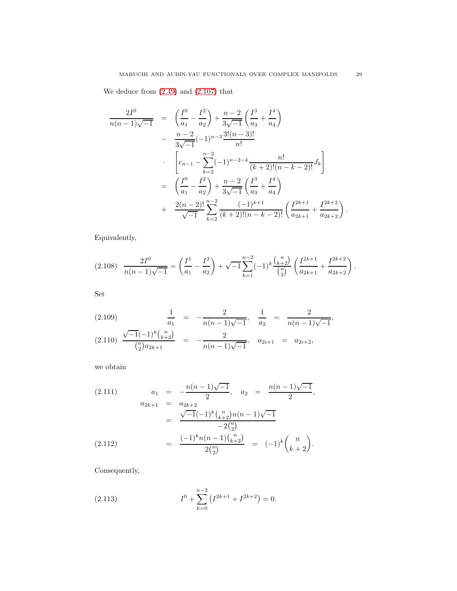We deduce from [\(2.49\)](#page-13-1) and [\(2.107\)](#page-27-1) that

$$
\frac{2I^{0}}{n(n-1)\sqrt{-1}} = \left(\frac{I^{0}}{a_{1}} - \frac{I^{2}}{a_{2}}\right) + \frac{n-2}{3\sqrt{-1}}\left(\frac{I^{3}}{a_{3}} + \frac{I^{4}}{a_{4}}\right)
$$

$$
- \frac{n-2}{3\sqrt{-1}}(-1)^{n-3}\frac{3!(n-3)!}{n!}
$$

$$
\cdot \left[c_{n-1} - \sum_{k=2}^{n-2}(-1)^{n-2-k}\frac{n!}{(k+2)!(n-k-2)!}J_{k}\right]
$$

$$
= \left(\frac{I^{0}}{a_{1}} - \frac{I^{2}}{a_{2}}\right) + \frac{n-2}{3\sqrt{-1}}\left(\frac{I^{3}}{a_{3}} + \frac{I^{4}}{a_{4}}\right)
$$

$$
+ \frac{2(n-2)!}{\sqrt{-1}}\sum_{k=2}^{n-2}\frac{(-1)^{k+1}}{(k+2)!(n-k-2)!}\left(\frac{I^{2k+1}}{a_{2k+1}} + \frac{I^{2k+2}}{a_{2k+2}}\right).
$$

Equivalently,

$$
(2.108) \frac{2I^0}{n(n-1)\sqrt{-1}} = \left(\frac{I^1}{a_1} - \frac{I^2}{a_2}\right) + \sqrt{-1} \sum_{k=1}^{n-2} (-1)^k \frac{\binom{n}{k+2}}{\binom{n}{2}} \left(\frac{I^{2k+1}}{a_{2k+1}} + \frac{I^{2k+2}}{a_{2k+2}}\right).
$$

Set

$$
(2.109) \qquad \frac{1}{a_1} = -\frac{2}{n(n-1)\sqrt{-1}}, \quad \frac{1}{a_2} = \frac{2}{n(n-1)\sqrt{-1}},
$$

$$
(2.110) \qquad \frac{\sqrt{-1}(-1)^k {n \choose k+2}}{n \choose 2} = -\frac{2}{n(n-1)\sqrt{-1}}, \quad a_{2i+1} = a_{2i+2},
$$

we obtain

$$
(2.111) \t a_1 = -\frac{n(n-1)\sqrt{-1}}{2}, \t a_2 = \frac{n(n-1)\sqrt{-1}}{2},
$$
  

$$
a_{2k+1} = a_{2k+2}
$$
  

$$
= \frac{\sqrt{-1}(-1)^k {n \choose k+2} n(n-1)\sqrt{-1}}{-2{n \choose 2}}
$$
  

$$
(2.112) = \frac{(-1)^k n(n-1) {n \choose k+2}}{2{n \choose 2}} = (-1)^k {n \choose k+2}.
$$

Consequently,

<span id="page-28-0"></span>(2.113) 
$$
I^{0} + \sum_{k=0}^{n-2} (I^{2k+1} + I^{2k+2}) = 0.
$$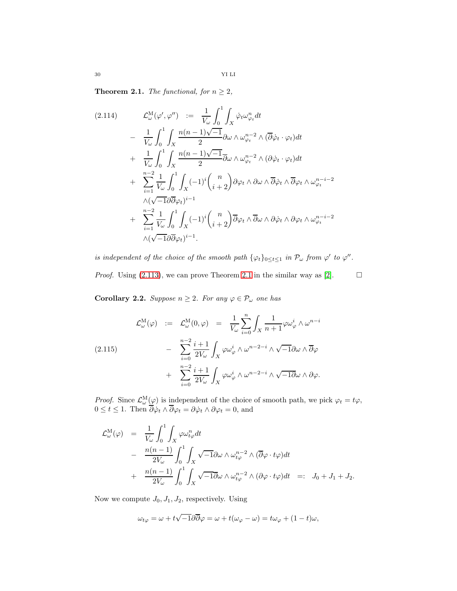<span id="page-29-0"></span>**Theorem 2.1.** The functional, for  $n \geq 2$ ,

<span id="page-29-1"></span>
$$
(2.114) \qquad \mathcal{L}_{\omega}^{\mathbf{M}}(\varphi', \varphi'') := \frac{1}{V_{\omega}} \int_{0}^{1} \int_{X} \dot{\varphi}_{t} \omega_{\varphi_{t}}^{n} dt \n- \frac{1}{V_{\omega}} \int_{0}^{1} \int_{X} \frac{n(n-1)\sqrt{-1}}{2} \partial \omega \wedge \omega_{\varphi_{t}}^{n-2} \wedge (\overline{\partial} \dot{\varphi}_{t} \cdot \varphi_{t}) dt \n+ \frac{1}{V_{\omega}} \int_{0}^{1} \int_{X} \frac{n(n-1)\sqrt{-1}}{2} \overline{\partial} \omega \wedge \omega_{\varphi_{t}}^{n-2} \wedge (\partial \dot{\varphi}_{t} \cdot \varphi_{t}) dt \n+ \sum_{i=1}^{n-2} \frac{1}{V_{\omega}} \int_{0}^{1} \int_{X} (-1)^{i} {n \choose i+2} \partial \varphi_{t} \wedge \partial \omega \wedge \overline{\partial} \dot{\varphi}_{t} \wedge \overline{\partial} \varphi_{t} \wedge \omega_{\varphi_{t}}^{n-i-2} \n\wedge (\sqrt{-1} \partial \overline{\partial} \varphi_{t})^{i-1} \n+ \sum_{i=1}^{n-2} \frac{1}{V_{\omega}} \int_{0}^{1} \int_{X} (-1)^{i} {n \choose i+2} \overline{\partial} \varphi_{t} \wedge \overline{\partial} \omega \wedge \partial \dot{\varphi}_{t} \wedge \partial \varphi_{t} \wedge \omega_{\varphi_{t}}^{n-i-2} \n\wedge (\sqrt{-1} \partial \overline{\partial} \varphi_{t})^{i-1}.
$$

is independent of the choice of the smooth path  $\{\varphi_t\}_{0 \leq t \leq 1}$  in  $\mathcal{P}_{\omega}$  from  $\varphi'$  to  $\varphi''$ . *Proof.* Using [\(2.113\)](#page-28-0), we can prove Theorem [2.1](#page-29-0) in the similar way as [\[2\]](#page-46-0).  $\Box$ 

**Corollary 2.2.** Suppose  $n \geq 2$ . For any  $\varphi \in \mathcal{P}_{\omega}$  one has

<span id="page-29-2"></span>
$$
\mathcal{L}^{\mathcal{M}}_{\omega}(\varphi) := \mathcal{L}^{\mathcal{M}}_{\omega}(0,\varphi) = \frac{1}{V_{\omega}} \sum_{i=0}^{n} \int_{X} \frac{1}{n+1} \varphi \omega_{\varphi}^{i} \wedge \omega^{n-i}
$$
\n
$$
- \sum_{i=0}^{n-2} \frac{i+1}{2V_{\omega}} \int_{X} \varphi \omega_{\varphi}^{i} \wedge \omega^{n-2-i} \wedge \sqrt{-1} \partial \omega \wedge \overline{\partial} \varphi
$$
\n
$$
+ \sum_{i=0}^{n-2} \frac{i+1}{2V_{\omega}} \int_{X} \varphi \omega_{\varphi}^{i} \wedge \omega^{n-2-i} \wedge \sqrt{-1} \partial \omega \wedge \partial \varphi.
$$

*Proof.* Since  $\mathcal{L}^{\mathcal{M}}_{\omega}(\varphi)$  is independent of the choice of smooth path, we pick  $\varphi_t = t\varphi$ ,  $0 \le t \le 1$ . Then  $\partial \dot{\varphi}_t \wedge \partial \varphi_t = \partial \dot{\varphi}_t \wedge \partial \varphi_t = 0$ , and

$$
\mathcal{L}_{\omega}^{\mathcal{M}}(\varphi) = \frac{1}{V_{\omega}} \int_{0}^{1} \int_{X} \varphi \omega_{t\varphi}^{n} dt
$$
  
\n
$$
- \frac{n(n-1)}{2V_{\omega}} \int_{0}^{1} \int_{X} \sqrt{-1} \partial \omega \wedge \omega_{t\varphi}^{n-2} \wedge (\overline{\partial} \varphi \cdot t\varphi) dt
$$
  
\n
$$
+ \frac{n(n-1)}{2V_{\omega}} \int_{0}^{1} \int_{X} \sqrt{-1} \partial \omega \wedge \omega_{t\varphi}^{n-2} \wedge (\partial \varphi \cdot t\varphi) dt =: J_{0} + J_{1} + J_{2}.
$$

Now we compute  $J_0, J_1, J_2$ , respectively. Using

$$
\omega_{t\varphi} = \omega + t\sqrt{-1}\partial\overline{\partial}\varphi = \omega + t(\omega_{\varphi} - \omega) = t\omega_{\varphi} + (1 - t)\omega,
$$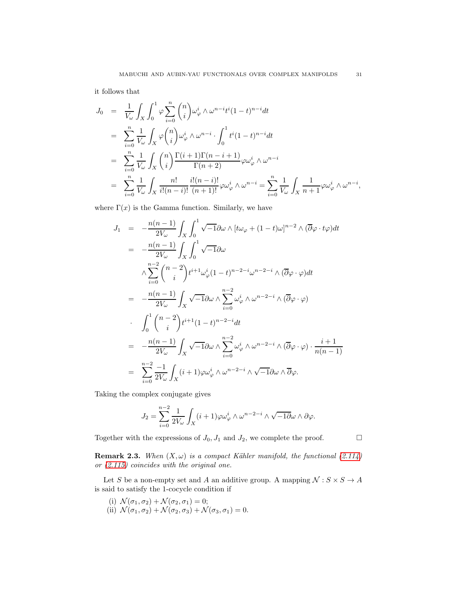it follows that

$$
J_0 = \frac{1}{V_\omega} \int_X \int_0^1 \varphi \sum_{i=0}^n {n \choose i} \omega_\varphi^i \wedge \omega^{n-i} t^i (1-t)^{n-i} dt
$$
  
\n
$$
= \sum_{i=0}^n \frac{1}{V_\omega} \int_X \varphi {n \choose i} \omega_\varphi^i \wedge \omega^{n-i} \cdot \int_0^1 t^i (1-t)^{n-i} dt
$$
  
\n
$$
= \sum_{i=0}^n \frac{1}{V_\omega} \int_X {n \choose i} \frac{\Gamma(i+1)\Gamma(n-i+1)}{\Gamma(n+2)} \varphi \omega_\varphi^i \wedge \omega^{n-i}
$$
  
\n
$$
= \sum_{i=0}^n \frac{1}{V_\omega} \int_X \frac{n!}{i!(n-i)!} \frac{i!(n-i)!}{(n+1)!} \varphi \omega_\varphi^i \wedge \omega^{n-i} = \sum_{i=0}^n \frac{1}{V_\omega} \int_X \frac{1}{n+1} \varphi \omega_\varphi^i \wedge \omega^{n-i},
$$

where  $\Gamma(x)$  is the Gamma function. Similarly, we have

$$
J_1 = -\frac{n(n-1)}{2V_{\omega}} \int_X \int_0^1 \sqrt{-1} \partial \omega \wedge [t\omega_{\varphi} + (1-t)\omega]^{n-2} \wedge (\overline{\partial} \varphi \cdot t\varphi) dt
$$
  
\n
$$
= -\frac{n(n-1)}{2V_{\omega}} \int_X \int_0^1 \sqrt{-1} \partial \omega
$$
  
\n
$$
\wedge \sum_{i=0}^{n-2} {n-2 \choose i} t^{i+1} \omega_{\varphi}^i (1-t)^{n-2-i} \omega^{n-2-i} \wedge (\overline{\partial} \varphi \cdot \varphi) dt
$$
  
\n
$$
= -\frac{n(n-1)}{2V_{\omega}} \int_X \sqrt{-1} \partial \omega \wedge \sum_{i=0}^{n-2} \omega_{\varphi}^i \wedge \omega^{n-2-i} \wedge (\overline{\partial} \varphi \cdot \varphi)
$$
  
\n
$$
\cdot \int_0^1 {n-2 \choose i} t^{i+1} (1-t)^{n-2-i} dt
$$
  
\n
$$
= -\frac{n(n-1)}{2V_{\omega}} \int_X \sqrt{-1} \partial \omega \wedge \sum_{i=0}^{n-2} \omega_{\varphi}^i \wedge \omega^{n-2-i} \wedge (\overline{\partial} \varphi \cdot \varphi) \cdot \frac{i+1}{n(n-1)}
$$
  
\n
$$
= \sum_{i=0}^{n-2} \frac{-1}{2V_{\omega}} \int_X (i+1) \varphi \omega_{\varphi}^i \wedge \omega^{n-2-i} \wedge \sqrt{-1} \partial \omega \wedge \overline{\partial} \varphi.
$$

Taking the complex conjugate gives

$$
J_2 = \sum_{i=0}^{n-2} \frac{1}{2V_{\omega}} \int_X (i+1) \varphi \omega_{\varphi}^i \wedge \omega^{n-2-i} \wedge \sqrt{-1} \partial \omega \wedge \partial \varphi.
$$

Together with the expressions of  $J_0, J_1$  and  $J_2$ , we complete the proof.

**Remark 2.3.** When  $(X, \omega)$  is a compact Kähler manifold, the functional  $(2.114)$ or [\(2.115\)](#page-29-2) coincides with the original one.

Let S be a non-empty set and A an additive group. A mapping  $\mathcal{N}: S \times S \rightarrow A$ is said to satisfy the 1-cocycle condition if

- (i)  $\mathcal{N}(\sigma_1, \sigma_2) + \mathcal{N}(\sigma_2, \sigma_1) = 0;$
- (ii)  $\mathcal{N}(\sigma_1, \sigma_2) + \mathcal{N}(\sigma_2, \sigma_3) + \mathcal{N}(\sigma_3, \sigma_1) = 0.$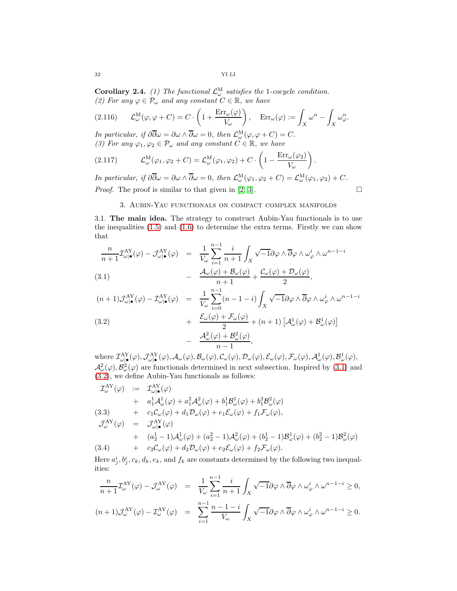**Corollary 2.4.** (1) The functional  $\mathcal{L}^{\text{M}}_{\omega}$  satisfies the 1-cocycle condition. (2) For any  $\varphi \in \mathcal{P}_{\omega}$  and any constant  $C \in \mathbb{R}$ , we have

(2.116) 
$$
\mathcal{L}^{\mathcal{M}}_{\omega}(\varphi, \varphi + C) = C \cdot \left(1 + \frac{\text{Err}_{\omega}(\varphi)}{V_{\omega}}\right), \quad \text{Err}_{\omega}(\varphi) := \int_{X} \omega^{n} - \int_{X} \omega_{\varphi}^{n}.
$$

In particular, if  $\partial \overline{\partial} \omega = \partial \omega \wedge \overline{\partial} \omega = 0$ , then  $\mathcal{L}_{\omega}^{\mathcal{M}}(\varphi, \varphi + C) = C$ . (3) For any  $\varphi_1, \varphi_2 \in \mathcal{P}_{\omega}$  and any constant  $C \in \mathbb{R}$ , we have

(2.117) 
$$
\mathcal{L}^{\mathcal{M}}_{\omega}(\varphi_1, \varphi_2 + C) = \mathcal{L}^{\mathcal{M}}_{\omega}(\varphi_1, \varphi_2) + C \cdot \left(1 - \frac{\text{Err}_{\omega}(\varphi_2)}{V_{\omega}}\right).
$$

<span id="page-31-0"></span>In particular, if  $\partial \overline{\partial} \omega = \partial \omega \wedge \overline{\partial} \omega = 0$ , then  $\mathcal{L}^{\mathbf{M}}_{\omega}(\varphi_1, \varphi_2 + C) = \mathcal{L}^{\mathbf{M}}_{\omega}(\varphi_1, \varphi_2) + C$ . *Proof.* The proof is similar to that given in [\[2,](#page-46-0) [3\]](#page-46-1).  $\Box$ 

## 3. Aubin-Yau functionals on compact complex manifolds

<span id="page-31-1"></span>3.1. The main idea. The strategy to construct Aubin-Yau functionals is to use the inequalities  $(1.5)$  and  $(1.6)$  to determine the extra terms. Firstly we can show that

<span id="page-31-2"></span>
$$
\frac{n}{n+1} \mathcal{I}^{\text{AY}}_{\omega|\bullet}(\varphi) - \mathcal{J}^{\text{AY}}_{\omega|\bullet}(\varphi) = \frac{1}{V_{\omega}} \sum_{i=1}^{n-1} \frac{i}{n+1} \int_X \sqrt{-1} \partial \varphi \wedge \overline{\partial} \varphi \wedge \omega_{\varphi}^i \wedge \omega^{n-1-i}
$$
\n
$$
(3.1) \qquad - \frac{\mathcal{A}_{\omega}(\varphi) + \mathcal{B}_{\omega}(\varphi)}{n+1} + \frac{\mathcal{C}_{\omega}(\varphi) + \mathcal{D}_{\omega}(\varphi)}{2},
$$

(3.2)  
\n
$$
(n+1)\mathcal{J}^{AY}_{\omega|\bullet}(\varphi) - \mathcal{I}^{AY}_{\omega|\bullet}(\varphi) = \frac{1}{V_{\omega}} \sum_{i=0}^{n-1} (n-1-i) \int_X \sqrt{-1} \partial \varphi \wedge \overline{\partial} \varphi \wedge \omega_{\varphi}^i \wedge \omega^{n-1-i} + \frac{\mathcal{E}_{\omega}(\varphi) + \mathcal{F}_{\omega}(\varphi)}{2} + (n+1) \left[ \mathcal{A}^1_{\omega}(\varphi) + \mathcal{B}^1_{\omega}(\varphi) \right] - \frac{\mathcal{A}^2_{\omega}(\varphi) + \mathcal{B}^2_{\omega}(\varphi)}{n-1},
$$

where  $\mathcal{I}^{\rm{AY}}_{\omega|\bullet}(\varphi), \mathcal{J}^{\rm{AY}}_{\omega|\bullet}(\varphi), \mathcal{A}_{\omega}(\varphi), \mathcal{B}_{\omega}(\varphi), \mathcal{C}_{\omega}(\varphi), \mathcal{D}_{\omega}(\varphi), \mathcal{E}_{\omega}(\varphi), \mathcal{F}_{\omega}(\varphi), \mathcal{A}^1_{\omega}(\varphi), \mathcal{B}^1_{\omega}(\varphi), \varphi$  $\mathcal{A}^2_{\omega}(\varphi), \mathcal{B}^2_{\omega}(\varphi)$  are functionals determined in next subsection. Inspired by [\(3.1\)](#page-31-2) and [\(3.2\)](#page-31-2), we define Aubin-Yau functionals as follows:

$$
T_{\omega}^{\text{AY}}(\varphi) := T_{\omega|\bullet}^{\text{AY}}(\varphi)
$$
  
+  $a_1^1 A_{\omega}^1(\varphi) + a_1^2 A_{\omega}^2(\varphi) + b_1^1 B_{\omega}^1(\varphi) + b_1^2 B_{\omega}^2(\varphi)$   
(3.3) +  $c_1 C_{\omega}(\varphi) + d_1 \mathcal{D}_{\omega}(\varphi) + e_1 \mathcal{E}_{\omega}(\varphi) + f_1 \mathcal{F}_{\omega}(\varphi),$   

$$
\mathcal{J}_{\omega}^{\text{AY}}(\varphi) = \mathcal{J}_{\omega|\bullet}^{\text{AY}}(\varphi)
$$
  
+  $(a_2^1 - 1) A_{\omega}^1(\varphi) + (a_2^2 - 1) A_{\omega}^2(\varphi) + (b_2^1 - 1) B_{\omega}^1(\varphi) + (b_2^2 - 1) B_{\omega}^2(\varphi)$   
(3.4) +  $c_2 C_{\omega}(\varphi) + d_2 \mathcal{D}_{\omega}(\varphi) + e_2 \mathcal{E}_{\omega}(\varphi) + f_2 \mathcal{F}_{\omega}(\varphi).$ 

Here  $a_j^i, b_j^i, c_k, d_k, e_k$ , and  $f_k$  are constants determined by the following two inequalities:

$$
\frac{n}{n+1} \mathcal{I}_{\omega}^{\text{AY}}(\varphi) - \mathcal{J}_{\omega}^{\text{AY}}(\varphi) = \frac{1}{V_{\omega}} \sum_{i=1}^{n-1} \frac{i}{n+1} \int_{X} \sqrt{-1} \partial \varphi \wedge \overline{\partial} \varphi \wedge \omega_{\varphi}^{i} \wedge \omega^{n-1-i} \ge 0,
$$
  

$$
(n+1) \mathcal{J}_{\omega}^{\text{AY}}(\varphi) - \mathcal{I}_{\omega}^{\text{AY}}(\varphi) = \sum_{i=1}^{n-1} \frac{n-1-i}{V_{\omega}} \int_{X} \sqrt{-1} \partial \varphi \wedge \overline{\partial} \varphi \wedge \omega_{\varphi}^{i} \wedge \omega^{n-1-i} \ge 0.
$$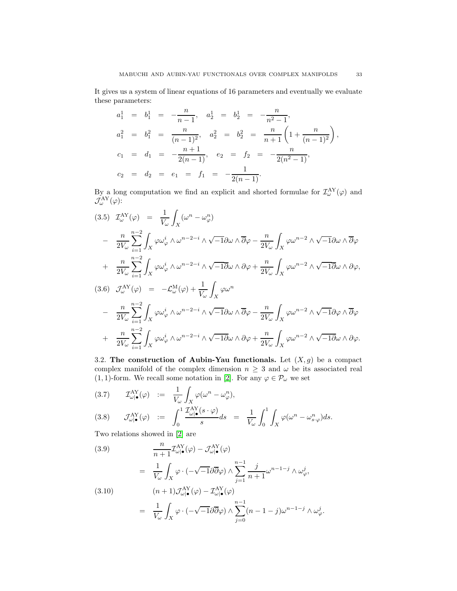It gives us a system of linear equations of 16 parameters and eventually we evaluate these parameters:

$$
a_1^1 = b_1^1 = -\frac{n}{n-1}, \quad a_2^1 = b_2^1 = -\frac{n}{n^2-1},
$$
  
\n
$$
a_1^2 = b_1^2 = \frac{n}{(n-1)^2}, \quad a_2^2 = b_2^2 = \frac{n}{n+1} \left( 1 + \frac{n}{(n-1)^2} \right),
$$
  
\n
$$
c_1 = d_1 = -\frac{n+1}{2(n-1)}, \quad e_2 = f_2 = -\frac{n}{2(n^2-1)},
$$
  
\n
$$
c_2 = d_2 = e_1 = f_1 = -\frac{1}{2(n-1)}.
$$

By a long computation we find an explicit and shorted formulae for  $\mathcal{I}^{\text{AY}}_{\omega}(\varphi)$  and  $\mathcal{J}^{\rm AY}_{\omega}(\varphi)$ :

$$
(3.5) \quad \mathcal{I}_{\omega}^{\mathcal{A}Y}(\varphi) = \frac{1}{V_{\omega}} \int_{X} (\omega^{n} - \omega_{\varphi}^{n})
$$
\n
$$
- \frac{n}{2V_{\omega}} \sum_{i=1}^{n-2} \int_{X} \varphi \omega_{\varphi}^{i} \wedge \omega^{n-2-i} \wedge \sqrt{-1} \partial \omega \wedge \partial \varphi - \frac{n}{2V_{\omega}} \int_{X} \varphi \omega^{n-2} \wedge \sqrt{-1} \partial \omega \wedge \partial \varphi
$$
\n
$$
+ \frac{n}{2V_{\omega}} \sum_{i=1}^{n-2} \int_{X} \varphi \omega_{\varphi}^{i} \wedge \omega^{n-2-i} \wedge \sqrt{-1} \partial \omega \wedge \partial \varphi + \frac{n}{2V_{\omega}} \int_{X} \varphi \omega^{n-2} \wedge \sqrt{-1} \partial \omega \wedge \partial \varphi,
$$
\n
$$
(3.6) \quad \mathcal{J}_{\omega}^{\mathcal{A}Y}(\varphi) = -\mathcal{L}_{\omega}^{\mathcal{M}}(\varphi) + \frac{1}{V_{\omega}} \int_{X} \varphi \omega^{n}
$$
\n
$$
- \frac{n}{2V_{\omega}} \sum_{i=1}^{n-2} \int_{X} \varphi \omega_{\varphi}^{i} \wedge \omega^{n-2-i} \wedge \sqrt{-1} \partial \omega \wedge \overline{\partial} \varphi - \frac{n}{2V_{\omega}} \int_{X} \varphi \omega^{n-2} \wedge \sqrt{-1} \partial \varphi \wedge \overline{\partial} \varphi
$$
\n
$$
+ \frac{n}{2V_{\omega}} \sum_{i=1}^{n-2} \int_{X} \varphi \omega_{\varphi}^{i} \wedge \omega^{n-2-i} \wedge \sqrt{-1} \partial \omega \wedge \partial \varphi + \frac{n}{2V_{\omega}} \int_{X} \varphi \omega^{n-2} \wedge \sqrt{-1} \partial \omega \wedge \partial \varphi.
$$

<span id="page-32-0"></span>3.2. The construction of Aubin-Yau functionals. Let  $(X, g)$  be a compact complex manifold of the complex dimension  $n \geq 3$  and  $\omega$  be its associated real (1, 1)-form. We recall some notation in [\[2\]](#page-46-0). For any  $\varphi \in \mathcal{P}_{\omega}$  we set

(3.7) 
$$
\mathcal{I}^{AY}_{\omega|\bullet}(\varphi) := \frac{1}{V_{\omega}} \int_X \varphi(\omega^n - \omega_{\varphi}^n),
$$
  
(3.8) 
$$
\mathcal{I}^{AY}_{\omega|\bullet}(\varphi) := \int_0^1 \frac{\mathcal{I}^{AY}_{\omega|\bullet}(s \cdot \varphi)}{s} ds = \frac{1}{V_{\omega}} \int_0^1 \int_X \varphi(\omega^n - \omega_{s \cdot \varphi}^n) ds.
$$

Two relations showed in [\[2\]](#page-46-0) are

<span id="page-32-1"></span>(3.9)  
\n
$$
\frac{n}{n+1} \mathcal{I}^{\text{AY}}_{\omega|\bullet}(\varphi) - \mathcal{J}^{\text{AY}}_{\omega|\bullet}(\varphi)
$$
\n
$$
= \frac{1}{V_{\omega}} \int_X \varphi \cdot (-\sqrt{-1} \partial \overline{\partial} \varphi) \wedge \sum_{j=1}^{n-1} \frac{j}{n+1} \omega^{n-1-j} \wedge \omega_{\varphi}^j,
$$
\n(3.10)  
\n
$$
(n+1) \mathcal{J}^{\text{AY}}_{\omega|\bullet}(\varphi) - \mathcal{I}^{\text{AY}}_{\omega|\bullet}(\varphi)
$$

$$
= \frac{1}{V_{\omega}} \int_X \varphi \cdot (-\sqrt{-1} \partial \overline{\partial} \varphi) \wedge \sum_{j=0}^{n-1} (n-1-j) \omega^{n-1-j} \wedge \omega_{\varphi}^j.
$$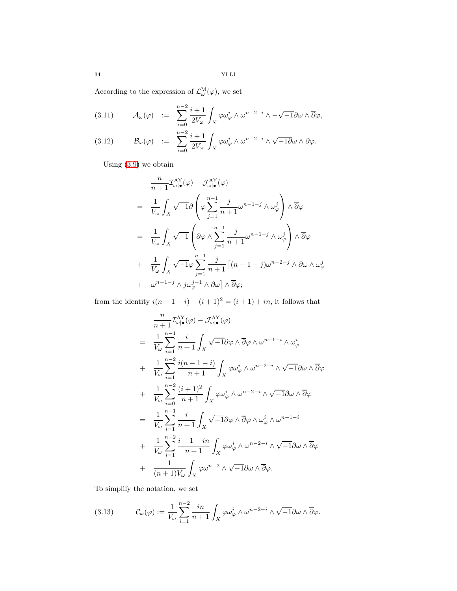According to the expression of  $\mathcal{L}^{\text{M}}_{\omega}(\varphi)$ , we set

(3.11) 
$$
\mathcal{A}_{\omega}(\varphi) := \sum_{i=0}^{n-2} \frac{i+1}{2V_{\omega}} \int_X \varphi \omega_{\varphi}^i \wedge \omega^{n-2-i} \wedge -\sqrt{-1} \partial \omega \wedge \overline{\partial} \varphi,
$$

(3.12) 
$$
\mathcal{B}_{\omega}(\varphi) \quad := \quad \sum_{i=0}^{n-2} \frac{i+1}{2V_{\omega}} \int_X \varphi \omega_{\varphi}^i \wedge \omega^{n-2-i} \wedge \sqrt{-1} \partial \omega \wedge \partial \varphi.
$$

Using [\(3.9\)](#page-32-1) we obtain

$$
\frac{n}{n+1} \mathcal{I}^{AY}_{\omega|\bullet}(\varphi) - \mathcal{J}^{AY}_{\omega|\bullet}(\varphi)
$$
\n
$$
= \frac{1}{V_{\omega}} \int_{X} \sqrt{-1} \partial \left( \varphi \sum_{j=1}^{n-1} \frac{j}{n+1} \omega^{n-1-j} \wedge \omega_{\varphi}^{j} \right) \wedge \overline{\partial} \varphi
$$
\n
$$
= \frac{1}{V_{\omega}} \int_{X} \sqrt{-1} \left( \partial \varphi \wedge \sum_{j=1}^{n-1} \frac{j}{n+1} \omega^{n-1-j} \wedge \omega_{\varphi}^{j} \right) \wedge \overline{\partial} \varphi
$$
\n
$$
+ \frac{1}{V_{\omega}} \int_{X} \sqrt{-1} \varphi \sum_{j=1}^{n-1} \frac{j}{n+1} \left[ (n-1-j) \omega^{n-2-j} \wedge \partial \omega \wedge \omega_{\varphi}^{j} \right]
$$
\n
$$
+ \omega^{n-1-j} \wedge j \omega_{\varphi}^{j-1} \wedge \partial \omega \right] \wedge \overline{\partial} \varphi;
$$

from the identity  $i(n - 1 - i) + (i + 1)^2 = (i + 1) + in$ , it follows that

$$
\frac{n}{n+1} \mathcal{I}^{\text{AY}}_{\omega|\bullet}(\varphi) - \mathcal{J}^{\text{AY}}_{\omega|\bullet}(\varphi)
$$
\n
$$
= \frac{1}{V_{\omega}} \sum_{i=1}^{n-1} \frac{i}{n+1} \int_{X} \sqrt{-1} \partial \varphi \wedge \overline{\partial} \varphi \wedge \omega^{n-1-i} \wedge \omega_{\varphi}^{i}
$$
\n
$$
+ \frac{1}{V_{\omega}} \sum_{i=1}^{n-2} \frac{i(n-1-i)}{n+1} \int_{X} \varphi \omega_{\varphi}^{i} \wedge \omega^{n-2-i} \wedge \sqrt{-1} \partial \omega \wedge \overline{\partial} \varphi
$$
\n
$$
+ \frac{1}{V_{\omega}} \sum_{i=0}^{n-2} \frac{(i+1)^{2}}{n+1} \int_{X} \varphi \omega_{\varphi}^{i} \wedge \omega^{n-2-i} \wedge \sqrt{-1} \partial \omega \wedge \overline{\partial} \varphi
$$
\n
$$
= \frac{1}{V_{\omega}} \sum_{i=1}^{n-1} \frac{i}{n+1} \int_{X} \sqrt{-1} \partial \varphi \wedge \overline{\partial} \varphi \wedge \omega_{\varphi}^{i} \wedge \omega^{n-1-i}
$$
\n
$$
+ \frac{1}{V_{\omega}} \sum_{i=1}^{n-2} \frac{i+1+in}{n+1} \int_{X} \varphi \omega_{\varphi}^{i} \wedge \omega^{n-2-i} \wedge \sqrt{-1} \partial \omega \wedge \overline{\partial} \varphi
$$
\n
$$
+ \frac{1}{(n+1)V_{\omega}} \int_{X} \varphi \omega^{n-2} \wedge \sqrt{-1} \partial \omega \wedge \overline{\partial} \varphi.
$$

To simplify the notation, we set

(3.13) 
$$
\mathcal{C}_{\omega}(\varphi) := \frac{1}{V_{\omega}} \sum_{i=1}^{n-2} \frac{in}{n+1} \int_{X} \varphi \omega_{\varphi}^{i} \wedge \omega^{n-2-i} \wedge \sqrt{-1} \partial \omega \wedge \overline{\partial} \varphi.
$$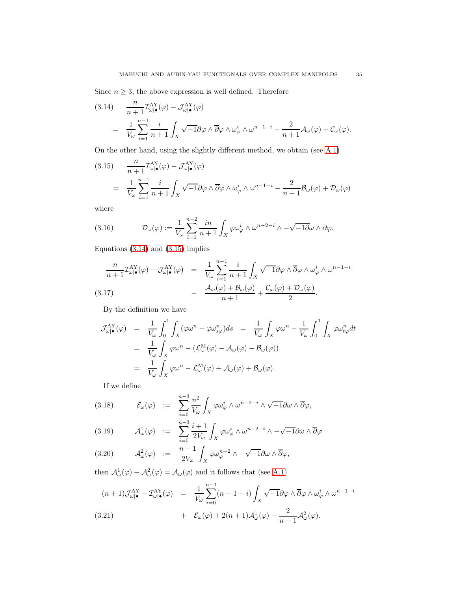Since  $n \geq 3$ , the above expression is well defined. Therefore

<span id="page-34-0"></span>(3.14) 
$$
\frac{n}{n+1} \mathcal{I}^{AY}_{\omega|\bullet}(\varphi) - \mathcal{J}^{AY}_{\omega|\bullet}(\varphi)
$$

$$
= \frac{1}{V_{\omega}} \sum_{i=1}^{n-1} \frac{i}{n+1} \int_X \sqrt{-1} \partial \varphi \wedge \overline{\partial} \varphi \wedge \omega_{\varphi}^i \wedge \omega^{n-1-i} - \frac{2}{n+1} \mathcal{A}_{\omega}(\varphi) + \mathcal{C}_{\omega}(\varphi).
$$

On the other hand, using the slightly different method, we obtain (see [A.1\)](#page-37-1)

<span id="page-34-2"></span>(3.15) 
$$
\frac{n}{n+1} \mathcal{I}^{\text{AY}}_{\omega|\bullet}(\varphi) - \mathcal{J}^{\text{AY}}_{\omega|\bullet}(\varphi)
$$

$$
= \frac{1}{V_{\omega}} \sum_{i=1}^{n-1} \frac{i}{n+1} \int_X \sqrt{-1} \partial \varphi \wedge \overline{\partial} \varphi \wedge \omega_{\varphi}^i \wedge \omega^{n-1-i} - \frac{2}{n+1} \mathcal{B}_{\omega}(\varphi) + \mathcal{D}_{\omega}(\varphi)
$$

where

(3.16) 
$$
\mathcal{D}_{\omega}(\varphi) := \frac{1}{V_{\omega}} \sum_{i=1}^{n-2} \frac{in}{n+1} \int_{X} \varphi \omega_{\varphi}^{i} \wedge \omega^{n-2-i} \wedge -\sqrt{-1} \partial \omega \wedge \partial \varphi.
$$

Equations  $(3.14)$  and  $(3.15)$  implies

<span id="page-34-3"></span>
$$
\frac{n}{n+1} \mathcal{I}^{\text{AY}}_{\omega|\bullet}(\varphi) - \mathcal{J}^{\text{AY}}_{\omega|\bullet}(\varphi) = \frac{1}{V_{\omega}} \sum_{i=1}^{n-1} \frac{i}{n+1} \int_X \sqrt{-1} \partial \varphi \wedge \overline{\partial} \varphi \wedge \omega_{\varphi}^i \wedge \omega^{n-1-i}
$$
\n
$$
(3.17) \qquad - \frac{\mathcal{A}_{\omega}(\varphi) + \mathcal{B}_{\omega}(\varphi)}{n+1} + \frac{\mathcal{C}_{\omega}(\varphi) + \mathcal{D}_{\omega}(\varphi)}{2}.
$$

By the definition we have

$$
\mathcal{J}^{\text{AY}}_{\omega|\bullet}(\varphi) = \frac{1}{V_{\omega}} \int_0^1 \int_X (\varphi \omega^n - \varphi \omega^n_{s\varphi}) ds = \frac{1}{V_{\omega}} \int_X \varphi \omega^n - \frac{1}{V_{\omega}} \int_0^1 \int_X \varphi \omega^n_{t\varphi} dt
$$
  
\n
$$
= \frac{1}{V_{\omega}} \int_X \varphi \omega^n - (\mathcal{L}^{\text{M}}_{\omega}(\varphi) - \mathcal{A}_{\omega}(\varphi) - \mathcal{B}_{\omega}(\varphi))
$$
  
\n
$$
= \frac{1}{V_{\omega}} \int_X \varphi \omega^n - \mathcal{L}^{\text{M}}_{\omega}(\varphi) + \mathcal{A}_{\omega}(\varphi) + \mathcal{B}_{\omega}(\varphi).
$$

If we define

(3.18) 
$$
\mathcal{E}_{\omega}(\varphi) \quad := \quad \sum_{i=0}^{n-3} \frac{n^2}{V_{\omega}} \int_X \varphi \omega_{\varphi}^i \wedge \omega^{n-2-i} \wedge \sqrt{-1} \partial \omega \wedge \overline{\partial} \varphi,
$$

(3.19) 
$$
\mathcal{A}^{1}_{\omega}(\varphi) \quad := \quad \sum_{i=0}^{n-3} \frac{i+1}{2V_{\omega}} \int_{X} \varphi \omega_{\varphi}^{i} \wedge \omega^{n-2-i} \wedge -\sqrt{-1} \partial \omega \wedge \overline{\partial} \varphi
$$

(3.20) 
$$
\mathcal{A}^2_{\omega}(\varphi) \quad := \quad \frac{n-1}{2V_{\omega}} \int_X \varphi \omega_{\varphi}^{n-2} \wedge -\sqrt{-1} \partial \omega \wedge \overline{\partial} \varphi,
$$

then  $\mathcal{A}^1_\omega(\varphi) + \mathcal{A}^2_\omega(\varphi) = \mathcal{A}_\omega(\varphi)$  and it follows that (see [A.1\)](#page-37-1)

<span id="page-34-1"></span>
$$
(n+1)\mathcal{J}_{\omega|\bullet}^{\text{AY}} - \mathcal{I}_{\omega|\bullet}^{\text{AY}}(\varphi) = \frac{1}{V_{\omega}} \sum_{i=0}^{n-1} (n-1-i) \int_X \sqrt{-1} \partial \varphi \wedge \overline{\partial} \varphi \wedge \omega_{\varphi}^i \wedge \omega^{n-1-i} + \mathcal{E}_{\omega}(\varphi) + 2(n+1) \mathcal{A}_{\omega}^1(\varphi) - \frac{2}{n-1} \mathcal{A}_{\omega}^2(\varphi).
$$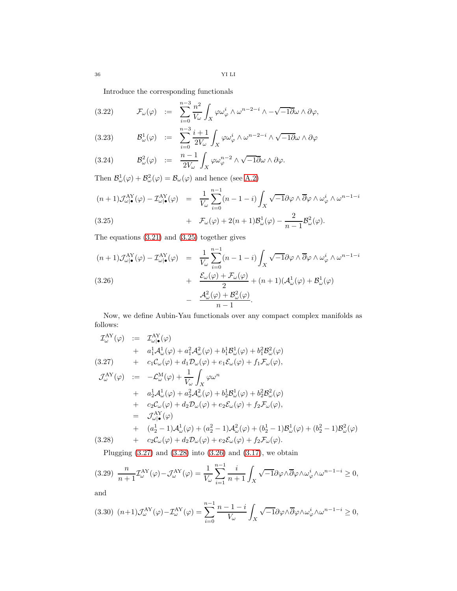Introduce the corresponding functionals

(3.22) 
$$
\mathcal{F}_{\omega}(\varphi) \quad := \quad \sum_{i=0}^{n-3} \frac{n^2}{V_{\omega}} \int_X \varphi \omega_{\varphi}^i \wedge \omega^{n-2-i} \wedge -\sqrt{-1} \partial \omega \wedge \partial \varphi,
$$

(3.23) 
$$
\mathcal{B}^1_{\omega}(\varphi) \quad := \quad \sum_{i=0}^{n-3} \frac{i+1}{2V_{\omega}} \int_X \varphi \omega_{\varphi}^i \wedge \omega^{n-2-i} \wedge \sqrt{-1} \partial \omega \wedge \partial \varphi
$$

(3.24) 
$$
\mathcal{B}_{\omega}^{2}(\varphi) \quad := \quad \frac{n-1}{2V_{\omega}} \int_{X} \varphi \omega_{\varphi}^{n-2} \wedge \sqrt{-1} \overline{\partial} \omega \wedge \partial \varphi.
$$

Then  $\mathcal{B}^1_{\omega}(\varphi) + \mathcal{B}^2_{\omega}(\varphi) = \mathcal{B}_{\omega}(\varphi)$  and hence (see [A.2\)](#page-39-0)

<span id="page-35-0"></span>
$$
(n+1)\mathcal{J}^{\text{AY}}_{\omega|\bullet}(\varphi) - \mathcal{I}^{\text{AY}}_{\omega|\bullet}(\varphi) = \frac{1}{V_{\omega}} \sum_{i=0}^{n-1} (n-1-i) \int_X \sqrt{-1} \partial \varphi \wedge \overline{\partial} \varphi \wedge \omega_{\varphi}^i \wedge \omega^{n-1-i}
$$
  
(3.25) 
$$
+ \mathcal{F}_{\omega}(\varphi) + 2(n+1) \mathcal{B}^1_{\omega}(\varphi) - \frac{2}{n-1} \mathcal{B}^2_{\omega}(\varphi).
$$

The equations [\(3.21\)](#page-34-1) and [\(3.25\)](#page-35-0) together gives

<span id="page-35-2"></span>
$$
(n+1)\mathcal{J}^{\text{AY}}_{\omega|\bullet}(\varphi) - \mathcal{I}^{\text{AY}}_{\omega|\bullet}(\varphi) = \frac{1}{V_{\omega}} \sum_{i=0}^{n-1} (n-1-i) \int_X \sqrt{-1} \partial \varphi \wedge \overline{\partial} \varphi \wedge \omega_{\varphi}^i \wedge \omega^{n-1-i} + \frac{\mathcal{E}_{\omega}(\varphi) + \mathcal{F}_{\omega}(\varphi)}{2} + (n+1)(\mathcal{A}_{\omega}^1(\varphi) + \mathcal{B}_{\omega}^1(\varphi) - \frac{\mathcal{A}_{\omega}^2(\varphi) + \mathcal{B}_{\omega}^2(\varphi)}{n-1}.
$$

Now, we define Aubin-Yau functionals over any compact complex manifolds as follows:

<span id="page-35-1"></span>
$$
\mathcal{I}^{AY}_{\omega}(\varphi) := \mathcal{I}^{AY}_{\omega|\bullet}(\varphi)
$$
\n+  $a_1^1 \mathcal{A}^1_{\omega}(\varphi) + a_1^2 \mathcal{A}^2_{\omega}(\varphi) + b_1^1 \mathcal{B}^1_{\omega}(\varphi) + b_1^2 \mathcal{B}^2_{\omega}(\varphi)$ \n(3.27) +  $c_1 \mathcal{C}_{\omega}(\varphi) + d_1 \mathcal{D}_{\omega}(\varphi) + e_1 \mathcal{E}_{\omega}(\varphi) + f_1 \mathcal{F}_{\omega}(\varphi),$   
\n
$$
\mathcal{J}^{AY}_{\omega}(\varphi) := -\mathcal{L}^M_{\omega}(\varphi) + \frac{1}{V_{\omega}} \int_X \varphi \omega^n
$$
\n+  $a_2^1 \mathcal{A}^1_{\omega}(\varphi) + a_2^2 \mathcal{A}^2_{\omega}(\varphi) + b_2^1 \mathcal{B}^1_{\omega}(\varphi) + b_2^2 \mathcal{B}^2_{\omega}(\varphi)$   
\n+  $c_2 \mathcal{C}_{\omega}(\varphi) + d_2 \mathcal{D}_{\omega}(\varphi) + e_2 \mathcal{E}_{\omega}(\varphi) + f_2 \mathcal{F}_{\omega}(\varphi),$   
\n=  $\mathcal{J}^{AY}_{\omega|\bullet}(\varphi)$   
\n+  $(a_2^1 - 1) \mathcal{A}^1_{\omega}(\varphi) + (a_2^2 - 1) \mathcal{A}^2_{\omega}(\varphi) + (b_2^1 - 1) \mathcal{B}^1_{\omega}(\varphi) + (b_2^2 - 1) \mathcal{B}^2_{\omega}(\varphi)$   
\n(3.28) +  $c_2 \mathcal{C}_{\omega}(\varphi) + d_2 \mathcal{D}_{\omega}(\varphi) + e_2 \mathcal{E}_{\omega}(\varphi) + f_2 \mathcal{F}_{\omega}(\varphi).$ 

Plugging  $(3.27)$  and  $(3.28)$  into  $(3.26)$  and  $(3.17)$ , we obtain

<span id="page-35-3"></span>
$$
(3.29)\ \ \frac{n}{n+1}\mathcal{I}^{\text{AY}}_{\omega}(\varphi)-\mathcal{J}^{\text{AY}}_{\omega}(\varphi)=\frac{1}{V_{\omega}}\sum_{i=1}^{n-1}\frac{i}{n+1}\int_X\sqrt{-1}\partial\varphi\wedge\overline{\partial}\varphi\wedge\omega_{\varphi}^i\wedge\omega^{n-1-i}\geq 0,
$$

and

<span id="page-35-4"></span>
$$
(3.30)\ \ (n+1)\mathcal{J}^{\text{AY}}_{\omega}(\varphi) - \mathcal{I}^{\text{AY}}_{\omega}(\varphi) = \sum_{i=0}^{n-1} \frac{n-1-i}{V_{\omega}} \int_X \sqrt{-1} \partial \varphi \wedge \overline{\partial} \varphi \wedge \omega_{\varphi}^i \wedge \omega^{n-1-i} \geq 0,
$$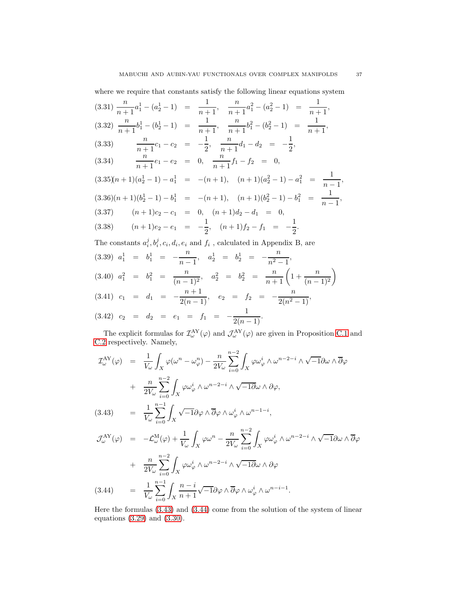where we require that constants satisfy the following linear equations system

<span id="page-36-1"></span>
$$
(3.31) \frac{n}{n+1}a_1^1 - (a_2^1 - 1) = \frac{1}{n+1}, \frac{n}{n+1}a_1^2 - (a_2^2 - 1) = \frac{1}{n+1},
$$
  

$$
(3.32) \frac{n}{n+1}b_1^1 - (b_2^1 - 1) = \frac{1}{n+1}, \frac{n}{n+1}b_1^2 - (b_2^2 - 1) = \frac{1}{n+1},
$$
  

$$
(3.33) \frac{n}{n+1}c_1 - c_2 = -\frac{1}{2}, \frac{n}{n+1}d_1 - d_2 = -\frac{1}{2},
$$

(3.33) 
$$
\frac{n}{n+1}c_1 - c_2 = -\frac{1}{2}, \frac{n}{n+1}d_1 - d_2 = -\frac{1}{2},
$$
  
(3.34) 
$$
\frac{n}{n+1}e_1 - e_2 = 0, \frac{n}{n+1}f_1 - f_2 = 0,
$$

$$
(3.35)(n+1)(a_2^1 - 1) - a_1^1 = -(n+1), (n+1)(a_2^2 - 1) - a_1^2 = \frac{1}{n-1},
$$
  
\n
$$
(3.36)(n+1)(b_2^1 - 1) - b_1^1 = -(n+1), (n+1)(b_2^2 - 1) - b_1^2 = \frac{1}{n-1},
$$
  
\n
$$
(3.37)(n+1)c_2 - c_1 = 0, (n+1)d_2 - d_1 = 0,
$$
  
\n
$$
(3.38)(n+1)e_2 - e_1 = -\frac{1}{2}, (n+1)f_2 - f_1 = -\frac{1}{2}.
$$

The constants  $a_i^j, b_i^j, c_i, d_i, e_i$  and  $f_i$ , calculated in Appendix B, are

$$
(3.39) \quad a_1^1 = b_1^1 = -\frac{n}{n-1}, \quad a_2^1 = b_2^1 = -\frac{n}{n^2-1},
$$
\n
$$
(3.40) \quad a_1^2 = b_1^2 = \frac{n}{(n-1)^2}, \quad a_2^2 = b_2^2 = \frac{n}{n+1} \left( 1 + \frac{n}{(n-1)^2} \right)
$$
\n
$$
(3.41) \quad c_1 = d_1 = -\frac{n+1}{2(n-1)}, \quad e_2 = f_2 = -\frac{n}{2(n^2-1)},
$$
\n
$$
(3.42) \quad c_2 = d_2 = e_1 = f_1 = -\frac{1}{2(n-1)}.
$$

The explicit formulas for  $\mathcal{I}^{AY}_{\omega}(\varphi)$  and  $\mathcal{J}^{AY}_{\omega}(\varphi)$  are given in Proposition [C.1](#page-43-0) and [C.2](#page-45-0) respectively. Namely,

<span id="page-36-0"></span>
$$
\mathcal{I}_{\omega}^{\text{AY}}(\varphi) = \frac{1}{V_{\omega}} \int_{X} \varphi(\omega^{n} - \omega_{\varphi}^{n}) - \frac{n}{2V_{\omega}} \sum_{i=0}^{n-2} \int_{X} \varphi \omega_{\varphi}^{i} \wedge \omega^{n-2-i} \wedge \sqrt{-1} \partial \omega \wedge \overline{\partial} \varphi
$$
  
+ 
$$
\frac{n}{2V_{\omega}} \sum_{i=0}^{n-2} \int_{X} \varphi \omega_{\varphi}^{i} \wedge \omega^{n-2-i} \wedge \sqrt{-1} \partial \omega \wedge \partial \varphi,
$$
  
(3.43) 
$$
= \frac{1}{V_{\omega}} \sum_{i=0}^{n-1} \int_{X} \sqrt{-1} \partial \varphi \wedge \overline{\partial} \varphi \wedge \omega_{\varphi}^{i} \wedge \omega^{n-1-i},
$$
  

$$
\mathcal{I}_{\omega}^{\text{AY}}(\varphi) = -\mathcal{L}_{\omega}^{\text{M}}(\varphi) + \frac{1}{V_{\omega}} \int_{X} \varphi \omega^{n} - \frac{n}{2V_{\omega}} \sum_{i=0}^{n-2} \int_{X} \varphi \omega_{\varphi}^{i} \wedge \omega^{n-2-i} \wedge \sqrt{-1} \partial \omega \wedge \overline{\partial} \varphi
$$
  
+ 
$$
\frac{n}{2V_{\omega}} \sum_{i=0}^{n-2} \int_{X} \varphi \omega_{\varphi}^{i} \wedge \omega^{n-2-i} \wedge \sqrt{-1} \partial \omega \wedge \partial \varphi
$$

(3.44) 
$$
= \frac{1}{V_{\omega}} \sum_{i=0}^{n-1} \int_{X} \frac{n-i}{n+1} \sqrt{-1} \partial \varphi \wedge \overline{\partial} \varphi \wedge \omega_{\varphi}^{i} \wedge \omega^{n-i-1}.
$$

X

Here the formulas [\(3.43\)](#page-36-0) and [\(3.44\)](#page-36-0) come from the solution of the system of linear equations [\(3.29\)](#page-35-3) and [\(3.30\)](#page-35-4).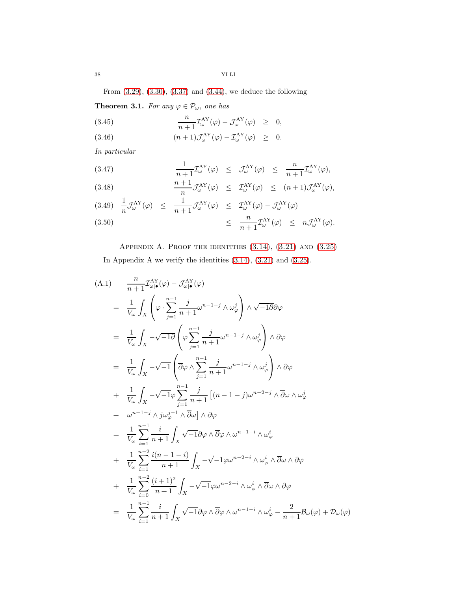From [\(3.29\)](#page-35-3), [\(3.30\)](#page-35-4), [\(3.37\)](#page-36-1) and [\(3.44\)](#page-36-0), we deduce the following

**Theorem 3.1.** For any  $\varphi \in \mathcal{P}_{\omega}$ , one has

(3.45) 
$$
\frac{n}{n+1} \mathcal{I}_{\omega}^{\text{AY}}(\varphi) - \mathcal{J}_{\omega}^{\text{AY}}(\varphi) \geq 0,
$$

(3.46)  $(n+1)\mathcal{J}^{\text{AY}}_{\omega}(\varphi) - \mathcal{I}^{\text{AY}}_{\omega}(\varphi) \geq 0.$ 

In particular

(3.47) 
$$
\frac{1}{n+1} \mathcal{I}_{\omega}^{\mathbf{AY}}(\varphi) \leq \mathcal{J}_{\omega}^{\mathbf{AY}}(\varphi) \leq \frac{n}{n+1} \mathcal{I}_{\omega}^{\mathbf{AY}}(\varphi),
$$

(3.48) 
$$
\frac{n+1}{n} \mathcal{J}^{\text{AY}}_{\omega}(\varphi) \leq \mathcal{I}^{\text{AY}}_{\omega}(\varphi) \leq (n+1) \mathcal{J}^{\text{AY}}_{\omega}(\varphi),
$$

(3.49) 
$$
\frac{1}{n} \mathcal{J}_{\omega}^{\text{AY}}(\varphi) \leq \frac{1}{n+1} \mathcal{J}_{\omega}^{\text{AY}}(\varphi) \leq \mathcal{I}_{\omega}^{\text{AY}}(\varphi) - \mathcal{J}_{\omega}^{\text{AY}}(\varphi)
$$
  
 $\leq \frac{n}{n+1} \mathcal{I}_{\omega}^{\text{AY}}(\varphi) \leq n \mathcal{J}_{\omega}^{\text{AY}}(\varphi).$ 

<span id="page-37-0"></span>APPENDIX A. PROOF THE IDENTITIES  $(3.14)$ ,  $(3.21)$  AND  $(3.25)$ In Appendix A we verify the identities [\(3.14\)](#page-34-0), [\(3.21\)](#page-34-1) and [\(3.25\)](#page-35-0).

<span id="page-37-1"></span>
$$
(A.1) \frac{n}{n+1} \mathcal{I}_{\omega|\bullet}^{AY}(\varphi) - \mathcal{J}_{\omega|\bullet}^{AY}(\varphi)
$$
  
\n
$$
= \frac{1}{V_{\omega}} \int_{X} \left( \varphi \cdot \sum_{j=1}^{n-1} \frac{j}{n+1} \omega^{n-1-j} \wedge \omega_{\varphi}^{j} \right) \wedge \sqrt{-10} \partial \varphi
$$
  
\n
$$
= \frac{1}{V_{\omega}} \int_{X} -\sqrt{-10} \left( \varphi \sum_{j=1}^{n-1} \frac{j}{n+1} \omega^{n-1-j} \wedge \omega_{\varphi}^{j} \right) \wedge \partial \varphi
$$
  
\n
$$
= \frac{1}{V_{\omega}} \int_{X} -\sqrt{-1} \left( \overline{\partial} \varphi \wedge \sum_{j=1}^{n-1} \frac{j}{n+1} \omega^{n-1-j} \wedge \omega_{\varphi}^{j} \right) \wedge \partial \varphi
$$
  
\n
$$
+ \frac{1}{V_{\omega}} \int_{X} -\sqrt{-1} \varphi \sum_{j=1}^{n-1} \frac{j}{n+1} \left[ (n-1-j) \omega^{n-2-j} \wedge \overline{\partial} \omega \wedge \omega_{\varphi}^{j} \right]
$$
  
\n
$$
+ \omega^{n-1-j} \wedge j \omega_{\varphi}^{j-1} \wedge \overline{\partial} \omega \right) \wedge \partial \varphi
$$
  
\n
$$
= \frac{1}{V_{\omega}} \sum_{i=1}^{n-1} \frac{i}{n+1} \int_{X} \sqrt{-1} \partial \varphi \wedge \overline{\partial} \varphi \wedge \omega^{n-1-i} \wedge \omega_{\varphi}^{i}
$$
  
\n
$$
+ \frac{1}{V_{\omega}} \sum_{i=1}^{n-2} \frac{i(n-1-i)}{n+1} \int_{X} -\sqrt{-1} \varphi \omega^{n-2-i} \wedge \omega_{\varphi}^{i} \wedge \overline{\partial} \omega \wedge \partial \varphi
$$
  
\n
$$
+ \frac{1}{V_{\omega}} \sum_{i=0}^{n-2} \frac{(i+1)^{2}}{n+1} \int_{X} -\sqrt{-1} \varphi \omega^{n-
$$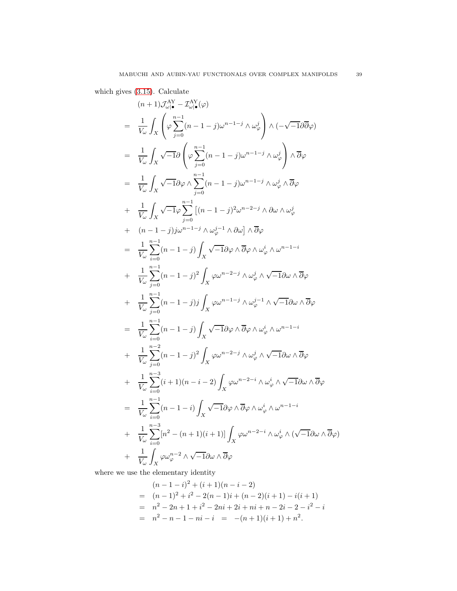which gives [\(3.15\)](#page-34-2). Calculate

$$
(n+1) \mathcal{J}_{\omega|}^{N} - \mathcal{I}_{\omega|}^{N}(\varphi)
$$
\n
$$
= \frac{1}{V_{\omega}} \int_{X} \left( \varphi \sum_{j=0}^{n-1} (n-1-j) \omega^{n-1-j} \wedge \omega_{\varphi}^{j} \right) \wedge \left( -\sqrt{-1} \partial \overline{\partial} \varphi \right)
$$
\n
$$
= \frac{1}{V_{\omega}} \int_{X} \sqrt{-1} \partial \left( \varphi \sum_{j=0}^{n-1} (n-1-j) \omega^{n-1-j} \wedge \omega_{\varphi}^{j} \right) \wedge \overline{\partial} \varphi
$$
\n
$$
= \frac{1}{V_{\omega}} \int_{X} \sqrt{-1} \partial \varphi \wedge \sum_{j=0}^{n-1} (n-1-j) \omega^{n-1-j} \wedge \omega_{\varphi}^{j} \wedge \overline{\partial} \varphi
$$
\n
$$
+ \frac{1}{V_{\omega}} \int_{X} \sqrt{-1} \varphi \sum_{j=0}^{n-1} \left[ (n-1-j) \omega^{n-2-j} \wedge \partial \omega \wedge \omega_{\varphi}^{j} \right]
$$
\n
$$
+ (n-1-j) \jmath \omega^{n-1-j} \wedge \omega_{\varphi}^{j-1} \wedge \partial \omega \right] \wedge \overline{\partial} \varphi
$$
\n
$$
= \frac{1}{V_{\omega}} \sum_{i=0}^{n-1} (n-1-i) \int_{X} \sqrt{-1} \partial \varphi \wedge \overline{\partial} \varphi \wedge \omega_{\varphi}^{i} \wedge \omega^{n-1-i}
$$
\n
$$
+ \frac{1}{V_{\omega}} \sum_{j=0}^{n-1} (n-1-j) \int_{X} \varphi \omega^{n-2-j} \wedge \omega_{\varphi}^{j} \wedge \sqrt{-1} \partial \omega \wedge \overline{\partial} \varphi
$$
\n
$$
+ \frac{1}{V_{\omega}} \sum_{j=0}^{n-1} (n-1-j) \int_{X} \varphi \omega^{n-2-j} \wedge \omega_{\varphi}^{j} \wedge \sqrt{-1} \partial \omega \wedge \overline{\partial} \varphi
$$
\n
$$
= \frac{1}{V_{\omega
$$

where we use the elementary identity

$$
(n-1-i)^2 + (i+1)(n-i-2)
$$
  
=  $(n-1)^2 + i^2 - 2(n-1)i + (n-2)(i+1) - i(i+1)$   
=  $n^2 - 2n + 1 + i^2 - 2ni + 2i + ni + n - 2i - 2 - i^2 - i$   
=  $n^2 - n - 1 - ni - i = -(n+1)(i+1) + n^2$ .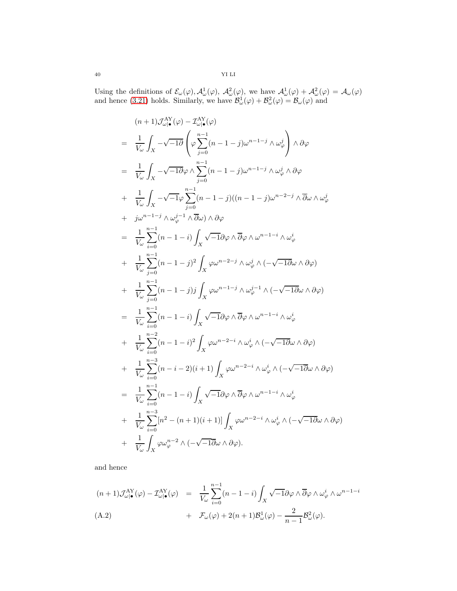Using the definitions of  $\mathcal{E}_{\omega}(\varphi), \mathcal{A}_{\omega}^{1}(\varphi), \mathcal{A}_{\omega}^{2}(\varphi)$ , we have  $\mathcal{A}_{\omega}^{1}(\varphi) + \mathcal{A}_{\omega}^{2}(\varphi) = \mathcal{A}_{\omega}(\varphi)$ and hence [\(3.21\)](#page-34-1) holds. Similarly, we have  $\mathcal{B}^1_\omega(\varphi) + \mathcal{B}^2_\omega(\varphi) = \mathcal{B}_\omega(\varphi)$  and

$$
(n+1) \mathcal{J}_{\omega|\bullet}^{\Delta Y}(\varphi) - \mathcal{I}_{\omega|\bullet}^{\Delta Y}(\varphi)
$$
\n
$$
= \frac{1}{V_{\omega}} \int_{X} -\sqrt{-1}\partial \left(\varphi \sum_{j=0}^{n-1} (n-1-j)\omega^{n-1-j} \wedge \omega_{\varphi}^{j}\right) \wedge \partial \varphi
$$
\n
$$
= \frac{1}{V_{\omega}} \int_{X} -\sqrt{-1}\partial \varphi \wedge \sum_{j=0}^{n-1} (n-1-j)\omega^{n-1-j} \wedge \omega_{\varphi}^{j} \wedge \partial \varphi
$$
\n
$$
+ \frac{1}{V_{\omega}} \int_{X} -\sqrt{-1}\varphi \sum_{j=0}^{n-1} (n-1-j)(n-1-j)\omega^{n-2-j} \wedge \overline{\partial}\omega \wedge \omega_{\varphi}^{j}
$$
\n
$$
+ j\omega^{n-1-j} \wedge \omega_{\varphi}^{j-1} \wedge \overline{\partial}\omega \wedge \partial \varphi
$$
\n
$$
= \frac{1}{V_{\omega}} \sum_{i=0}^{n-1} (n-1-i) \int_{X} \sqrt{-1}\partial \varphi \wedge \overline{\partial} \varphi \wedge \omega^{n-1-i} \wedge \omega_{\varphi}^{i}
$$
\n
$$
+ \frac{1}{V_{\omega}} \sum_{j=0}^{n-1} (n-1-j)^{2} \int_{X} \varphi \omega^{n-2-j} \wedge \omega_{\varphi}^{j} \wedge (-\sqrt{-1}\overline{\partial}\omega \wedge \partial \varphi)
$$
\n
$$
+ \frac{1}{V_{\omega}} \sum_{j=0}^{n-1} (n-1-j) j \int_{X} \varphi \omega^{n-1-j} \wedge \omega_{\varphi}^{j-1} \wedge (-\sqrt{-1}\overline{\partial}\omega \wedge \partial \varphi)
$$
\n
$$
= \frac{1}{V_{\omega}} \sum_{i=0}^{n-1} (n-1-i) \int_{X} \sqrt{-1}\partial \varphi \wedge \overline{\partial} \varphi \wedge \omega^{n-1-i} \wedge \omega_{\varphi}^{i}
$$
\n
$$
+ \frac{1}{V_{\omega}} \sum_{i=0}^{n-2} (n-1-i) \int
$$

and hence

<span id="page-39-0"></span>
$$
(n+1)\mathcal{J}^{\text{AY}}_{\omega|\bullet}(\varphi) - \mathcal{I}^{\text{AY}}_{\omega|\bullet}(\varphi) = \frac{1}{V_{\omega}} \sum_{i=0}^{n-1} (n-1-i) \int_X \sqrt{-1} \partial \varphi \wedge \overline{\partial} \varphi \wedge \omega_{\varphi}^i \wedge \omega^{n-1-i} + \mathcal{F}_{\omega}(\varphi) + 2(n+1) \mathcal{B}_{\omega}^1(\varphi) - \frac{2}{n-1} \mathcal{B}_{\omega}^2(\varphi).
$$
\n(A.2)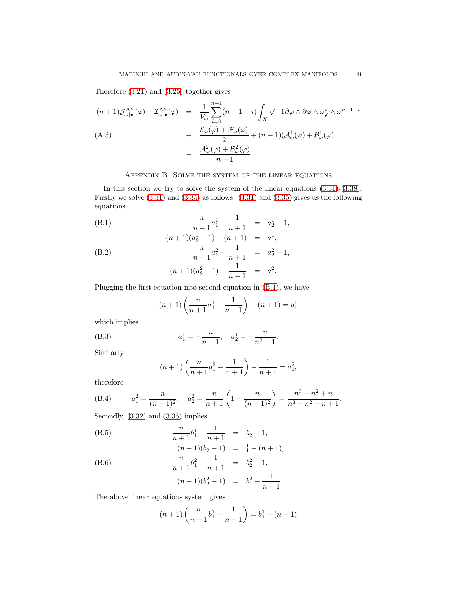Therefore [\(3.21\)](#page-34-1) and [\(3.25\)](#page-35-0) together gives

$$
(n+1)\mathcal{J}^{AY}_{\omega|\bullet}(\varphi) - \mathcal{I}^{AY}_{\omega|\bullet}(\varphi) = \frac{1}{V_{\omega}} \sum_{i=0}^{n-1} (n-1-i) \int_X \sqrt{-1} \partial \varphi \wedge \overline{\partial} \varphi \wedge \omega_{\varphi}^i \wedge \omega^{n-1-i} + \frac{\mathcal{E}_{\omega}(\varphi) + \mathcal{F}_{\omega}(\varphi)}{2} + (n+1)(\mathcal{A}^1_{\omega}(\varphi) + \mathcal{B}^1_{\omega}(\varphi) - \frac{\mathcal{A}^2_{\omega}(\varphi) + \mathcal{B}^2_{\omega}(\varphi)}{n-1}.
$$

# <span id="page-40-1"></span>Appendix B. Solve the system of the linear equations

<span id="page-40-0"></span>In this section we try to solve the system of the linear equations [\(3.31\)](#page-36-1)-[\(3.38\)](#page-36-1). Firstly we solve [\(3.31\)](#page-36-1) and [\(3.35\)](#page-36-1) as follows: [\(3.31\)](#page-36-1) and [\(3.35\)](#page-36-1) gives us the following equations

(B.1) 
$$
\frac{n}{n+1}a_1^1 - \frac{1}{n+1} = a_2^1 - 1,
$$

$$
(n+1)(a_2^1 - 1) + (n+1) = a_1^1,
$$

(B.2) 
$$
\frac{n}{n+1}a_1^2 - \frac{1}{n+1} = a_2^2 - 1,
$$

$$
(n+1)(a_2^2 - 1) - \frac{1}{n-1} = a_1^2.
$$

Plugging the first equation into second equation in [\(B.1\)](#page-40-1), we have

$$
(n+1)\left(\frac{n}{n+1}a_1^1 - \frac{1}{n+1}\right) + (n+1) = a_1^1
$$

which implies

(B.3) 
$$
a_1^1 = -\frac{n}{n-1}, \quad a_2^1 = -\frac{n}{n^2 - 1}.
$$

Similarly,

$$
(n+1)\left(\frac{n}{n+1}a_1^2 - \frac{1}{n+1}\right) - \frac{1}{n+1} = a_1^2,
$$

therefore

(B.4) 
$$
a_1^2 = \frac{n}{(n-1)^2}, \quad a_2^2 = \frac{n}{n+1} \left( 1 + \frac{n}{(n-1)^2} \right) = \frac{n^3 - n^2 + n}{n^3 - n^2 - n + 1}.
$$

Secondly, [\(3.32\)](#page-36-1) and [\(3.36\)](#page-36-1) implies

(B.5) 
$$
\frac{n}{n+1}b_1^1 - \frac{1}{n+1} = b_2^1 - 1,
$$

$$
(n+1)(b_2^1 - 1) = \frac{1}{1} - (n+1),
$$

(B.6) 
$$
\frac{n}{n+1}b_1^2 - \frac{1}{n+1} = b_2^2 - 1,
$$

$$
(n+1)(b_2^2 - 1) = b_1^2 + \frac{1}{n-1}.
$$

The above linear equations system gives

$$
(n+1)\left(\frac{n}{n+1}b_1^1 - \frac{1}{n+1}\right) = b_1^1 - (n+1)
$$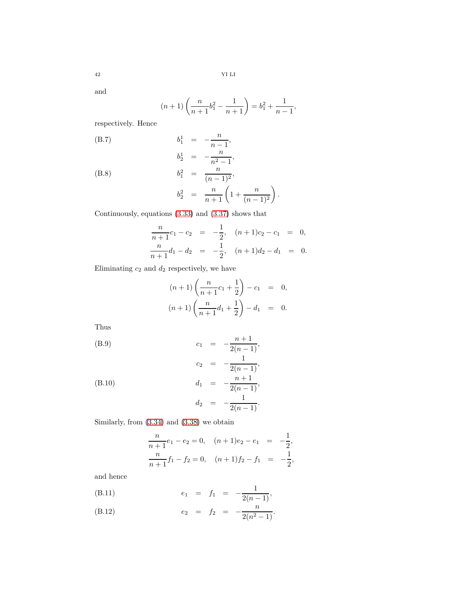and

$$
(n+1)\left(\frac{n}{n+1}b_1^2 - \frac{1}{n+1}\right) = b_1^2 + \frac{1}{n-1},
$$

respectively. Hence

(B.7) 
$$
b_1^1 = -\frac{n}{n-1},
$$

$$
b_2^1 = -\frac{n}{n^2-1},
$$

$$
b_3^1 = -\frac{n}{n^2-1}
$$

 $(B.8)$ 

$$
b_1^2 = \frac{n}{(n-1)^2},
$$
  
\n
$$
b_2^2 = \frac{n}{n+1} \left( 1 + \frac{n}{(n-1)^2} \right).
$$

 $-1$ ,

Continuously, equations [\(3.33\)](#page-36-1) and [\(3.37\)](#page-36-1) shows that

$$
\frac{n}{n+1}c_1 - c_2 = -\frac{1}{2}, \quad (n+1)c_2 - c_1 = 0,
$$
  

$$
\frac{n}{n+1}d_1 - d_2 = -\frac{1}{2}, \quad (n+1)d_2 - d_1 = 0.
$$

Eliminating  $c_2$  and  $d_2$  respectively, we have

$$
(n+1)\left(\frac{n}{n+1}c_1 + \frac{1}{2}\right) - c_1 = 0,
$$
  

$$
(n+1)\left(\frac{n}{n+1}d_1 + \frac{1}{2}\right) - d_1 = 0.
$$

Thus

(B.9) 
$$
c_1 = -\frac{n+1}{2(n-1)},
$$
  
\n $c_2 = -\frac{1}{2(n-1)},$   
\n(B.10)  $d_1 = -\frac{n+1}{2(n-1)}.$ 

(B.10) 
$$
d_1 = -\frac{n+1}{2(n-1)},
$$

$$
d_2 = -\frac{1}{2(n-1)}.
$$

Similarly, from [\(3.34\)](#page-36-1) and [\(3.38\)](#page-36-1) we obtain

$$
\frac{n}{n+1}e_1 - e_2 = 0, \quad (n+1)e_2 - e_1 = -\frac{1}{2},
$$
  

$$
\frac{n}{n+1}f_1 - f_2 = 0, \quad (n+1)f_2 - f_1 = -\frac{1}{2},
$$

and hence

(B.11) 
$$
e_1 = f_1 = -\frac{1}{2(n-1)},
$$

(B.12) 
$$
e_2 = f_2 = -\frac{n}{2(n^2 - 1)}
$$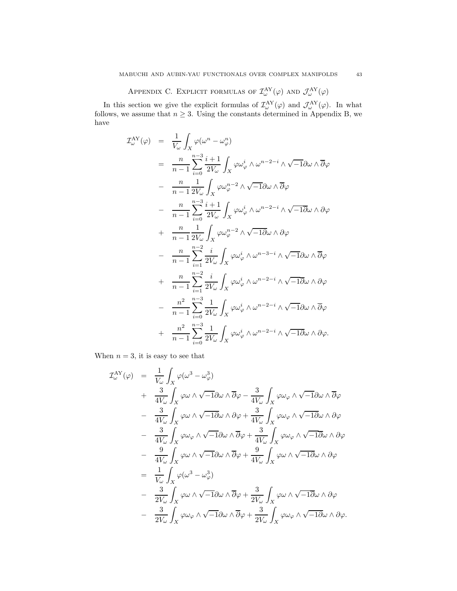APPENDIX C. EXPLICIT FORMULAS OF  $\mathcal{I}^{\text{AY}}_{\omega}(\varphi)$  and  $\mathcal{J}^{\text{AY}}_{\omega}(\varphi)$ 

<span id="page-42-0"></span>In this section we give the explicit formulas of  $\mathcal{I}^{\text{AY}}_{\omega}(\varphi)$  and  $\mathcal{J}^{\text{AY}}_{\omega}(\varphi)$ . In what follows, we assume that  $n \geq 3$ . Using the constants determined in Appendix B, we have

$$
T_{\omega}^{\text{AY}}(\varphi) = \frac{1}{V_{\omega}} \int_{X} \varphi(\omega^{n} - \omega_{\varphi}^{n})
$$
  
\n
$$
= \frac{n}{n-1} \sum_{i=0}^{n-3} \frac{i+1}{2V_{\omega}} \int_{X} \varphi \omega_{\varphi}^{i} \wedge \omega^{n-2-i} \wedge \sqrt{-1} \partial \omega \wedge \overline{\partial} \varphi
$$
  
\n
$$
- \frac{n}{n-1} \frac{1}{2V_{\omega}} \int_{X} \varphi \omega_{\varphi}^{n-2} \wedge \sqrt{-1} \partial \omega \wedge \overline{\partial} \varphi
$$
  
\n
$$
- \frac{n}{n-1} \sum_{i=0}^{n-3} \frac{i+1}{2V_{\omega}} \int_{X} \varphi \omega_{\varphi}^{i} \wedge \omega^{n-2-i} \wedge \sqrt{-1} \partial \omega \wedge \partial \varphi
$$
  
\n
$$
+ \frac{n}{n-1} \frac{1}{2V_{\omega}} \int_{X} \varphi \omega_{\varphi}^{n-2} \wedge \sqrt{-1} \partial \omega \wedge \partial \varphi
$$
  
\n
$$
- \frac{n}{n-1} \sum_{i=1}^{n-2} \frac{i}{2V_{\omega}} \int_{X} \varphi \omega_{\varphi}^{i} \wedge \omega^{n-3-i} \wedge \sqrt{-1} \partial \omega \wedge \overline{\partial} \varphi
$$
  
\n
$$
+ \frac{n}{n-1} \sum_{i=1}^{n-2} \frac{i}{2V_{\omega}} \int_{X} \varphi \omega_{\varphi}^{i} \wedge \omega^{n-2-i} \wedge \sqrt{-1} \partial \omega \wedge \partial \varphi
$$
  
\n
$$
- \frac{n^{2}}{n-1} \sum_{i=0}^{n-3} \frac{1}{2V_{\omega}} \int_{X} \varphi \omega_{\varphi}^{i} \wedge \omega^{n-2-i} \wedge \sqrt{-1} \partial \omega \wedge \overline{\partial} \varphi
$$
  
\n
$$
+ \frac{n^{2}}{n-1} \sum_{i=0}^{n-3} \frac{1}{2V_{\omega}} \int_{X} \varphi \omega_{\varphi}^{i} \wedge \omega^{n-2-i} \wedge \sqrt
$$

When  $n = 3$ , it is easy to see that

$$
\mathcal{I}_{\omega}^{\text{AY}}(\varphi) = \frac{1}{V_{\omega}} \int_{X} \varphi(\omega^{3} - \omega_{\varphi}^{3}) \n+ \frac{3}{4V_{\omega}} \int_{X} \varphi \omega \wedge \sqrt{-1} \partial \omega \wedge \overline{\partial} \varphi - \frac{3}{4V_{\omega}} \int_{X} \varphi \omega_{\varphi} \wedge \sqrt{-1} \partial \omega \wedge \overline{\partial} \varphi \n- \frac{3}{4V_{\omega}} \int_{X} \varphi \omega \wedge \sqrt{-1} \partial \omega \wedge \partial \varphi + \frac{3}{4V_{\omega}} \int_{X} \varphi \omega_{\varphi} \wedge \sqrt{-1} \partial \omega \wedge \partial \varphi \n- \frac{3}{4V_{\omega}} \int_{X} \varphi \omega_{\varphi} \wedge \sqrt{-1} \partial \omega \wedge \overline{\partial} \varphi + \frac{3}{4V_{\omega}} \int_{X} \varphi \omega_{\varphi} \wedge \sqrt{-1} \partial \omega \wedge \partial \varphi \n- \frac{9}{4V_{\omega}} \int_{X} \varphi \omega \wedge \sqrt{-1} \partial \omega \wedge \overline{\partial} \varphi + \frac{9}{4V_{\omega}} \int_{X} \varphi \omega \wedge \sqrt{-1} \partial \omega \wedge \partial \varphi \n= \frac{1}{V_{\omega}} \int_{X} \varphi(\omega^{3} - \omega_{\varphi}^{3}) \n- \frac{3}{2V_{\omega}} \int_{X} \varphi \omega \wedge \sqrt{-1} \partial \omega \wedge \overline{\partial} \varphi + \frac{3}{2V_{\omega}} \int_{X} \varphi \omega \wedge \sqrt{-1} \partial \omega \wedge \partial \varphi \n- \frac{3}{2V_{\omega}} \int_{X} \varphi \omega_{\varphi} \wedge \sqrt{-1} \partial \omega \wedge \overline{\partial} \varphi + \frac{3}{2V_{\omega}} \int_{X} \varphi \omega_{\varphi} \wedge \sqrt{-1} \partial \omega \wedge \partial \varphi.
$$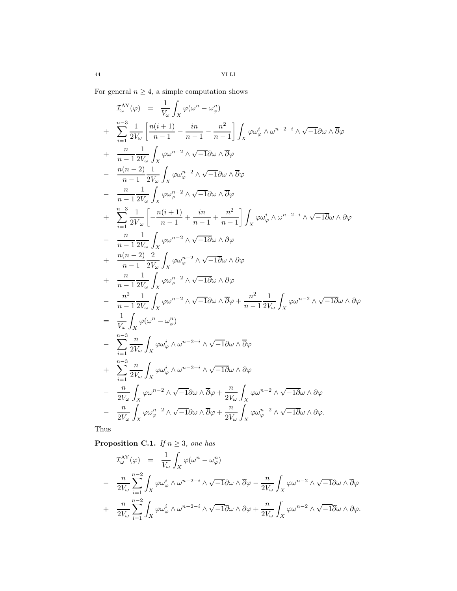For general  $n\geq 4,$  a simple computation shows

$$
T_{\omega}^{\mathbf{A}Y}(\varphi) = \frac{1}{V_{\omega}} \int_{X} \varphi(\omega^{n} - \omega_{\varphi}^{n})
$$
  
+ 
$$
\sum_{i=1}^{n-3} \frac{1}{2V_{\omega}} \left[ \frac{n(i+1)}{n-1} - \frac{in}{n-1} - \frac{n^{2}}{n-1} \right] \int_{X} \varphi \omega_{\varphi}^{i} \wedge \omega^{n-2-i} \wedge \sqrt{-1} \partial \omega \wedge \overline{\partial} \varphi
$$
  
+ 
$$
\frac{n}{n-1} \frac{1}{2V_{\omega}} \int_{X} \varphi \omega_{\varphi}^{n-2} \wedge \sqrt{-1} \partial \omega \wedge \overline{\partial} \varphi
$$
  
- 
$$
\frac{n(n-2)}{n-1} \frac{1}{2V_{\omega}} \int_{X} \varphi \omega_{\varphi}^{n-2} \wedge \sqrt{-1} \partial \omega \wedge \overline{\partial} \varphi
$$
  
+ 
$$
\sum_{i=1}^{n-1} \frac{1}{2V_{\omega}} \int_{X} \varphi \omega_{\varphi}^{n-2} \wedge \sqrt{-1} \partial \omega \wedge \overline{\partial} \varphi
$$
  
+ 
$$
\sum_{i=1}^{n-1} \frac{1}{2V_{\omega}} \int_{X} \varphi \omega_{\varphi}^{n-2} \wedge \sqrt{-1} \partial \omega \wedge \partial \varphi
$$
  
- 
$$
\frac{n}{n-1} \frac{1}{2V_{\omega}} \int_{X} \varphi \omega_{\varphi}^{n-2} \wedge \sqrt{-1} \partial \omega \wedge \partial \varphi
$$
  
+ 
$$
\frac{n(n-2)}{n-1} \frac{2}{2V_{\omega}} \int_{X} \varphi \omega_{\varphi}^{n-2} \wedge \sqrt{-1} \partial \omega \wedge \partial \varphi
$$
  
+ 
$$
\frac{n}{n-1} \frac{1}{2V_{\omega}} \int_{X} \varphi \omega_{\varphi}^{n-2} \wedge \sqrt{-1} \partial \omega \wedge \partial \varphi
$$
  
- 
$$
\frac{n^{2}}{n-1} \frac{1}{2V_{\omega}} \int_{X} \varphi \omega_{\varphi}^{n-2} \wedge \sqrt{-1} \partial \omega \wedge \partial
$$

Thus

<span id="page-43-0"></span>**Proposition C.1.** If  $n \geq 3$ , one has

$$
\mathcal{I}_{\omega}^{\text{AY}}(\varphi) = \frac{1}{V_{\omega}} \int_{X} \varphi(\omega^{n} - \omega_{\varphi}^{n})
$$
\n
$$
- \frac{n}{2V_{\omega}} \sum_{i=1}^{n-2} \int_{X} \varphi \omega_{\varphi}^{i} \wedge \omega^{n-2-i} \wedge \sqrt{-1} \partial \omega \wedge \overline{\partial} \varphi - \frac{n}{2V_{\omega}} \int_{X} \varphi \omega^{n-2} \wedge \sqrt{-1} \partial \omega \wedge \overline{\partial} \varphi
$$
\n
$$
+ \frac{n}{2V_{\omega}} \sum_{i=1}^{n-2} \int_{X} \varphi \omega_{\varphi}^{i} \wedge \omega^{n-2-i} \wedge \sqrt{-1} \overline{\partial} \omega \wedge \partial \varphi + \frac{n}{2V_{\omega}} \int_{X} \varphi \omega^{n-2} \wedge \sqrt{-1} \overline{\partial} \omega \wedge \partial \varphi.
$$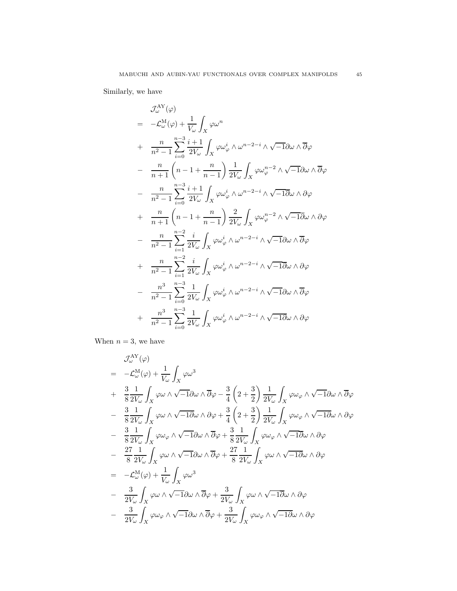Similarly, we have

$$
\mathcal{J}_{\omega}^{\text{AY}}(\varphi)
$$
\n
$$
= -\mathcal{L}_{\omega}^{\text{M}}(\varphi) + \frac{1}{V_{\omega}} \int_{X} \varphi \omega^{n}
$$
\n
$$
+ \frac{n}{n^{2} - 1} \sum_{i=0}^{n-3} \frac{i+1}{2V_{\omega}} \int_{X} \varphi \omega_{\varphi}^{i} \wedge \omega^{n-2-i} \wedge \sqrt{-1} \partial \omega \wedge \overline{\partial} \varphi
$$
\n
$$
- \frac{n}{n+1} \left( n - 1 + \frac{n}{n-1} \right) \frac{1}{2V_{\omega}} \int_{X} \varphi \omega_{\varphi}^{n-2} \wedge \sqrt{-1} \partial \omega \wedge \overline{\partial} \varphi
$$
\n
$$
- \frac{n}{n^{2} - 1} \sum_{i=0}^{n-3} \frac{i+1}{2V_{\omega}} \int_{X} \varphi \omega_{\varphi}^{i} \wedge \omega^{n-2-i} \wedge \sqrt{-1} \partial \omega \wedge \partial \varphi
$$
\n
$$
+ \frac{n}{n+1} \left( n - 1 + \frac{n}{n-1} \right) \frac{2}{2V_{\omega}} \int_{X} \varphi \omega_{\varphi}^{n-2} \wedge \sqrt{-1} \partial \omega \wedge \partial \varphi
$$
\n
$$
- \frac{n}{n^{2} - 1} \sum_{i=1}^{n-2} \frac{i}{2V_{\omega}} \int_{X} \varphi \omega_{\varphi}^{i} \wedge \omega^{n-2-i} \wedge \sqrt{-1} \partial \omega \wedge \overline{\partial} \varphi
$$
\n
$$
+ \frac{n}{n^{2} - 1} \sum_{i=1}^{n-2} \frac{i}{2V_{\omega}} \int_{X} \varphi \omega_{\varphi}^{i} \wedge \omega^{n-2-i} \wedge \sqrt{-1} \partial \omega \wedge \partial \varphi
$$
\n
$$
- \frac{n^{3}}{n^{2} - 1} \sum_{i=0}^{n-3} \frac{1}{2V_{\omega}} \int_{X} \varphi \omega_{\varphi}^{i} \wedge \omega^{n-2-i} \wedge \sqrt{-1} \partial \omega \wedge \overline{\partial} \varphi
$$
\n
$$
+ \frac{n^{3
$$

When  $n = 3$ , we have

$$
\mathcal{J}_{\omega}^{\text{AY}}(\varphi)
$$
\n
$$
= -\mathcal{L}_{\omega}^{\text{M}}(\varphi) + \frac{1}{V_{\omega}} \int_{X} \varphi \omega^{3}
$$
\n
$$
+ \frac{3}{8} \frac{1}{2V_{\omega}} \int_{X} \varphi \omega \wedge \sqrt{-1} \partial \omega \wedge \overline{\partial} \varphi - \frac{3}{4} \left( 2 + \frac{3}{2} \right) \frac{1}{2V_{\omega}} \int_{X} \varphi \omega_{\varphi} \wedge \sqrt{-1} \partial \omega \wedge \overline{\partial} \varphi
$$
\n
$$
- \frac{3}{8} \frac{1}{2V_{\omega}} \int_{X} \varphi \omega \wedge \sqrt{-1} \partial \omega \wedge \partial \varphi + \frac{3}{4} \left( 2 + \frac{3}{2} \right) \frac{1}{2V_{\omega}} \int_{X} \varphi \omega_{\varphi} \wedge \sqrt{-1} \partial \omega \wedge \partial \varphi
$$
\n
$$
- \frac{3}{8} \frac{1}{2V_{\omega}} \int_{X} \varphi \omega_{\varphi} \wedge \sqrt{-1} \partial \omega \wedge \overline{\partial} \varphi + \frac{3}{8} \frac{1}{2V_{\omega}} \int_{X} \varphi \omega_{\varphi} \wedge \sqrt{-1} \partial \omega \wedge \partial \varphi
$$
\n
$$
- \frac{27}{8} \frac{1}{2V_{\omega}} \int_{X} \varphi \omega \wedge \sqrt{-1} \partial \omega \wedge \overline{\partial} \varphi + \frac{27}{8} \frac{1}{2V_{\omega}} \int_{X} \varphi \omega \wedge \sqrt{-1} \partial \omega \wedge \partial \varphi
$$
\n
$$
= -\mathcal{L}_{\omega}^{\text{M}}(\varphi) + \frac{1}{V_{\omega}} \int_{X} \varphi \omega^{3}
$$
\n
$$
- \frac{3}{2V_{\omega}} \int_{X} \varphi \omega \wedge \sqrt{-1} \partial \omega \wedge \overline{\partial} \varphi + \frac{3}{2V_{\omega}} \int_{X} \varphi \omega \wedge \sqrt{-1} \partial \omega \wedge \partial \varphi
$$
\n
$$
- \frac{3}{2V_{\omega}} \int_{X} \varphi \omega_{\
$$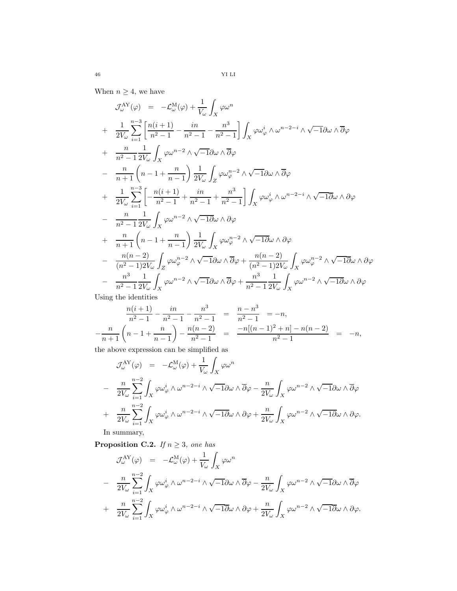When  $n\geq 4,$  we have

$$
\mathcal{J}_{\omega}^{\text{AY}}(\varphi) = -\mathcal{L}_{\omega}^{\text{M}}(\varphi) + \frac{1}{V_{\omega}} \int_{X} \varphi \omega^{n}
$$
\n
$$
+ \frac{1}{2V_{\omega}} \sum_{i=1}^{n-3} \left[ \frac{n(i+1)}{n^{2}-1} - \frac{in}{n^{2}-1} - \frac{n^{3}}{n^{2}-1} \right] \int_{X} \varphi \omega_{\varphi}^{i} \wedge \omega^{n-2-i} \wedge \sqrt{-1} \partial \omega \wedge \overline{\partial} \varphi
$$
\n
$$
+ \frac{n}{n^{2}-1} \frac{1}{2V_{\omega}} \int_{X} \varphi \omega^{n-2} \wedge \sqrt{-1} \partial \omega \wedge \overline{\partial} \varphi
$$
\n
$$
- \frac{n}{n+1} \left( n-1 + \frac{n}{n-1} \right) \frac{1}{2V_{\omega}} \int_{Z} \varphi \omega_{\varphi}^{n-2} \wedge \sqrt{-1} \partial \omega \wedge \overline{\partial} \varphi
$$
\n
$$
+ \frac{1}{2V_{\omega}} \sum_{i=1}^{n-3} \left[ -\frac{n(i+1)}{n^{2}-1} + \frac{in}{n^{2}-1} + \frac{n^{3}}{n^{2}-1} \right] \int_{X} \varphi \omega_{\varphi}^{i} \wedge \omega^{n-2-i} \wedge \sqrt{-1} \partial \omega \wedge \partial \varphi
$$
\n
$$
- \frac{n}{n^{2}-1} \frac{1}{2V_{\omega}} \int_{X} \varphi \omega^{n-2} \wedge \sqrt{-1} \partial \omega \wedge \partial \varphi
$$
\n
$$
+ \frac{n}{n+1} \left( n-1 + \frac{n}{n-1} \right) \frac{1}{2V_{\omega}} \int_{X} \varphi \omega_{\varphi}^{n-2} \wedge \sqrt{-1} \partial \omega \wedge \partial \varphi
$$
\n
$$
- \frac{n(n-2)}{(n^{2}-1)2V_{\omega}} \int_{Z} \varphi \omega_{\varphi}^{n-2} \wedge \sqrt{-1} \partial \omega \wedge \overline{\partial} \varphi + \frac{n(n-2)}{(n^{2}-1)2V_{\omega}} \int_{X} \varphi \omega_{\varphi}^{n-2}
$$

Using the identities

$$
\frac{n(i+1)}{n^2 - 1} - \frac{in}{n^2 - 1} - \frac{n^3}{n^2 - 1} = \frac{n - n^3}{n^2 - 1} = -n,
$$
  

$$
-\frac{n}{n+1}\left(n - 1 + \frac{n}{n-1}\right) - \frac{n(n-2)}{n^2 - 1} = \frac{-n[(n-1)^2 + n] - n(n-2)}{n^2 - 1} = -n,
$$

the above expression can be simplified as

$$
\mathcal{J}_{\omega}^{\mathbf{A}\mathbf{Y}}(\varphi) = -\mathcal{L}_{\omega}^{\mathbf{M}}(\varphi) + \frac{1}{V_{\omega}} \int_{X} \varphi \omega^{n}
$$
  

$$
- \frac{n}{2V_{\omega}} \sum_{i=1}^{n-2} \int_{X} \varphi \omega_{\varphi}^{i} \wedge \omega^{n-2-i} \wedge \sqrt{-1} \partial \omega \wedge \overline{\partial} \varphi - \frac{n}{2V_{\omega}} \int_{X} \varphi \omega^{n-2} \wedge \sqrt{-1} \partial \omega \wedge \overline{\partial} \varphi
$$
  

$$
+ \frac{n}{2V_{\omega}} \sum_{i=1}^{n-2} \int_{X} \varphi \omega_{\varphi}^{i} \wedge \omega^{n-2-i} \wedge \sqrt{-1} \partial \omega \wedge \partial \varphi + \frac{n}{2V_{\omega}} \int_{X} \varphi \omega^{n-2} \wedge \sqrt{-1} \partial \omega \wedge \partial \varphi.
$$

In summary,

<span id="page-45-0"></span>**Proposition C.2.** If  $n \geq 3$ , one has

$$
\mathcal{J}^{\text{AY}}_{\omega}(\varphi) = -\mathcal{L}^{\text{M}}_{\omega}(\varphi) + \frac{1}{V_{\omega}} \int_{X} \varphi \omega^{n}
$$
  

$$
- \frac{n}{2V_{\omega}} \sum_{i=1}^{n-2} \int_{X} \varphi \omega_{\varphi}^{i} \wedge \omega^{n-2-i} \wedge \sqrt{-1} \partial \omega \wedge \overline{\partial} \varphi - \frac{n}{2V_{\omega}} \int_{X} \varphi \omega^{n-2} \wedge \sqrt{-1} \partial \omega \wedge \overline{\partial} \varphi
$$
  

$$
+ \frac{n}{2V_{\omega}} \sum_{i=1}^{n-2} \int_{X} \varphi \omega_{\varphi}^{i} \wedge \omega^{n-2-i} \wedge \sqrt{-1} \overline{\partial} \omega \wedge \partial \varphi + \frac{n}{2V_{\omega}} \int_{X} \varphi \omega^{n-2} \wedge \sqrt{-1} \overline{\partial} \omega \wedge \partial \varphi.
$$